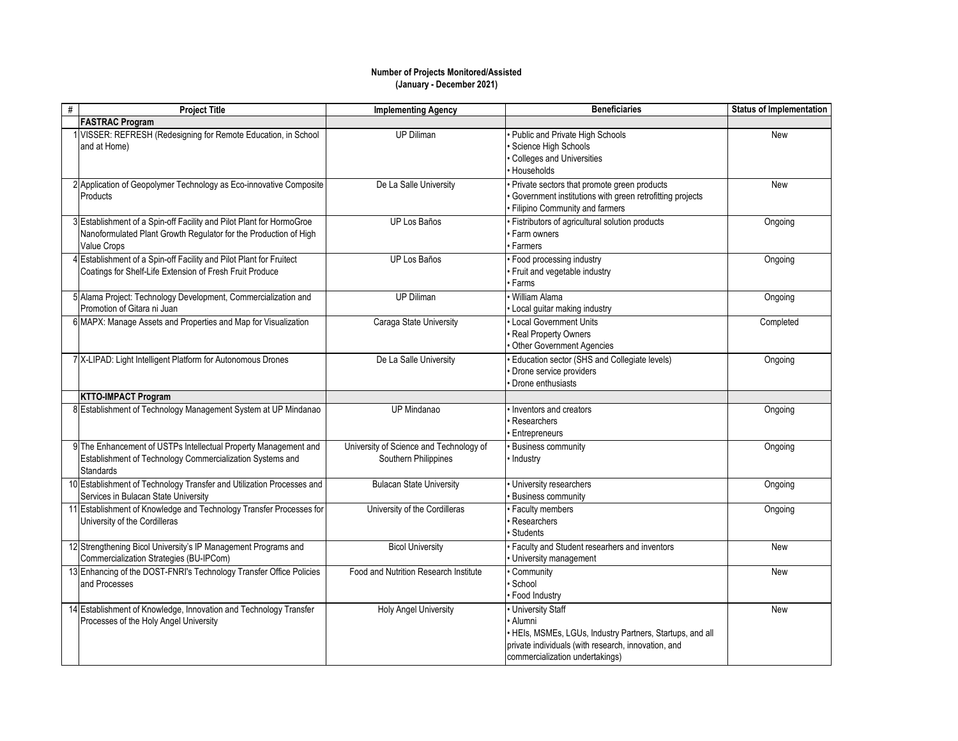## **Number of Projects Monitored/Assisted (January - December 2021)**

| # | <b>Project Title</b>                                                                                                                                           | <b>Implementing Agency</b>                                      | <b>Beneficiaries</b>                                                                                                                                                                  | <b>Status of Implementation</b> |
|---|----------------------------------------------------------------------------------------------------------------------------------------------------------------|-----------------------------------------------------------------|---------------------------------------------------------------------------------------------------------------------------------------------------------------------------------------|---------------------------------|
|   | <b>FASTRAC Program</b>                                                                                                                                         |                                                                 |                                                                                                                                                                                       |                                 |
|   | VISSER: REFRESH (Redesigning for Remote Education, in School<br>and at Home)                                                                                   | <b>UP Diliman</b>                                               | • Public and Private High Schools<br>Science High Schools<br>Colleges and Universities<br>· Households                                                                                | New                             |
|   | 2 Application of Geopolymer Technology as Eco-innovative Composite<br>Products                                                                                 | De La Salle University                                          | · Private sectors that promote green products<br>Government institutions with green retrofitting projects<br>· Filipino Community and farmers                                         | <b>New</b>                      |
|   | 3 Establishment of a Spin-off Facility and Pilot Plant for HormoGroe<br>Nanoformulated Plant Growth Regulator for the Production of High<br><b>Value Crops</b> | UP Los Baños                                                    | · Fistributors of agricultural solution products<br>· Farm owners<br>· Farmers                                                                                                        | Ongoing                         |
|   | 4 Establishment of a Spin-off Facility and Pilot Plant for Fruitect<br>Coatings for Shelf-Life Extension of Fresh Fruit Produce                                | UP Los Baños                                                    | · Food processing industry<br>· Fruit and vegetable industry<br>· Farms                                                                                                               | Ongoing                         |
|   | 5 Alama Project: Technology Development, Commercialization and<br>Promotion of Gitara ni Juan                                                                  | <b>UP Diliman</b>                                               | · William Alama<br>• Local guitar making industry                                                                                                                                     | Ongoing                         |
|   | 6 MAPX: Manage Assets and Properties and Map for Visualization                                                                                                 | Caraga State University                                         | • Local Government Units<br>Real Property Owners<br>Other Government Agencies                                                                                                         | Completed                       |
|   | 7 X-LIPAD: Light Intelligent Platform for Autonomous Drones                                                                                                    | De La Salle University                                          | Education sector (SHS and Collegiate levels)<br>Drone service providers<br>Drone enthusiasts                                                                                          | Ongoing                         |
|   | <b>KTTO-IMPACT Program</b>                                                                                                                                     |                                                                 |                                                                                                                                                                                       |                                 |
|   | 8 Establishment of Technology Management System at UP Mindanao                                                                                                 | UP Mindanao                                                     | Inventors and creators<br>Researchers<br>· Entrepreneurs                                                                                                                              | Ongoing                         |
|   | 9 The Enhancement of USTPs Intellectual Property Management and<br>Establishment of Technology Commercialization Systems and<br><b>Standards</b>               | University of Science and Technology of<br>Southern Philippines | · Business community<br>· Industry                                                                                                                                                    | Ongoing                         |
|   | 10 Establishment of Technology Transfer and Utilization Processes and<br>Services in Bulacan State University                                                  | <b>Bulacan State University</b>                                 | · University researchers<br><b>Business community</b>                                                                                                                                 | Ongoing                         |
|   | 11 Establishment of Knowledge and Technology Transfer Processes for<br>University of the Cordilleras                                                           | University of the Cordilleras                                   | · Faculty members<br>Researchers<br><b>Students</b>                                                                                                                                   | Ongoing                         |
|   | 12 Strengthening Bicol University's IP Management Programs and<br>Commercialization Strategies (BU-IPCom)                                                      | <b>Bicol University</b>                                         | · Faculty and Student researhers and inventors<br>· University management                                                                                                             | New                             |
|   | 13 Enhancing of the DOST-FNRI's Technology Transfer Office Policies<br>and Processes                                                                           | Food and Nutrition Research Institute                           | · Community<br>School<br>· Food Industry                                                                                                                                              | New                             |
|   | 14 Establishment of Knowledge, Innovation and Technology Transfer<br>Processes of the Holy Angel University                                                    | <b>Holy Angel University</b>                                    | • University Staff<br>· Alumni<br>· HEIs, MSMEs, LGUs, Industry Partners, Startups, and all<br>private individuals (with research, innovation, and<br>commercialization undertakings) | <b>New</b>                      |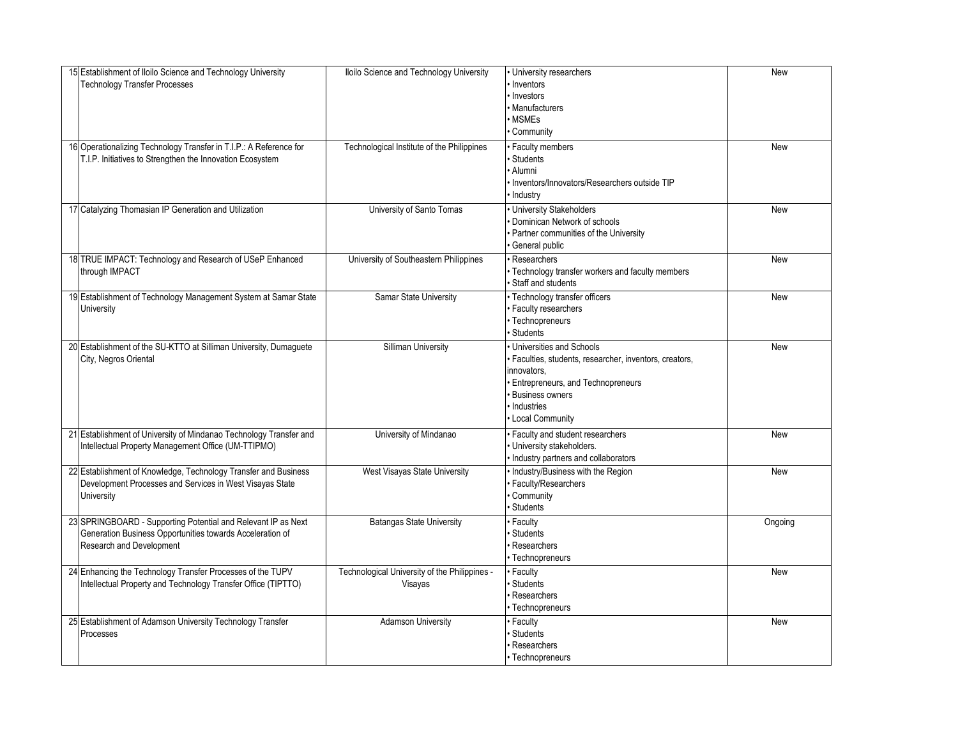| 15 Establishment of Iloilo Science and Technology University<br><b>Technology Transfer Processes</b> | Iloilo Science and Technology University      | University researchers<br>Inventors                   | New     |
|------------------------------------------------------------------------------------------------------|-----------------------------------------------|-------------------------------------------------------|---------|
|                                                                                                      |                                               | · Investors                                           |         |
|                                                                                                      |                                               | <b>Manufacturers</b><br><b>MSMEs</b>                  |         |
|                                                                                                      |                                               | Community                                             |         |
|                                                                                                      |                                               |                                                       |         |
| 16 Operationalizing Technology Transfer in T.I.P.: A Reference for                                   | Technological Institute of the Philippines    | Faculty members                                       | New     |
| T.I.P. Initiatives to Strengthen the Innovation Ecosystem                                            |                                               | <b>Students</b><br>· Alumni                           |         |
|                                                                                                      |                                               | Inventors/Innovators/Researchers outside TIP          |         |
|                                                                                                      |                                               | Industry                                              |         |
| 17 Catalyzing Thomasian IP Generation and Utilization                                                | University of Santo Tomas                     | University Stakeholders                               | New     |
|                                                                                                      |                                               | Dominican Network of schools                          |         |
|                                                                                                      |                                               | Partner communities of the University                 |         |
|                                                                                                      |                                               | General public                                        |         |
| 18 TRUE IMPACT: Technology and Research of USeP Enhanced                                             | University of Southeastern Philippines        | Researchers                                           | New     |
| through IMPACT                                                                                       |                                               | Technology transfer workers and faculty members       |         |
|                                                                                                      |                                               | Staff and students                                    |         |
| 19 Establishment of Technology Management System at Samar State                                      | Samar State University                        | · Technology transfer officers                        | New     |
| University                                                                                           |                                               | · Faculty researchers                                 |         |
|                                                                                                      |                                               | · Technopreneurs                                      |         |
|                                                                                                      |                                               | <b>Students</b>                                       |         |
| 20 Establishment of the SU-KTTO at Silliman University, Dumaguete                                    | <b>Silliman University</b>                    | Universities and Schools                              | New     |
| City, Negros Oriental                                                                                |                                               | Faculties, students, researcher, inventors, creators, |         |
|                                                                                                      |                                               | innovators,                                           |         |
|                                                                                                      |                                               | Entrepreneurs, and Technopreneurs                     |         |
|                                                                                                      |                                               | <b>Business owners</b>                                |         |
|                                                                                                      |                                               | Industries                                            |         |
|                                                                                                      |                                               | <b>Local Community</b>                                |         |
| 21 Establishment of University of Mindanao Technology Transfer and                                   | University of Mindanao                        | Faculty and student researchers                       | New     |
| Intellectual Property Management Office (UM-TTIPMO)                                                  |                                               | University stakeholders.                              |         |
|                                                                                                      |                                               | Industry partners and collaborators                   |         |
| 22 Establishment of Knowledge, Technology Transfer and Business                                      | West Visayas State University                 | Industry/Business with the Region                     | New     |
| Development Processes and Services in West Visayas State                                             |                                               | <b>Faculty/Researchers</b>                            |         |
| University                                                                                           |                                               | Community                                             |         |
|                                                                                                      |                                               | Students                                              |         |
| 23 SPRINGBOARD - Supporting Potential and Relevant IP as Next                                        | <b>Batangas State University</b>              | Faculty                                               | Ongoing |
| Generation Business Opportunities towards Acceleration of                                            |                                               | Students                                              |         |
| Research and Development                                                                             |                                               | Researchers                                           |         |
|                                                                                                      |                                               | · Technopreneurs                                      |         |
| 24 Enhancing the Technology Transfer Processes of the TUPV                                           | Technological University of the Philippines - | Faculty                                               | New     |
| Intellectual Property and Technology Transfer Office (TIPTTO)                                        | Visayas                                       | <b>Students</b>                                       |         |
|                                                                                                      |                                               | Researchers                                           |         |
|                                                                                                      |                                               | Technopreneurs                                        |         |
| 25 Establishment of Adamson University Technology Transfer                                           | <b>Adamson University</b>                     | Faculty                                               | New     |
| Processes                                                                                            |                                               | Students<br>Researchers                               |         |
|                                                                                                      |                                               |                                                       |         |
|                                                                                                      |                                               | • Technopreneurs                                      |         |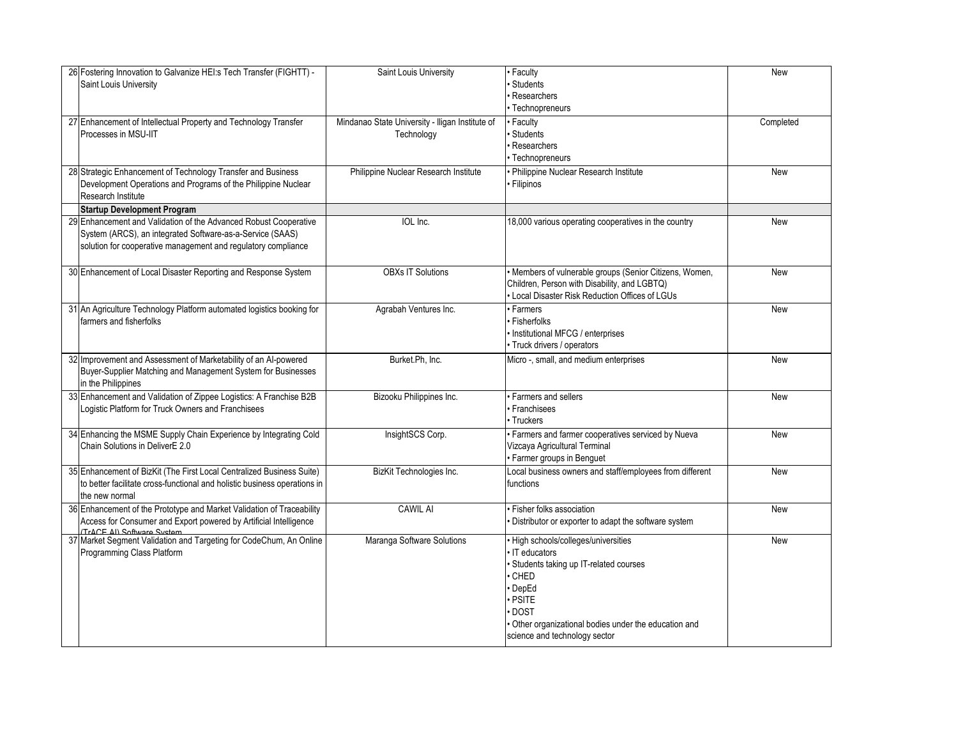| 26 Fostering Innovation to Galvanize HEI:s Tech Transfer (FIGHTT) -<br>Saint Louis University                                                                                                  | Saint Louis University                                        | • Faculty<br><b>Students</b><br>Researchers<br>• Technopreneurs                                                                                                                                                                 | New        |
|------------------------------------------------------------------------------------------------------------------------------------------------------------------------------------------------|---------------------------------------------------------------|---------------------------------------------------------------------------------------------------------------------------------------------------------------------------------------------------------------------------------|------------|
| 27 Enhancement of Intellectual Property and Technology Transfer<br>Processes in MSU-IIT                                                                                                        | Mindanao State University - Iligan Institute of<br>Technology | • Faculty<br><b>Students</b><br>Researchers<br>• Technopreneurs                                                                                                                                                                 | Completed  |
| 28 Strategic Enhancement of Technology Transfer and Business<br>Development Operations and Programs of the Philippine Nuclear<br>Research Institute                                            | Philippine Nuclear Research Institute                         | · Philippine Nuclear Research Institute<br><b>Filipinos</b>                                                                                                                                                                     | <b>New</b> |
| <b>Startup Development Program</b>                                                                                                                                                             |                                                               |                                                                                                                                                                                                                                 |            |
| 29 Enhancement and Validation of the Advanced Robust Cooperative<br>System (ARCS), an integrated Software-as-a-Service (SAAS)<br>solution for cooperative management and regulatory compliance | IOL Inc.                                                      | 18,000 various operating cooperatives in the country                                                                                                                                                                            | New        |
| 30 Enhancement of Local Disaster Reporting and Response System                                                                                                                                 | <b>OBXs IT Solutions</b>                                      | · Members of vulnerable groups (Senior Citizens, Women,<br>Children, Person with Disability, and LGBTQ)<br>Local Disaster Risk Reduction Offices of LGUs                                                                        | New        |
| 31 An Agriculture Technology Platform automated logistics booking for<br>farmers and fisherfolks                                                                                               | Agrabah Ventures Inc.                                         | · Farmers<br>· Fisherfolks<br>· Institutional MFCG / enterprises<br>· Truck drivers / operators                                                                                                                                 | <b>New</b> |
| 32 Improvement and Assessment of Marketability of an AI-powered<br>Buyer-Supplier Matching and Management System for Businesses<br>in the Philippines                                          | Burket.Ph, Inc.                                               | Micro -, small, and medium enterprises                                                                                                                                                                                          | New        |
| 33 Enhancement and Validation of Zippee Logistics: A Franchise B2B<br>Logistic Platform for Truck Owners and Franchisees                                                                       | Bizooku Philippines Inc.                                      | · Farmers and sellers<br>• Franchisees<br>· Truckers                                                                                                                                                                            | <b>New</b> |
| 34 Enhancing the MSME Supply Chain Experience by Integrating Cold<br>Chain Solutions in DeliverE 2.0                                                                                           | InsightSCS Corp.                                              | · Farmers and farmer cooperatives serviced by Nueva<br>Vizcaya Agricultural Terminal<br>· Farmer groups in Benguet                                                                                                              | New        |
| 35 Enhancement of BizKit (The First Local Centralized Business Suite)<br>to better facilitate cross-functional and holistic business operations in<br>the new normal                           | BizKit Technologies Inc.                                      | Local business owners and staff/employees from different<br>functions                                                                                                                                                           | New        |
| 36 Enhancement of the Prototype and Market Validation of Traceability<br>Access for Consumer and Export powered by Artificial Intelligence<br>(TrACE All Software System                       | <b>CAWIL AI</b>                                               | · Fisher folks association<br>· Distributor or exporter to adapt the software system                                                                                                                                            | New        |
| 37 Market Segment Validation and Targeting for CodeChum, An Online<br>Programming Class Platform                                                                                               | Maranga Software Solutions                                    | · High schools/colleges/universities<br>· IT educators<br>· Students taking up IT-related courses<br>CHED<br>· DepEd<br>· PSITE<br>DOST<br>Other organizational bodies under the education and<br>science and technology sector | New        |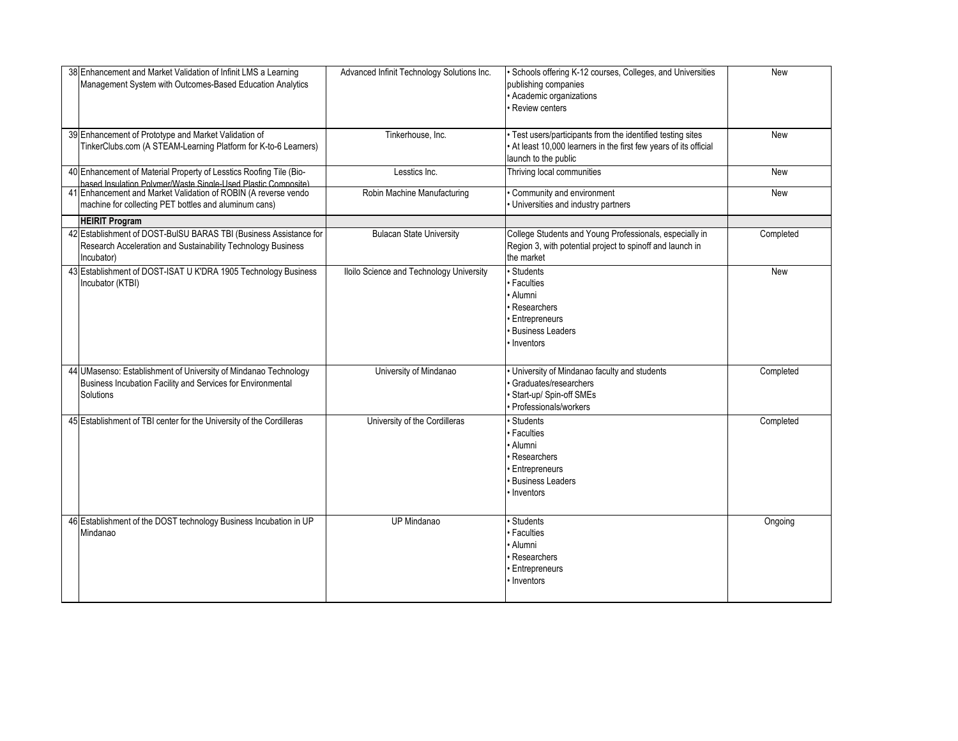| 38 Enhancement and Market Validation of Infinit LMS a Learning<br>Management System with Outcomes-Based Education Analytics                     | Advanced Infinit Technology Solutions Inc. | · Schools offering K-12 courses, Colleges, and Universities<br>publishing companies<br>· Academic organizations<br>Review centers                        | New       |
|-------------------------------------------------------------------------------------------------------------------------------------------------|--------------------------------------------|----------------------------------------------------------------------------------------------------------------------------------------------------------|-----------|
| 39 Enhancement of Prototype and Market Validation of<br>TinkerClubs.com (A STEAM-Learning Platform for K-to-6 Learners)                         | Tinkerhouse, Inc.                          | · Test users/participants from the identified testing sites<br>. At least 10,000 learners in the first few years of its official<br>launch to the public | New       |
| 40 Enhancement of Material Property of Lesstics Roofing Tile (Bio-<br>hased Insulation Polymer/Waste Single-Hsed Plastic Composite)             | Lesstics Inc.                              | Thriving local communities                                                                                                                               | New       |
| 41 Enhancement and Market Validation of ROBIN (A reverse vendo<br>machine for collecting PET bottles and aluminum cans)                         | Robin Machine Manufacturing                | Community and environment<br>• Universities and industry partners                                                                                        | New       |
| <b>HEIRIT Program</b>                                                                                                                           |                                            |                                                                                                                                                          |           |
| 42 Establishment of DOST-BuISU BARAS TBI (Business Assistance for<br>Research Acceleration and Sustainability Technology Business<br>Incubator) | <b>Bulacan State University</b>            | College Students and Young Professionals, especially in<br>Region 3, with potential project to spinoff and launch in<br>the market                       | Completed |
| 43 Establishment of DOST-ISAT U K'DRA 1905 Technology Business<br>Incubator (KTBI)                                                              | Iloilo Science and Technology University   | · Students<br>· Faculties<br>· Alumni<br>Researchers<br>· Entrepreneurs<br><b>Business Leaders</b><br>Inventors                                          | New       |
| 44 UMasenso: Establishment of University of Mindanao Technology<br>Business Incubation Facility and Services for Environmental<br>Solutions     | University of Mindanao                     | · University of Mindanao faculty and students<br>Graduates/researchers<br>Start-up/ Spin-off SMEs<br><b>Professionals/workers</b>                        | Completed |
| 45 Establishment of TBI center for the University of the Cordilleras                                                                            | University of the Cordilleras              | · Students<br>· Faculties<br>· Alumni<br>Researchers<br><b>Entrepreneurs</b><br>· Business Leaders<br>· Inventors                                        | Completed |
| 46 Establishment of the DOST technology Business Incubation in UP<br>Mindanao                                                                   | <b>UP Mindanao</b>                         | Students<br>· Faculties<br>· Alumni<br>· Researchers<br><b>Entrepreneurs</b><br>Inventors                                                                | Ongoing   |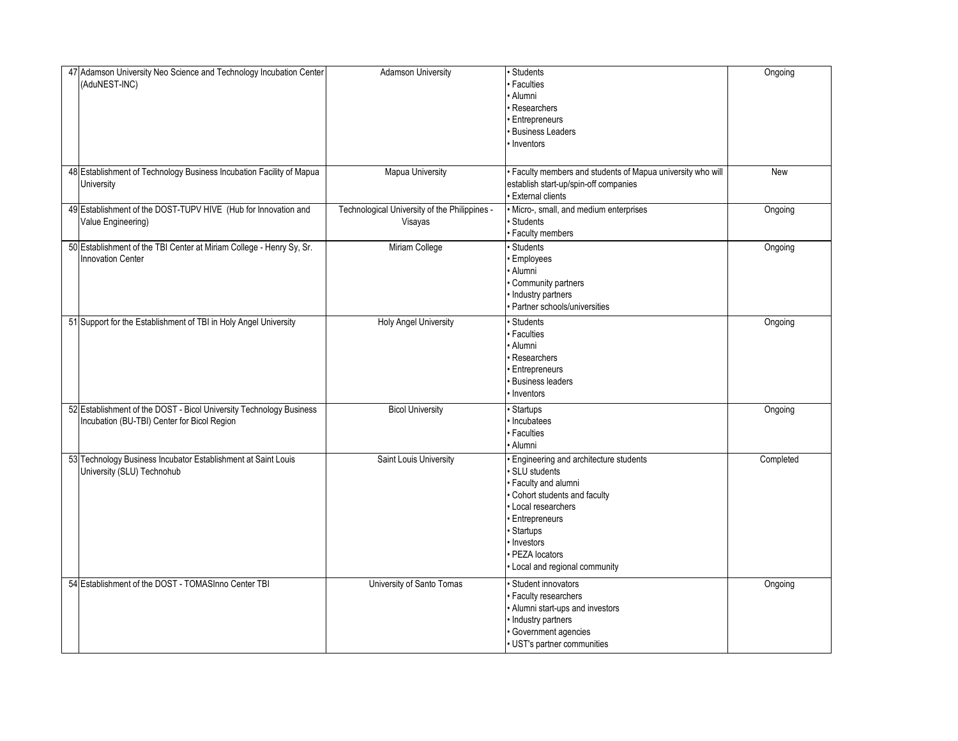| 47 Adamson University Neo Science and Technology Incubation Center<br>(AduNEST-INC)                                | <b>Adamson University</b>                                | · Students<br><b>Faculties</b><br>· Alumni<br>Researchers<br><b>Entrepreneurs</b><br><b>Business Leaders</b><br>Inventors                                                                                                         | Ongoing    |
|--------------------------------------------------------------------------------------------------------------------|----------------------------------------------------------|-----------------------------------------------------------------------------------------------------------------------------------------------------------------------------------------------------------------------------------|------------|
| 48 Establishment of Technology Business Incubation Facility of Mapua<br>University                                 | <b>Mapua University</b>                                  | Faculty members and students of Mapua university who will<br>establish start-up/spin-off companies<br><b>External clients</b>                                                                                                     | <b>New</b> |
| 49 Establishment of the DOST-TUPV HIVE (Hub for Innovation and<br>Value Engineering)                               | Technological University of the Philippines -<br>Visayas | Micro-, small, and medium enterprises<br><b>Students</b><br>· Faculty members                                                                                                                                                     | Ongoing    |
| 50 Establishment of the TBI Center at Miriam College - Henry Sy, Sr.<br><b>Innovation Center</b>                   | Miriam College                                           | Students<br>Employees<br>Alumni<br>Community partners<br>Industry partners<br>Partner schools/universities                                                                                                                        | Ongoing    |
| 51 Support for the Establishment of TBI in Holy Angel University                                                   | <b>Holy Angel University</b>                             | Students<br><b>Faculties</b><br>· Alumni<br>Researchers<br>Entrepreneurs<br><b>Business leaders</b><br>Inventors                                                                                                                  | Ongoing    |
| 52 Establishment of the DOST - Bicol University Technology Business<br>Incubation (BU-TBI) Center for Bicol Region | <b>Bicol University</b>                                  | <b>Startups</b><br>Incubatees<br><b>Faculties</b><br>· Alumni                                                                                                                                                                     | Ongoing    |
| 53 Technology Business Incubator Establishment at Saint Louis<br>University (SLU) Technohub                        | Saint Louis University                                   | Engineering and architecture students<br>SLU students<br>Faculty and alumni<br>Cohort students and faculty<br>Local researchers<br><b>Entrepreneurs</b><br>Startups<br>Investors<br>PEZA locators<br>Local and regional community | Completed  |
| 54 Establishment of the DOST - TOMASInno Center TBI                                                                | University of Santo Tomas                                | Student innovators<br>Faculty researchers<br>Alumni start-ups and investors<br>Industry partners<br>Government agencies<br>UST's partner communities                                                                              | Ongoing    |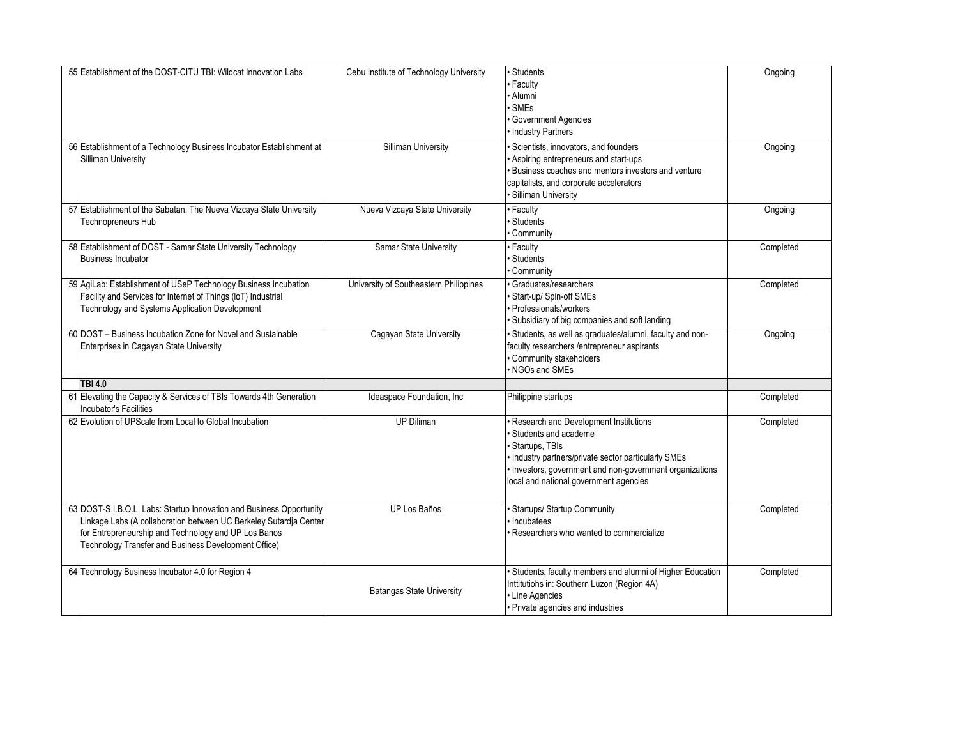| 55 Establishment of the DOST-CITU TBI: Wildcat Innovation Labs                                                                                                                                                                                            | Cebu Institute of Technology University | <b>Students</b><br>· Faculty<br>· Alumni<br>· SMEs<br>· Government Agencies<br>Industry Partners                                                                                                                                                     | Ongoing   |
|-----------------------------------------------------------------------------------------------------------------------------------------------------------------------------------------------------------------------------------------------------------|-----------------------------------------|------------------------------------------------------------------------------------------------------------------------------------------------------------------------------------------------------------------------------------------------------|-----------|
| 56 Establishment of a Technology Business Incubator Establishment at<br>Silliman University                                                                                                                                                               | Silliman University                     | Scientists, innovators, and founders<br>Aspiring entrepreneurs and start-ups<br>· Business coaches and mentors investors and venture<br>capitalists, and corporate accelerators<br>· Silliman University                                             | Ongoing   |
| 57 Establishment of the Sabatan: The Nueva Vizcaya State University<br>Technopreneurs Hub                                                                                                                                                                 | Nueva Vizcaya State University          | • Faculty<br>Students<br>· Community                                                                                                                                                                                                                 | Ongoing   |
| 58 Establishment of DOST - Samar State University Technology<br><b>Business Incubator</b>                                                                                                                                                                 | Samar State University                  | · Faculty<br><b>Students</b><br>· Community                                                                                                                                                                                                          | Completed |
| 59 AgiLab: Establishment of USeP Technology Business Incubation<br>Facility and Services for Internet of Things (IoT) Industrial<br>Technology and Systems Application Development                                                                        | University of Southeastern Philippines  | Graduates/researchers<br>Start-up/Spin-off SMEs<br>· Professionals/workers<br>Subsidiary of big companies and soft landing                                                                                                                           | Completed |
| 60 DOST - Business Incubation Zone for Novel and Sustainable<br>Enterprises in Cagayan State University                                                                                                                                                   | Cagayan State University                | Students, as well as graduates/alumni, faculty and non-<br>faculty researchers /entrepreneur aspirants<br>· Community stakeholders<br>. NGOs and SMEs                                                                                                | Ongoing   |
| <b>TBI 4.0</b>                                                                                                                                                                                                                                            |                                         |                                                                                                                                                                                                                                                      |           |
| 61 Elevating the Capacity & Services of TBIs Towards 4th Generation<br>Incubator's Facilities                                                                                                                                                             | Ideaspace Foundation, Inc.              | Philippine startups                                                                                                                                                                                                                                  | Completed |
| 62 Evolution of UPScale from Local to Global Incubation                                                                                                                                                                                                   | <b>UP Diliman</b>                       | Research and Development Institutions<br><b>Students and academe</b><br>Startups, TBIs<br>· Industry partners/private sector particularly SMEs<br>· Investors, government and non-government organizations<br>local and national government agencies | Completed |
| 63 DOST-S.I.B.O.L. Labs: Startup Innovation and Business Opportunity<br>Linkage Labs (A collaboration between UC Berkeley Sutardja Center<br>for Entrepreneurship and Technology and UP Los Banos<br>Technology Transfer and Business Development Office) | UP Los Baños                            | · Startups/ Startup Community<br>· Incubatees<br>Researchers who wanted to commercialize                                                                                                                                                             | Completed |
| 64 Technology Business Incubator 4.0 for Region 4                                                                                                                                                                                                         | <b>Batangas State University</b>        | · Students, faculty members and alumni of Higher Education<br>Inttitutiohs in: Southern Luzon (Region 4A)<br>• Line Agencies<br>· Private agencies and industries                                                                                    | Completed |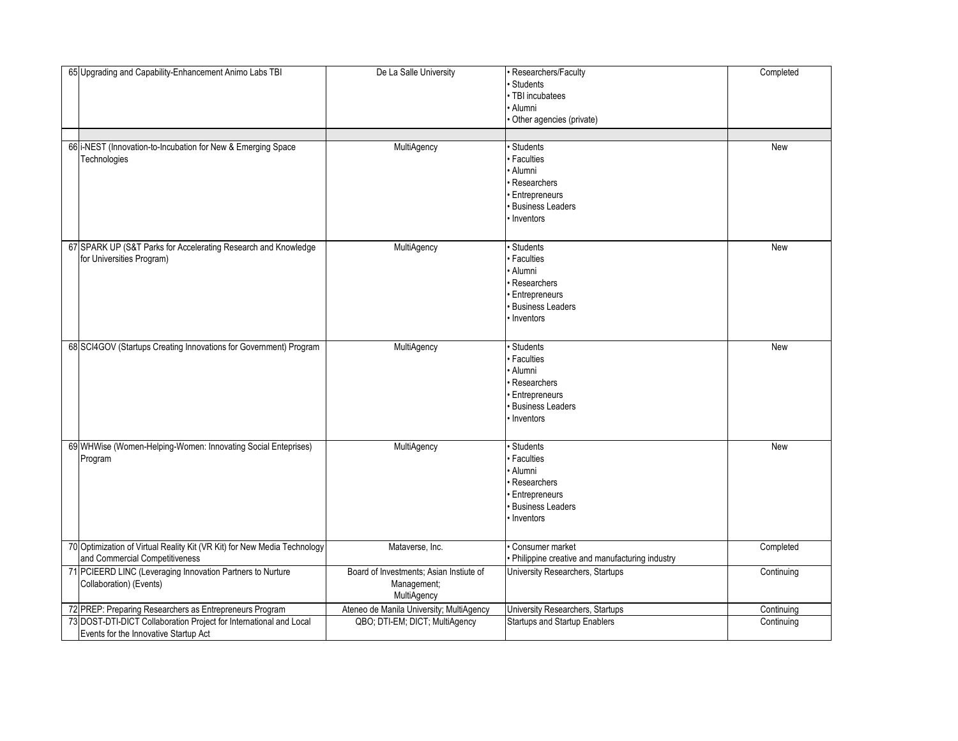| 65 Upgrading and Capability-Enhancement Animo Labs TBI                                                      | De La Salle University                                                | Researchers/Faculty<br>Students<br>TBI incubatees<br>Alumni<br>Other agencies (private)                                      | Completed  |
|-------------------------------------------------------------------------------------------------------------|-----------------------------------------------------------------------|------------------------------------------------------------------------------------------------------------------------------|------------|
| 66 i-NEST (Innovation-to-Incubation for New & Emerging Space                                                | MultiAgency                                                           | <b>Students</b>                                                                                                              | New        |
| Technologies                                                                                                |                                                                       | <b>Faculties</b><br>Alumni<br>Researchers<br><b>Entrepreneurs</b><br><b>Business Leaders</b><br>Inventors                    |            |
| 67 SPARK UP (S&T Parks for Accelerating Research and Knowledge<br>for Universities Program)                 | MultiAgency                                                           | <b>Students</b><br><b>Faculties</b><br>Alumni<br>Researchers<br>Entrepreneurs<br><b>Business Leaders</b><br>Inventors        | New        |
| 68 SCI4GOV (Startups Creating Innovations for Government) Program                                           | MultiAgency                                                           | <b>Students</b><br><b>Faculties</b><br>Alumni<br>Researchers<br><b>Entrepreneurs</b><br><b>Business Leaders</b><br>Inventors | New        |
| 69 WHWise (Women-Helping-Women: Innovating Social Enteprises)<br>Program                                    | MultiAgency                                                           | <b>Students</b><br><b>Faculties</b><br>Alumni<br>Researchers<br>Entrepreneurs<br><b>Business Leaders</b><br>Inventors        | New        |
| 70 Optimization of Virtual Reality Kit (VR Kit) for New Media Technology<br>and Commercial Competitiveness  | Mataverse, Inc.                                                       | Consumer market<br>Philippine creative and manufacturing industry                                                            | Completed  |
| 71 PCIEERD LINC (Leveraging Innovation Partners to Nurture<br>Collaboration) (Events)                       | Board of Investments; Asian Instiute of<br>Management;<br>MultiAgency | University Researchers, Startups                                                                                             | Continuing |
| 72 PREP: Preparing Researchers as Entrepreneurs Program                                                     | Ateneo de Manila University; MultiAgency                              | University Researchers, Startups                                                                                             | Continuing |
| 73 DOST-DTI-DICT Collaboration Project for International and Local<br>Events for the Innovative Startup Act | QBO; DTI-EM; DICT; MultiAgency                                        | <b>Startups and Startup Enablers</b>                                                                                         | Continuing |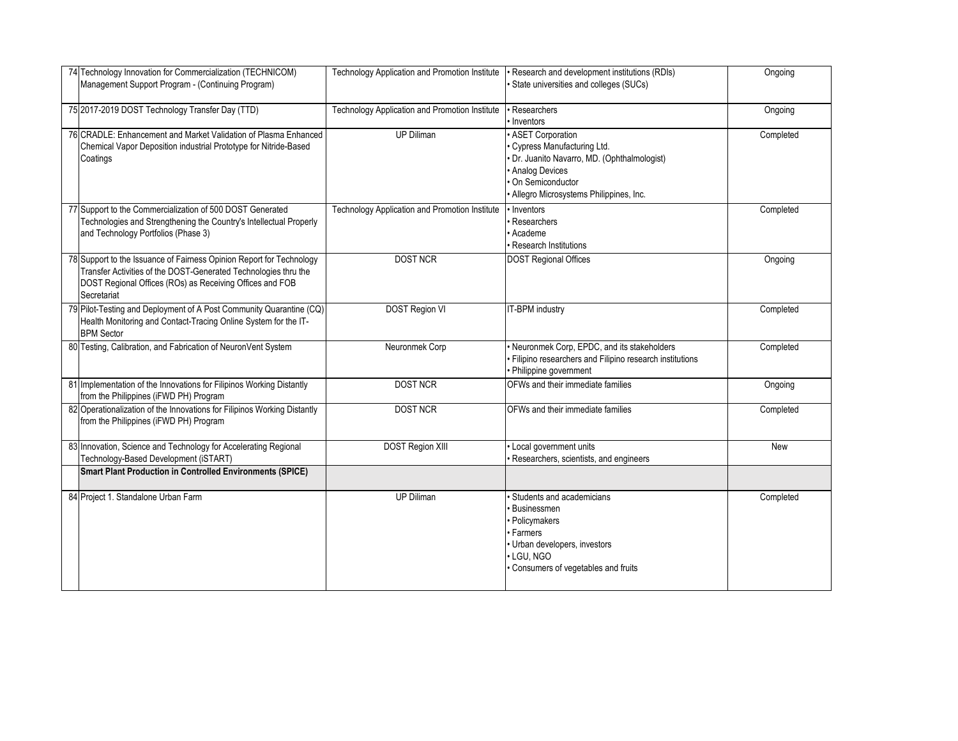| 74 Technology Innovation for Commercialization (TECHNICOM)<br>Management Support Program - (Continuing Program)                                                                                                    | Technology Application and Promotion Institute | · Research and development institutions (RDIs)<br>· State universities and colleges (SUCs)                                                                                             | Ongoing   |
|--------------------------------------------------------------------------------------------------------------------------------------------------------------------------------------------------------------------|------------------------------------------------|----------------------------------------------------------------------------------------------------------------------------------------------------------------------------------------|-----------|
| 75 2017-2019 DOST Technology Transfer Day (TTD)                                                                                                                                                                    | Technology Application and Promotion Institute | · Researchers<br>· Inventors                                                                                                                                                           | Ongoing   |
| 76 CRADLE: Enhancement and Market Validation of Plasma Enhanced<br>Chemical Vapor Deposition industrial Prototype for Nitride-Based<br>Coatings                                                                    | <b>UP Diliman</b>                              | · ASET Corporation<br>Cypress Manufacturing Ltd.<br>· Dr. Juanito Navarro, MD. (Ophthalmologist)<br>• Analog Devices<br>· On Semiconductor<br>· Allegro Microsystems Philippines, Inc. | Completed |
| 77 Support to the Commercialization of 500 DOST Generated<br>Technologies and Strengthening the Country's Intellectual Properly<br>and Technology Portfolios (Phase 3)                                             | Technology Application and Promotion Institute | • Inventors<br>· Researchers<br>· Academe<br><b>Research Institutions</b>                                                                                                              | Completed |
| 78 Support to the Issuance of Fairness Opinion Report for Technology<br>Transfer Activities of the DOST-Generated Technologies thru the<br>DOST Regional Offices (ROs) as Receiving Offices and FOB<br>Secretariat | <b>DOST NCR</b>                                | <b>DOST Regional Offices</b>                                                                                                                                                           | Ongoing   |
| 79 Pilot-Testing and Deployment of A Post Community Quarantine (CQ)<br>Health Monitoring and Contact-Tracing Online System for the IT-<br><b>BPM Sector</b>                                                        | DOST Region VI                                 | IT-BPM industry                                                                                                                                                                        | Completed |
| 80 Testing, Calibration, and Fabrication of NeuronVent System                                                                                                                                                      | Neuronmek Corp                                 | · Neuronmek Corp, EPDC, and its stakeholders<br>· Filipino researchers and Filipino research institutions<br>• Philippine government                                                   | Completed |
| 81 Implementation of the Innovations for Filipinos Working Distantly<br>from the Philippines (iFWD PH) Program                                                                                                     | <b>DOST NCR</b>                                | OFWs and their immediate families                                                                                                                                                      | Ongoing   |
| 82 Operationalization of the Innovations for Filipinos Working Distantly<br>from the Philippines (iFWD PH) Program                                                                                                 | <b>DOST NCR</b>                                | OFWs and their immediate families                                                                                                                                                      | Completed |
| 83 Innovation, Science and Technology for Accelerating Regional<br>Technology-Based Development (iSTART)                                                                                                           | <b>DOST Region XIII</b>                        | · Local government units<br>Researchers, scientists, and engineers                                                                                                                     | New       |
| <b>Smart Plant Production in Controlled Environments (SPICE)</b>                                                                                                                                                   |                                                |                                                                                                                                                                                        |           |
| 84 Project 1. Standalone Urban Farm                                                                                                                                                                                | UP Diliman                                     | · Students and academicians<br>· Businessmen<br>· Policymakers<br>• Farmers<br>· Urban developers, investors<br>· LGU, NGO<br>· Consumers of vegetables and fruits                     | Completed |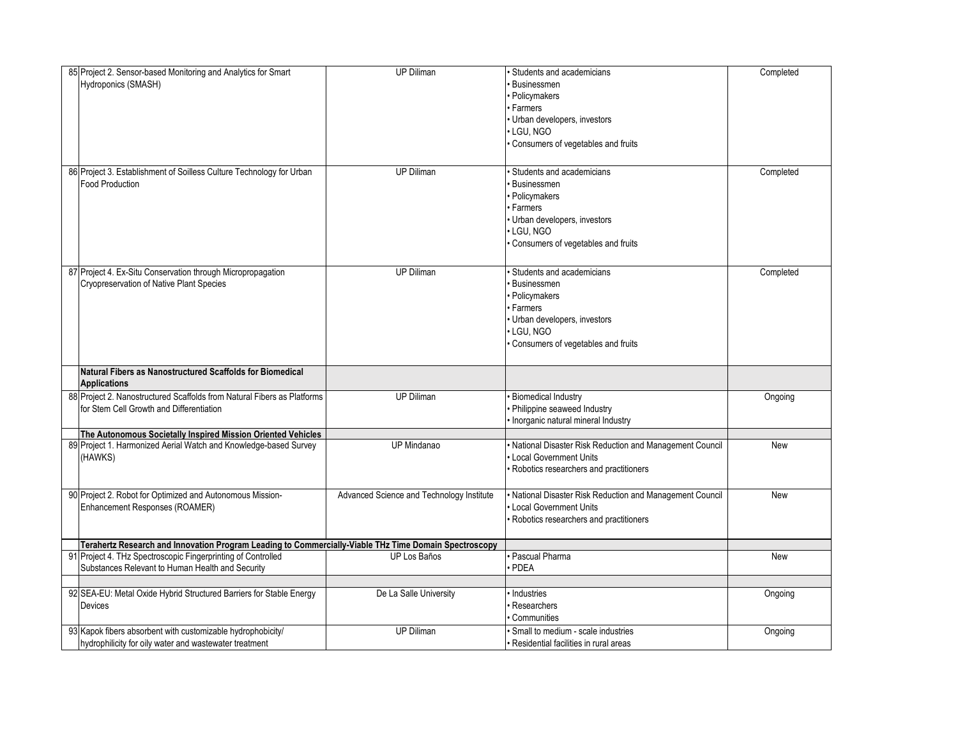| 85 Project 2. Sensor-based Monitoring and Analytics for Smart<br>Hydroponics (SMASH)                                  | <b>UP Diliman</b>                         | · Students and academicians<br><b>Businessmen</b><br>· Policymakers<br>• Farmers<br>Urban developers, investors<br>· LGU, NGO<br>· Consumers of vegetables and fruits | Completed  |
|-----------------------------------------------------------------------------------------------------------------------|-------------------------------------------|-----------------------------------------------------------------------------------------------------------------------------------------------------------------------|------------|
| 86 Project 3. Establishment of Soilless Culture Technology for Urban<br><b>Food Production</b>                        | <b>UP Diliman</b>                         | <b>Students and academicians</b><br>Businessmen<br>· Policymakers<br>· Farmers<br>· Urban developers, investors<br>LGU. NGO<br>· Consumers of vegetables and fruits   | Completed  |
| 87 Project 4. Ex-Situ Conservation through Micropropagation<br>Cryopreservation of Native Plant Species               | <b>UP Diliman</b>                         | Students and academicians<br><b>Businessmen</b><br>· Policymakers<br>· Farmers<br>· Urban developers, investors<br>· LGU, NGO<br>· Consumers of vegetables and fruits | Completed  |
| Natural Fibers as Nanostructured Scaffolds for Biomedical<br><b>Applications</b>                                      |                                           |                                                                                                                                                                       |            |
| 88 Project 2. Nanostructured Scaffolds from Natural Fibers as Platforms<br>for Stem Cell Growth and Differentiation   | <b>UP Diliman</b>                         | · Biomedical Industry<br>· Philippine seaweed Industry<br>Inorganic natural mineral Industry                                                                          | Ongoing    |
| The Autonomous Societally Inspired Mission Oriented Vehicles                                                          |                                           |                                                                                                                                                                       |            |
| 89 Project 1. Harmonized Aerial Watch and Knowledge-based Survey<br>(HAWKS)                                           | UP Mindanao                               | · National Disaster Risk Reduction and Management Council<br><b>Local Government Units</b><br>Robotics researchers and practitioners                                  | <b>New</b> |
| 90 Project 2. Robot for Optimized and Autonomous Mission-<br>Enhancement Responses (ROAMER)                           | Advanced Science and Technology Institute | · National Disaster Risk Reduction and Management Council<br>• Local Government Units<br>· Robotics researchers and practitioners                                     | <b>New</b> |
| Terahertz Research and Innovation Program Leading to Commercially-Viable THz Time Domain Spectroscopy                 |                                           |                                                                                                                                                                       |            |
| 91 Project 4. THz Spectroscopic Fingerprinting of Controlled<br>Substances Relevant to Human Health and Security      | UP Los Baños                              | · Pascual Pharma<br>PDEA                                                                                                                                              | New        |
| 92 SEA-EU: Metal Oxide Hybrid Structured Barriers for Stable Energy<br>Devices                                        | De La Salle University                    | Industries<br>Researchers<br>Communities                                                                                                                              | Ongoing    |
| 93 Kapok fibers absorbent with customizable hydrophobicity/<br>hydrophilicity for oily water and wastewater treatment | <b>UP Diliman</b>                         | Small to medium - scale industries<br>• Residential facilities in rural areas                                                                                         | Ongoing    |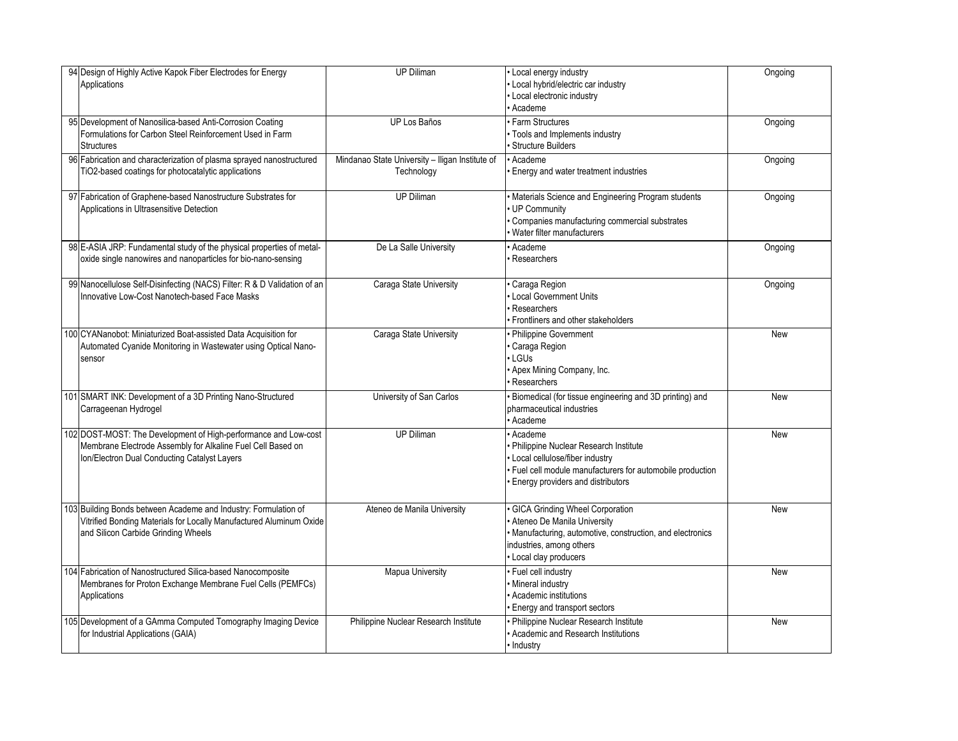| 94 Design of Highly Active Kapok Fiber Electrodes for Energy<br>Applications                                                                                                   | <b>UP Diliman</b>                                             | • Local energy industry<br>· Local hybrid/electric car industry<br>· Local electronic industry<br>· Academe                                                                                      | Ongoing    |
|--------------------------------------------------------------------------------------------------------------------------------------------------------------------------------|---------------------------------------------------------------|--------------------------------------------------------------------------------------------------------------------------------------------------------------------------------------------------|------------|
| 95 Development of Nanosilica-based Anti-Corrosion Coating<br>Formulations for Carbon Steel Reinforcement Used in Farm<br><b>Structures</b>                                     | UP Los Baños                                                  | · Farm Structures<br>· Tools and Implements industry<br>· Structure Builders                                                                                                                     | Ongoing    |
| 96 Fabrication and characterization of plasma sprayed nanostructured<br>TiO2-based coatings for photocatalytic applications                                                    | Mindanao State University - Iligan Institute of<br>Technology | • Academe<br>Energy and water treatment industries                                                                                                                                               | Ongoing    |
| 97 Fabrication of Graphene-based Nanostructure Substrates for<br>Applications in Ultrasensitive Detection                                                                      | <b>UP Diliman</b>                                             | · Materials Science and Engineering Program students<br>UP Community<br>Companies manufacturing commercial substrates<br>· Water filter manufacturers                                            | Ongoing    |
| 98 E-ASIA JRP: Fundamental study of the physical properties of metal-<br>oxide single nanowires and nanoparticles for bio-nano-sensing                                         | De La Salle University                                        | Academe<br>Researchers                                                                                                                                                                           | Ongoing    |
| 99 Nanocellulose Self-Disinfecting (NACS) Filter: R & D Validation of an<br>Innovative Low-Cost Nanotech-based Face Masks                                                      | Caraga State University                                       | Caraga Region<br>• Local Government Units<br>Researchers<br>Frontliners and other stakeholders                                                                                                   | Ongoing    |
| 100 CYANanobot: Miniaturized Boat-assisted Data Acquisition for<br>Automated Cyanide Monitoring in Wastewater using Optical Nano-<br>sensor                                    | Caraga State University                                       | • Philippine Government<br>Caraga Region<br>· LGUs<br>• Apex Mining Company, Inc.<br>· Researchers                                                                                               | New        |
| 101 SMART INK: Development of a 3D Printing Nano-Structured<br>Carrageenan Hydrogel                                                                                            | University of San Carlos                                      | · Biomedical (for tissue engineering and 3D printing) and<br>pharmaceutical industries<br>Academe                                                                                                | New        |
| 102 DOST-MOST: The Development of High-performance and Low-cost<br>Membrane Electrode Assembly for Alkaline Fuel Cell Based on<br>Ion/Electron Dual Conducting Catalyst Layers | <b>UP Diliman</b>                                             | Academe<br>· Philippine Nuclear Research Institute<br>• Local cellulose/fiber industry<br>· Fuel cell module manufacturers for automobile production<br><b>Energy providers and distributors</b> | New        |
| 103 Building Bonds between Academe and Industry: Formulation of<br>Vitrified Bonding Materials for Locally Manufactured Aluminum Oxide<br>and Silicon Carbide Grinding Wheels  | Ateneo de Manila University                                   | · GICA Grinding Wheel Corporation<br>Ateneo De Manila University<br>· Manufacturing, automotive, construction, and electronics<br>industries, among others<br>• Local clay producers             | <b>New</b> |
| 104 Fabrication of Nanostructured Silica-based Nanocomposite<br>Membranes for Proton Exchange Membrane Fuel Cells (PEMFCs)<br>Applications                                     | <b>Mapua University</b>                                       | · Fuel cell industry<br>· Mineral industry<br>Academic institutions<br><b>Energy and transport sectors</b>                                                                                       | <b>New</b> |
| 105 Development of a GAmma Computed Tomography Imaging Device<br>for Industrial Applications (GAIA)                                                                            | Philippine Nuclear Research Institute                         | • Philippine Nuclear Research Institute<br>· Academic and Research Institutions<br>· Industry                                                                                                    | New        |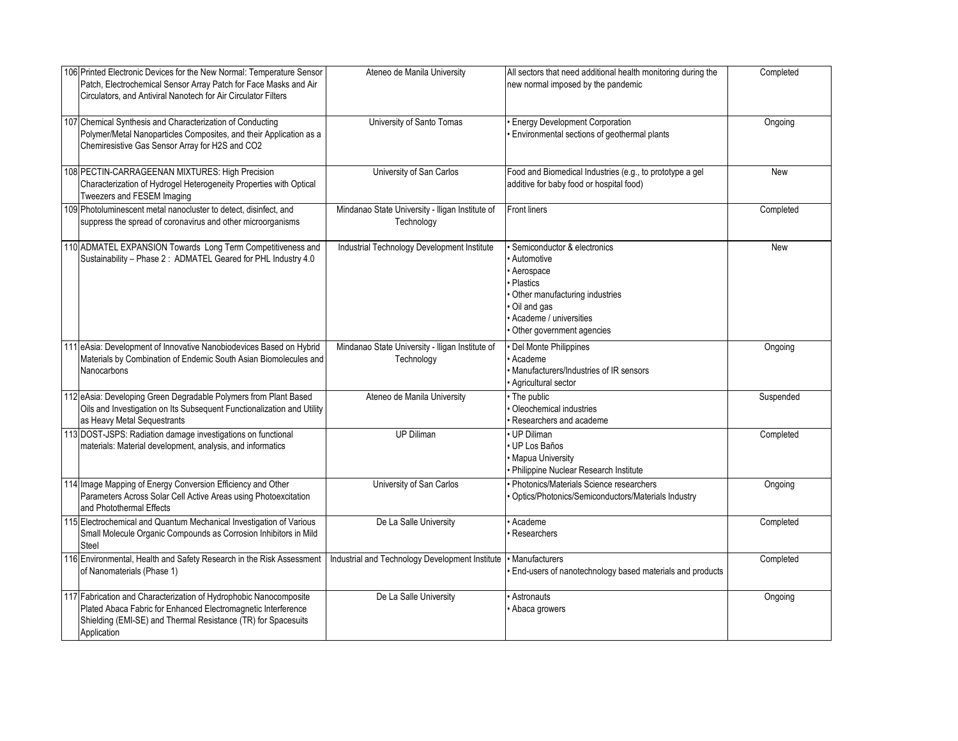| 106 Printed Electronic Devices for the New Normal: Temperature Sensor<br>Patch, Electrochemical Sensor Array Patch for Face Masks and Air<br>Circulators, and Antiviral Nanotech for Air Circulator Filters        | Ateneo de Manila University                                   | All sectors that need additional health monitoring during the<br>new normal imposed by the pandemic                                                                          | Completed |
|--------------------------------------------------------------------------------------------------------------------------------------------------------------------------------------------------------------------|---------------------------------------------------------------|------------------------------------------------------------------------------------------------------------------------------------------------------------------------------|-----------|
| 107 Chemical Synthesis and Characterization of Conducting<br>Polymer/Metal Nanoparticles Composites, and their Application as a<br>Chemiresistive Gas Sensor Array for H2S and CO2                                 | University of Santo Tomas                                     | <b>Energy Development Corporation</b><br>Environmental sections of geothermal plants                                                                                         | Ongoing   |
| 108 PECTIN-CARRAGEENAN MIXTURES: High Precision<br>Characterization of Hydrogel Heterogeneity Properties with Optical<br>Tweezers and FESEM Imaging                                                                | University of San Carlos                                      | Food and Biomedical Industries (e.g., to prototype a gel<br>additive for baby food or hospital food)                                                                         | New       |
| 109 Photoluminescent metal nanocluster to detect, disinfect, and<br>suppress the spread of coronavirus and other microorganisms                                                                                    | Mindanao State University - Iligan Institute of<br>Technology | <b>Front liners</b>                                                                                                                                                          | Completed |
| 110 ADMATEL EXPANSION Towards Long Term Competitiveness and<br>Sustainability - Phase 2: ADMATEL Geared for PHL Industry 4.0                                                                                       | Industrial Technology Development Institute                   | Semiconductor & electronics<br>Automotive<br>Aerospace<br>· Plastics<br>Other manufacturing industries<br>Oil and gas<br>Academe / universities<br>Other government agencies | New       |
| 111 eAsia: Development of Innovative Nanobiodevices Based on Hybrid<br>Materials by Combination of Endemic South Asian Biomolecules and<br>Nanocarbons                                                             | Mindanao State University - Iligan Institute of<br>Technology | Del Monte Philippines<br>Academe<br>Manufacturers/Industries of IR sensors<br>Agricultural sector                                                                            | Ongoing   |
| 112 eAsia: Developing Green Degradable Polymers from Plant Based<br>Oils and Investigation on Its Subsequent Functionalization and Utility<br>as Heavy Metal Sequestrants                                          | Ateneo de Manila University                                   | • The public<br>Oleochemical industries<br>Researchers and academe                                                                                                           | Suspended |
| 113 DOST-JSPS: Radiation damage investigations on functional<br>materials: Material development, analysis, and informatics                                                                                         | <b>UP Diliman</b>                                             | UP Diliman<br>UP Los Baños<br><b>Mapua University</b><br>Philippine Nuclear Research Institute                                                                               | Completed |
| 114 Image Mapping of Energy Conversion Efficiency and Other<br>Parameters Across Solar Cell Active Areas using Photoexcitation<br>and Photothermal Effects                                                         | University of San Carlos                                      | Photonics/Materials Science researchers<br>Optics/Photonics/Semiconductors/Materials Industry                                                                                | Ongoing   |
| 115 Electrochemical and Quantum Mechanical Investigation of Various<br>Small Molecule Organic Compounds as Corrosion Inhibitors in Mild<br>Steel                                                                   | De La Salle University                                        | Academe<br>Researchers                                                                                                                                                       | Completed |
| 116 Environmental, Health and Safety Research in the Risk Assessment<br>of Nanomaterials (Phase 1)                                                                                                                 | Industrial and Technology Development Institute               | · Manufacturers<br>End-users of nanotechnology based materials and products                                                                                                  | Completed |
| 117 Fabrication and Characterization of Hydrophobic Nanocomposite<br>Plated Abaca Fabric for Enhanced Electromagnetic Interference<br>Shielding (EMI-SE) and Thermal Resistance (TR) for Spacesuits<br>Application | De La Salle University                                        | Astronauts<br>Abaca growers                                                                                                                                                  | Ongoing   |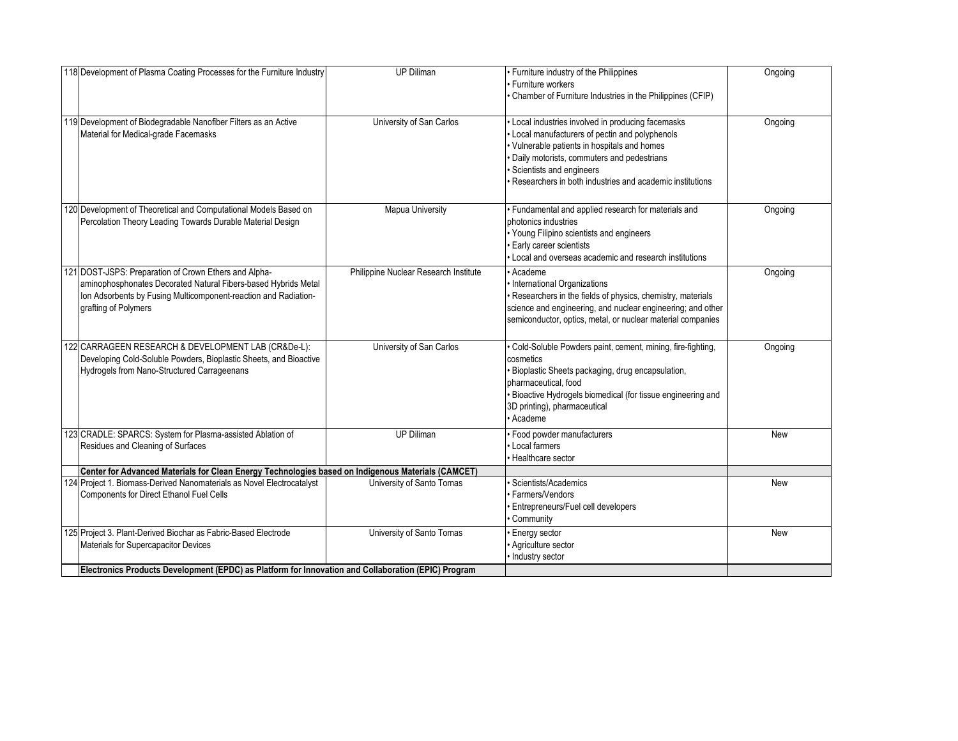| 118 Development of Plasma Coating Processes for the Furniture Industry                                                                                                                                             | <b>UP Diliman</b>                     | • Furniture industry of the Philippines<br>· Furniture workers<br>• Chamber of Furniture Industries in the Philippines (CFIP)                                                                                                                                                                 | Ongoing |
|--------------------------------------------------------------------------------------------------------------------------------------------------------------------------------------------------------------------|---------------------------------------|-----------------------------------------------------------------------------------------------------------------------------------------------------------------------------------------------------------------------------------------------------------------------------------------------|---------|
| 119 Development of Biodegradable Nanofiber Filters as an Active<br>Material for Medical-grade Facemasks                                                                                                            | University of San Carlos              | · Local industries involved in producing facemasks<br>• Local manufacturers of pectin and polyphenols<br>· Vulnerable patients in hospitals and homes<br>· Daily motorists, commuters and pedestrians<br>Scientists and engineers<br>Researchers in both industries and academic institutions | Ongoing |
| 120 Development of Theoretical and Computational Models Based on<br>Percolation Theory Leading Towards Durable Material Design                                                                                     | <b>Mapua University</b>               | • Fundamental and applied research for materials and<br>photonics industries<br>• Young Filipino scientists and engineers<br>· Early career scientists<br>• Local and overseas academic and research institutions                                                                             | Ongoing |
| 121 DOST-JSPS: Preparation of Crown Ethers and Alpha-<br>aminophosphonates Decorated Natural Fibers-based Hybrids Metal<br>Ion Adsorbents by Fusing Multicomponent-reaction and Radiation-<br>grafting of Polymers | Philippine Nuclear Research Institute | • Academe<br>· International Organizations<br>· Researchers in the fields of physics, chemistry, materials<br>science and engineering, and nuclear engineering; and other<br>semiconductor, optics, metal, or nuclear material companies                                                      | Ongoing |
| 122 CARRAGEEN RESEARCH & DEVELOPMENT LAB (CR&De-L):<br>Developing Cold-Soluble Powders, Bioplastic Sheets, and Bioactive<br>Hydrogels from Nano-Structured Carrageenans                                            | University of San Carlos              | · Cold-Soluble Powders paint, cement, mining, fire-fighting,<br>cosmetics<br>· Bioplastic Sheets packaging, drug encapsulation,<br>pharmaceutical, food<br>· Bioactive Hydrogels biomedical (for tissue engineering and<br>3D printing), pharmaceutical<br>· Academe                          | Ongoing |
| 123 CRADLE: SPARCS: System for Plasma-assisted Ablation of<br>Residues and Cleaning of Surfaces                                                                                                                    | <b>UP Diliman</b>                     | · Food powder manufacturers<br>• Local farmers<br>· Healthcare sector                                                                                                                                                                                                                         | New     |
| Center for Advanced Materials for Clean Energy Technologies based on Indigenous Materials (CAMCET)                                                                                                                 |                                       |                                                                                                                                                                                                                                                                                               |         |
| 124 Project 1. Biomass-Derived Nanomaterials as Novel Electrocatalyst<br>Components for Direct Ethanol Fuel Cells                                                                                                  | University of Santo Tomas             | · Scientists/Academics<br><b>Farmers/Vendors</b><br>Entrepreneurs/Fuel cell developers<br>Community                                                                                                                                                                                           | New     |
| 125 Project 3. Plant-Derived Biochar as Fabric-Based Electrode<br>Materials for Supercapacitor Devices                                                                                                             | University of Santo Tomas             | · Energy sector<br>· Agriculture sector<br>· Industry sector                                                                                                                                                                                                                                  | New     |
| Electronics Products Development (EPDC) as Platform for Innovation and Collaboration (EPIC) Program                                                                                                                |                                       |                                                                                                                                                                                                                                                                                               |         |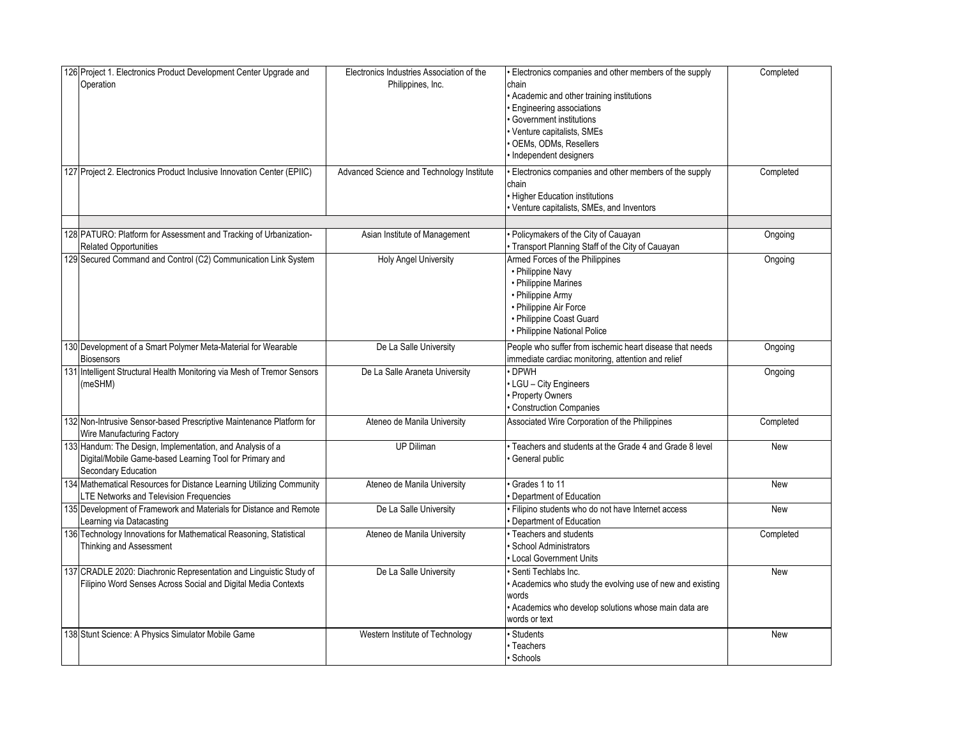| 126 Project 1. Electronics Product Development Center Upgrade and<br>Operation<br>127 Project 2. Electronics Product Inclusive Innovation Center (EPIIC) | Electronics Industries Association of the<br>Philippines, Inc.<br>Advanced Science and Technology Institute | · Electronics companies and other members of the supply<br>chain<br>Academic and other training institutions<br><b>Engineering associations</b><br>Government institutions<br>Venture capitalists, SMEs<br>OEMs, ODMs, Resellers<br>Independent designers<br>Electronics companies and other members of the supply | Completed<br>Completed |
|----------------------------------------------------------------------------------------------------------------------------------------------------------|-------------------------------------------------------------------------------------------------------------|--------------------------------------------------------------------------------------------------------------------------------------------------------------------------------------------------------------------------------------------------------------------------------------------------------------------|------------------------|
|                                                                                                                                                          |                                                                                                             | chain<br>· Higher Education institutions<br>Venture capitalists, SMEs, and Inventors                                                                                                                                                                                                                               |                        |
| 128 PATURO: Platform for Assessment and Tracking of Urbanization-<br><b>Related Opportunities</b>                                                        | Asian Institute of Management                                                                               | Policymakers of the City of Cauayan<br>Transport Planning Staff of the City of Cauayan                                                                                                                                                                                                                             | Ongoing                |
| 129 Secured Command and Control (C2) Communication Link System                                                                                           | <b>Holy Angel University</b>                                                                                | Armed Forces of the Philippines<br>• Philippine Navy<br>• Philippine Marines<br>• Philippine Army<br>• Philippine Air Force<br>• Philippine Coast Guard<br>• Philippine National Police                                                                                                                            | Ongoing                |
| 130 Development of a Smart Polymer Meta-Material for Wearable<br><b>Biosensors</b>                                                                       | De La Salle University                                                                                      | People who suffer from ischemic heart disease that needs<br>mmediate cardiac monitoring, attention and relief                                                                                                                                                                                                      | Ongoing                |
| 131 Intelligent Structural Health Monitoring via Mesh of Tremor Sensors<br>(meSHM)                                                                       | De La Salle Araneta University                                                                              | <b>DPWH</b><br>LGU - City Engineers<br><b>Property Owners</b><br>Construction Companies                                                                                                                                                                                                                            | Ongoing                |
| 132 Non-Intrusive Sensor-based Prescriptive Maintenance Platform for<br>Wire Manufacturing Factory                                                       | Ateneo de Manila University                                                                                 | Associated Wire Corporation of the Philippines                                                                                                                                                                                                                                                                     | Completed              |
| 133 Handum: The Design, Implementation, and Analysis of a<br>Digital/Mobile Game-based Learning Tool for Primary and<br>Secondary Education              | <b>UP Diliman</b>                                                                                           | Teachers and students at the Grade 4 and Grade 8 level<br>General public                                                                                                                                                                                                                                           | <b>New</b>             |
| 134 Mathematical Resources for Distance Learning Utilizing Community<br><b>LTE Networks and Television Frequencies</b>                                   | Ateneo de Manila University                                                                                 | Grades 1 to 11<br>Department of Education                                                                                                                                                                                                                                                                          | New                    |
| 135 Development of Framework and Materials for Distance and Remote<br>Learning via Datacasting                                                           | De La Salle University                                                                                      | Filipino students who do not have Internet access<br>Department of Education                                                                                                                                                                                                                                       | New                    |
| 136 Technology Innovations for Mathematical Reasoning, Statistical<br>Thinking and Assessment                                                            | Ateneo de Manila University                                                                                 | • Teachers and students<br><b>School Administrators</b><br>Local Government Units                                                                                                                                                                                                                                  | Completed              |
| 137 CRADLE 2020: Diachronic Representation and Linguistic Study of<br>Filipino Word Senses Across Social and Digital Media Contexts                      | De La Salle University                                                                                      | Senti Techlabs Inc.<br>Academics who study the evolving use of new and existing<br>words<br>· Academics who develop solutions whose main data are<br>words or text                                                                                                                                                 | <b>New</b>             |
| 138 Stunt Science: A Physics Simulator Mobile Game                                                                                                       | Western Institute of Technology                                                                             | <b>Students</b><br>Teachers<br>Schools                                                                                                                                                                                                                                                                             | New                    |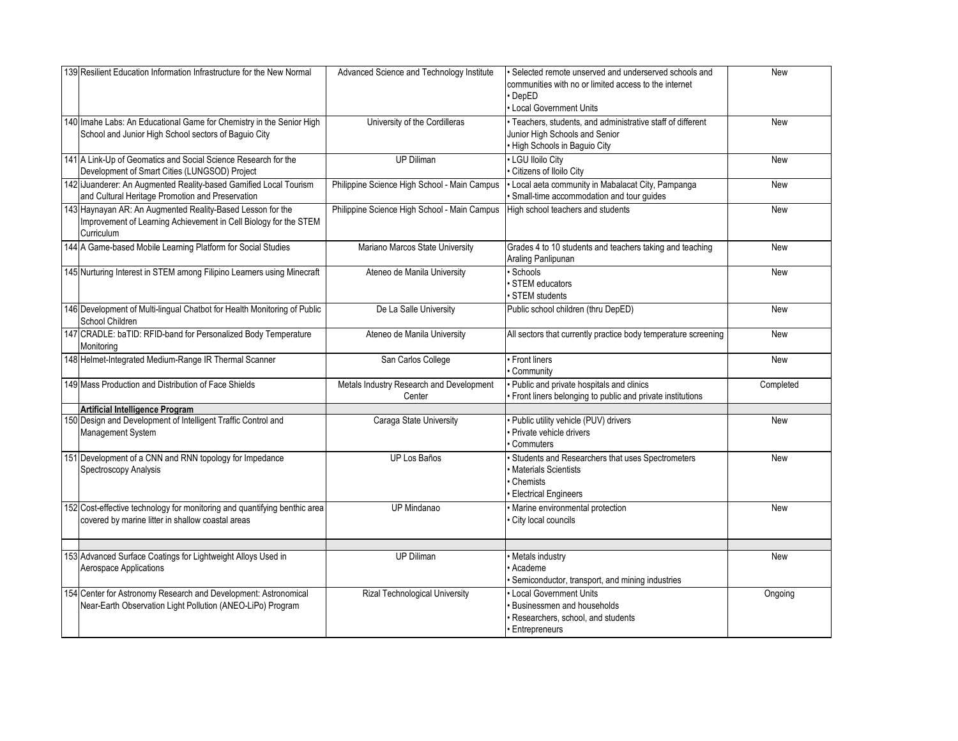| 139 Resilient Education Information Infrastructure for the New Normal                                                                        | Advanced Science and Technology Institute          | Selected remote unserved and underserved schools and<br>communities with no or limited access to the internet<br>DepED<br>• Local Government Units | <b>New</b> |
|----------------------------------------------------------------------------------------------------------------------------------------------|----------------------------------------------------|----------------------------------------------------------------------------------------------------------------------------------------------------|------------|
| 140 Imahe Labs: An Educational Game for Chemistry in the Senior High<br>School and Junior High School sectors of Baguio City                 | University of the Cordilleras                      | · Teachers, students, and administrative staff of different<br>Junior High Schools and Senior<br>· High Schools in Baguio City                     | <b>New</b> |
| 141 A Link-Up of Geomatics and Social Science Research for the<br>Development of Smart Cities (LUNGSOD) Project                              | <b>UP Diliman</b>                                  | · LGU Iloilo City<br>Citizens of Iloilo City                                                                                                       | New        |
| 142 iJuanderer: An Augmented Reality-based Gamified Local Tourism<br>and Cultural Heritage Promotion and Preservation                        | Philippine Science High School - Main Campus       | · Local aeta community in Mabalacat City, Pampanga<br>Small-time accommodation and tour guides                                                     | <b>New</b> |
| 143 Haynayan AR: An Augmented Reality-Based Lesson for the<br>Improvement of Learning Achievement in Cell Biology for the STEM<br>Curriculum | Philippine Science High School - Main Campus       | High school teachers and students                                                                                                                  | <b>New</b> |
| 144 A Game-based Mobile Learning Platform for Social Studies                                                                                 | Mariano Marcos State University                    | Grades 4 to 10 students and teachers taking and teaching<br>Araling Panlipunan                                                                     | New        |
| 145 Nurturing Interest in STEM among Filipino Learners using Minecraft                                                                       | Ateneo de Manila University                        | Schools<br>STEM educators<br>STEM students                                                                                                         | <b>New</b> |
| 146 Development of Multi-lingual Chatbot for Health Monitoring of Public<br>School Children                                                  | De La Salle University                             | Public school children (thru DepED)                                                                                                                | <b>New</b> |
| 147 CRADLE: baTID: RFID-band for Personalized Body Temperature<br>Monitorina                                                                 | Ateneo de Manila University                        | All sectors that currently practice body temperature screening                                                                                     | New        |
| 148 Helmet-Integrated Medium-Range IR Thermal Scanner                                                                                        | San Carlos College                                 | • Front liners<br>Community                                                                                                                        | <b>New</b> |
| 149 Mass Production and Distribution of Face Shields                                                                                         | Metals Industry Research and Development<br>Center | · Public and private hospitals and clinics<br>Front liners belonging to public and private institutions                                            | Completed  |
| <b>Artificial Intelligence Program</b>                                                                                                       |                                                    |                                                                                                                                                    |            |
| 150 Design and Development of Intelligent Traffic Control and<br>Management System                                                           | Caraga State University                            | Public utility vehicle (PUV) drivers<br>Private vehicle drivers<br>Commuters                                                                       | New        |
| 151 Development of a CNN and RNN topology for Impedance<br>Spectroscopy Analysis                                                             | UP Los Baños                                       | · Students and Researchers that uses Spectrometers<br><b>Materials Scientists</b><br>Chemists<br><b>Electrical Engineers</b>                       | <b>New</b> |
| 152 Cost-effective technology for monitoring and quantifying benthic area<br>covered by marine litter in shallow coastal areas               | <b>UP Mindanao</b>                                 | · Marine environmental protection<br>City local councils                                                                                           | New        |
|                                                                                                                                              |                                                    |                                                                                                                                                    |            |
| 153 Advanced Surface Coatings for Lightweight Alloys Used in<br>Aerospace Applications                                                       | <b>UP Diliman</b>                                  | Metals industry<br>Academe<br>Semiconductor, transport, and mining industries                                                                      | <b>New</b> |
| 154 Center for Astronomy Research and Development: Astronomical<br>Near-Earth Observation Light Pollution (ANEO-LiPo) Program                | <b>Rizal Technological University</b>              | <b>Local Government Units</b><br>Businessmen and households<br>Researchers, school, and students<br><b>Entrepreneurs</b>                           | Ongoing    |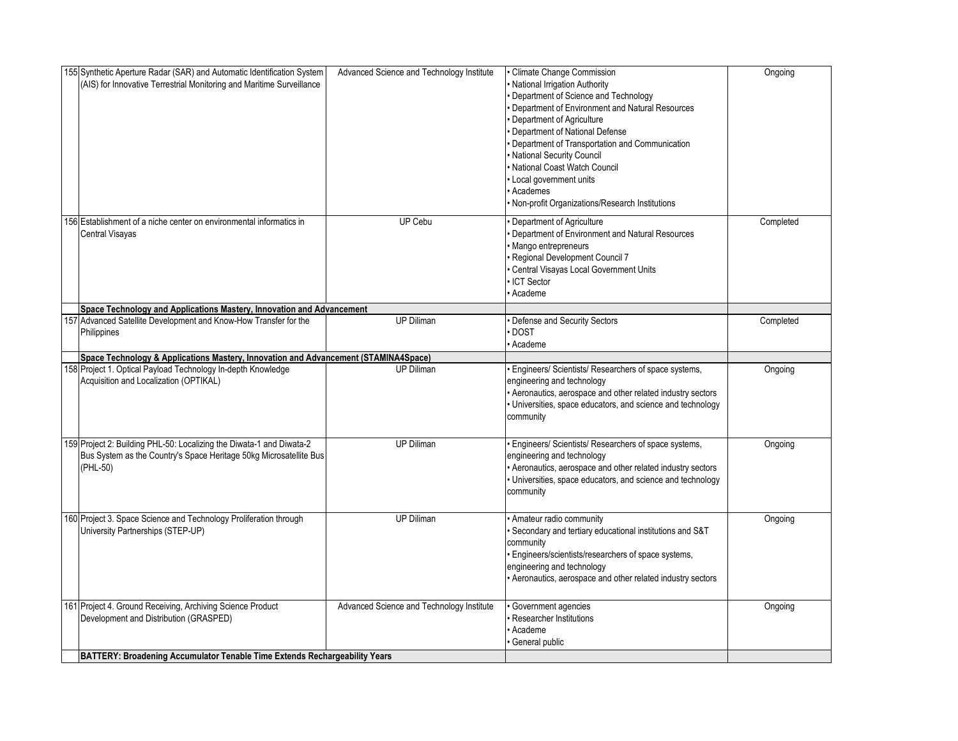| 155 Synthetic Aperture Radar (SAR) and Automatic Identification System<br>(AIS) for Innovative Terrestrial Monitoring and Maritime Surveillance        | Advanced Science and Technology Institute | · Climate Change Commission<br>· National Irrigation Authority<br>Department of Science and Technology<br>Department of Environment and Natural Resources<br>Department of Agriculture<br>Department of National Defense<br>· Department of Transportation and Communication<br>· National Security Council<br>· National Coast Watch Council<br>• Local government units<br>· Academes<br>· Non-profit Organizations/Research Institutions | Ongoing   |
|--------------------------------------------------------------------------------------------------------------------------------------------------------|-------------------------------------------|---------------------------------------------------------------------------------------------------------------------------------------------------------------------------------------------------------------------------------------------------------------------------------------------------------------------------------------------------------------------------------------------------------------------------------------------|-----------|
| 156 Establishment of a niche center on environmental informatics in<br>Central Visayas                                                                 | <b>UP Cebu</b>                            | Department of Agriculture<br>Department of Environment and Natural Resources<br>· Mango entrepreneurs<br>Regional Development Council 7<br>· Central Visayas Local Government Units<br>ICT Sector<br>Academe                                                                                                                                                                                                                                | Completed |
| Space Technology and Applications Mastery, Innovation and Advancement                                                                                  |                                           |                                                                                                                                                                                                                                                                                                                                                                                                                                             |           |
| 157 Advanced Satellite Development and Know-How Transfer for the<br>Philippines                                                                        | <b>UP Diliman</b>                         | Defense and Security Sectors<br><b>DOST</b><br>Academe                                                                                                                                                                                                                                                                                                                                                                                      | Completed |
| Space Technology & Applications Mastery, Innovation and Advancement (STAMINA4Space)                                                                    |                                           |                                                                                                                                                                                                                                                                                                                                                                                                                                             |           |
| 158 Project 1. Optical Payload Technology In-depth Knowledge<br>Acquisition and Localization (OPTIKAL)                                                 | <b>UP Diliman</b>                         | Engineers/ Scientists/ Researchers of space systems,<br>engineering and technology<br>• Aeronautics, aerospace and other related industry sectors<br>· Universities, space educators, and science and technology<br>community                                                                                                                                                                                                               | Ongoing   |
| 159 Project 2: Building PHL-50: Localizing the Diwata-1 and Diwata-2<br>Bus System as the Country's Space Heritage 50kg Microsatellite Bus<br>(PHL-50) | <b>UP Diliman</b>                         | · Engineers/ Scientists/ Researchers of space systems,<br>engineering and technology<br>• Aeronautics, aerospace and other related industry sectors<br>· Universities, space educators, and science and technology<br>community                                                                                                                                                                                                             | Ongoing   |
| 160 Project 3. Space Science and Technology Proliferation through<br>University Partnerships (STEP-UP)                                                 | <b>UP Diliman</b>                         | Amateur radio community<br>· Secondary and tertiary educational institutions and S&T<br>community<br>· Engineers/scientists/researchers of space systems,<br>engineering and technology<br>• Aeronautics, aerospace and other related industry sectors                                                                                                                                                                                      | Ongoing   |
| 161 Project 4. Ground Receiving, Archiving Science Product<br>Development and Distribution (GRASPED)                                                   | Advanced Science and Technology Institute | Government agencies<br>Researcher Institutions<br>Academe<br>General public                                                                                                                                                                                                                                                                                                                                                                 | Ongoing   |
| BATTERY: Broadening Accumulator Tenable Time Extends Rechargeability Years                                                                             |                                           |                                                                                                                                                                                                                                                                                                                                                                                                                                             |           |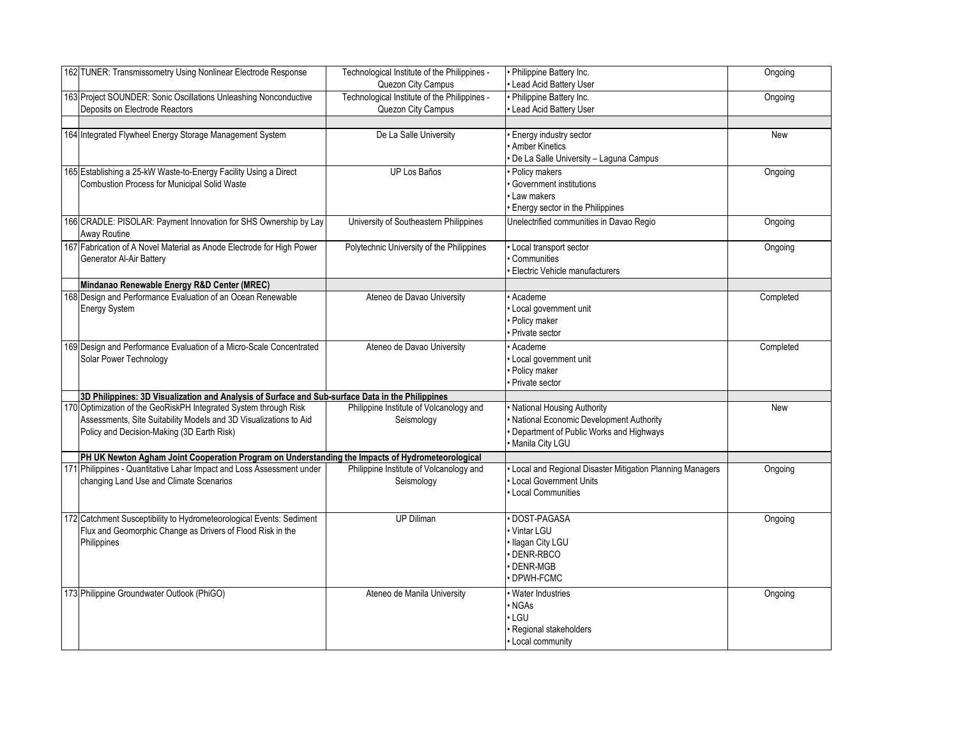| 162 TUNER: Transmissometry Using Nonlinear Electrode Response                                      | Technological Institute of the Philippines -<br>Quezon City Campus | Philippine Battery Inc.<br>Lead Acid Battery User        | Ongoing   |
|----------------------------------------------------------------------------------------------------|--------------------------------------------------------------------|----------------------------------------------------------|-----------|
| 163 Project SOUNDER: Sonic Oscillations Unleashing Nonconductive<br>Deposits on Electrode Reactors | Technological Institute of the Philippines -<br>Quezon City Campus | Philippine Battery Inc.<br>Lead Acid Battery User        | Ongoing   |
|                                                                                                    |                                                                    |                                                          |           |
|                                                                                                    |                                                                    |                                                          |           |
| 164 Integrated Flywheel Energy Storage Management System                                           | De La Salle University                                             | Energy industry sector                                   | New       |
|                                                                                                    |                                                                    | <b>Amber Kinetics</b>                                    |           |
|                                                                                                    |                                                                    | De La Salle University - Laguna Campus                   |           |
| 165 Establishing a 25-kW Waste-to-Energy Facility Using a Direct                                   | <b>UP Los Baños</b>                                                | Policy makers                                            | Ongoing   |
| Combustion Process for Municipal Solid Waste                                                       |                                                                    | Government institutions                                  |           |
|                                                                                                    |                                                                    | Law makers                                               |           |
|                                                                                                    |                                                                    | · Energy sector in the Philippines                       |           |
|                                                                                                    |                                                                    |                                                          |           |
| 166 CRADLE: PISOLAR: Payment Innovation for SHS Ownership by Lay                                   | University of Southeastern Philippines                             | Unelectrified communities in Davao Regio                 | Ongoing   |
| Away Routine                                                                                       |                                                                    |                                                          |           |
| 167 Fabrication of A Novel Material as Anode Electrode for High Power                              | Polytechnic University of the Philippines                          | • Local transport sector                                 | Ongoing   |
| Generator Al-Air Battery                                                                           |                                                                    | Communities                                              |           |
|                                                                                                    |                                                                    | Electric Vehicle manufacturers                           |           |
| Mindanao Renewable Energy R&D Center (MREC)                                                        |                                                                    |                                                          |           |
| 168 Design and Performance Evaluation of an Ocean Renewable                                        | Ateneo de Davao University                                         | Academe                                                  | Completed |
|                                                                                                    |                                                                    |                                                          |           |
| <b>Energy System</b>                                                                               |                                                                    | Local government unit                                    |           |
|                                                                                                    |                                                                    | Policy maker                                             |           |
|                                                                                                    |                                                                    | Private sector                                           |           |
| 169 Design and Performance Evaluation of a Micro-Scale Concentrated                                | Ateneo de Davao University                                         | Academe                                                  | Completed |
| Solar Power Technology                                                                             |                                                                    | Local government unit                                    |           |
|                                                                                                    |                                                                    | Policy maker                                             |           |
|                                                                                                    |                                                                    | Private sector                                           |           |
| 3D Philippines: 3D Visualization and Analysis of Surface and Sub-surface Data in the Philippines   |                                                                    |                                                          |           |
| 170 Optimization of the GeoRiskPH Integrated System through Risk                                   | Philippine Institute of Volcanology and                            | <b>National Housing Authority</b>                        | New       |
| Assessments, Site Suitability Models and 3D Visualizations to Aid                                  | Seismology                                                         | <b>National Economic Development Authority</b>           |           |
|                                                                                                    |                                                                    |                                                          |           |
| Policy and Decision-Making (3D Earth Risk)                                                         |                                                                    | Department of Public Works and Highways                  |           |
|                                                                                                    |                                                                    | Manila City LGU                                          |           |
| PH UK Newton Agham Joint Cooperation Program on Understanding the Impacts of Hydrometeorological   |                                                                    |                                                          |           |
| 171 Philippines - Quantitative Lahar Impact and Loss Assessment under                              | Philippine Institute of Volcanology and                            | Local and Regional Disaster Mitigation Planning Managers | Ongoing   |
| changing Land Use and Climate Scenarios                                                            | Seismology                                                         | Local Government Units                                   |           |
|                                                                                                    |                                                                    | • Local Communities                                      |           |
|                                                                                                    |                                                                    |                                                          |           |
| 172 Catchment Susceptibility to Hydrometeorological Events: Sediment                               | <b>UP Diliman</b>                                                  | · DOST-PAGASA                                            | Ongoing   |
| Flux and Geomorphic Change as Drivers of Flood Risk in the                                         |                                                                    | Vintar LGU                                               |           |
| Philippines                                                                                        |                                                                    | Ilagan City LGU                                          |           |
|                                                                                                    |                                                                    |                                                          |           |
|                                                                                                    |                                                                    | DENR-RBCO                                                |           |
|                                                                                                    |                                                                    | DENR-MGB                                                 |           |
|                                                                                                    |                                                                    | DPWH-FCMC                                                |           |
| 173 Philippine Groundwater Outlook (PhiGO)                                                         | Ateneo de Manila University                                        | · Water Industries                                       | Ongoing   |
|                                                                                                    |                                                                    | • NGAs                                                   |           |
|                                                                                                    |                                                                    | · LGU                                                    |           |
|                                                                                                    |                                                                    | · Regional stakeholders                                  |           |
|                                                                                                    |                                                                    | • Local community                                        |           |
|                                                                                                    |                                                                    |                                                          |           |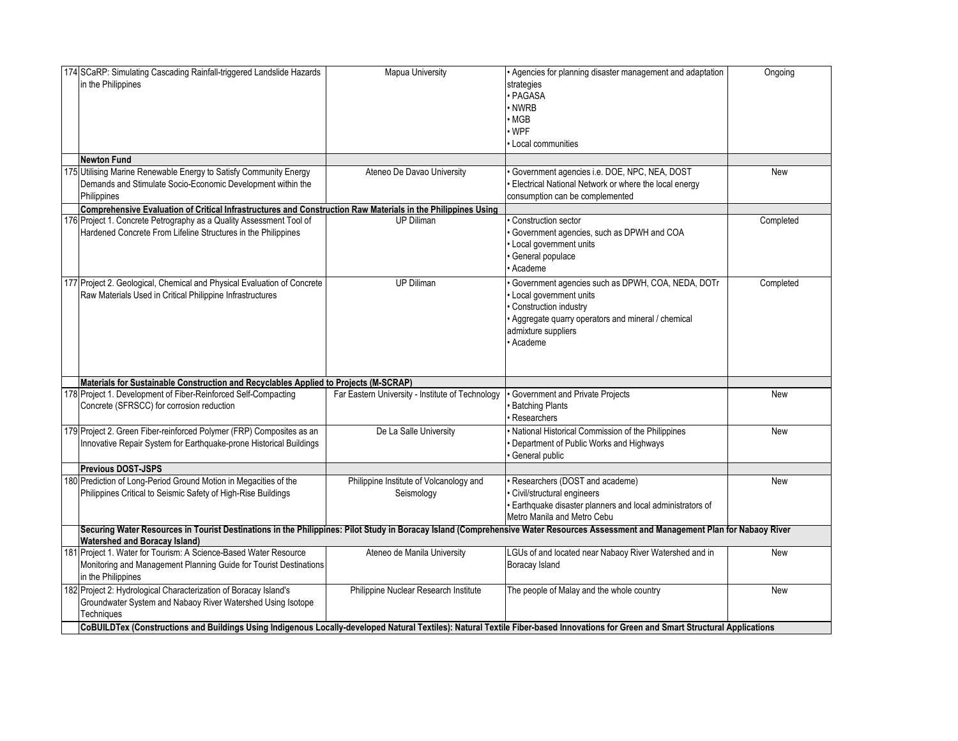| 174 SCaRP: Simulating Cascading Rainfall-triggered Landslide Hazards<br>in the Philippines                                                                                                                                | Mapua University                                      | • Agencies for planning disaster management and adaptation<br>strategies<br>PAGASA<br>NWRB<br><b>MGB</b><br>· WPF<br>Local communities                                                        | Ongoing   |
|---------------------------------------------------------------------------------------------------------------------------------------------------------------------------------------------------------------------------|-------------------------------------------------------|-----------------------------------------------------------------------------------------------------------------------------------------------------------------------------------------------|-----------|
| <b>Newton Fund</b>                                                                                                                                                                                                        |                                                       |                                                                                                                                                                                               |           |
| 175 Utilising Marine Renewable Energy to Satisfy Community Energy<br>Demands and Stimulate Socio-Economic Development within the<br>Philippines                                                                           | Ateneo De Davao University                            | Government agencies i.e. DOE, NPC, NEA, DOST<br>Electrical National Network or where the local energy<br>consumption can be complemented                                                      | New       |
| Comprehensive Evaluation of Critical Infrastructures and Construction Raw Materials in the Philippines Using                                                                                                              |                                                       |                                                                                                                                                                                               |           |
| 176 Project 1. Concrete Petrography as a Quality Assessment Tool of<br>Hardened Concrete From Lifeline Structures in the Philippines                                                                                      | UP Diliman                                            | Construction sector<br>Government agencies, such as DPWH and COA<br>Local government units<br>General populace<br>Academe                                                                     | Completed |
| 177 Project 2. Geological, Chemical and Physical Evaluation of Concrete<br>Raw Materials Used in Critical Philippine Infrastructures                                                                                      | <b>UP Diliman</b>                                     | Government agencies such as DPWH, COA, NEDA, DOTr<br>Local government units<br>Construction industry<br>· Aggregate quarry operators and mineral / chemical<br>admixture suppliers<br>Academe | Completed |
| Materials for Sustainable Construction and Recyclables Applied to Projects (M-SCRAP)                                                                                                                                      |                                                       |                                                                                                                                                                                               |           |
| 178 Project 1. Development of Fiber-Reinforced Self-Compacting<br>Concrete (SFRSCC) for corrosion reduction                                                                                                               | Far Eastern University - Institute of Technology      | Government and Private Projects<br><b>Batching Plants</b><br>Researchers                                                                                                                      | New       |
| 179 Project 2. Green Fiber-reinforced Polymer (FRP) Composites as an<br>nnovative Repair System for Earthquake-prone Historical Buildings                                                                                 | De La Salle University                                | National Historical Commission of the Philippines<br>Department of Public Works and Highways<br>General public                                                                                | New       |
| <b>Previous DOST-JSPS</b>                                                                                                                                                                                                 |                                                       |                                                                                                                                                                                               |           |
| 180 Prediction of Long-Period Ground Motion in Megacities of the<br>Philippines Critical to Seismic Safety of High-Rise Buildings                                                                                         | Philippine Institute of Volcanology and<br>Seismology | Researchers (DOST and academe)<br>Civil/structural engineers<br>Earthquake disaster planners and local administrators of<br>Metro Manila and Metro Cebu                                       | New       |
| Securing Water Resources in Tourist Destinations in the Philippines: Pilot Study in Boracay Island (Comprehensive Water Resources Assessment and Management Plan for Nabaoy River<br><b>Watershed and Boracay Island)</b> |                                                       |                                                                                                                                                                                               |           |
| 181 Project 1. Water for Tourism: A Science-Based Water Resource<br>Monitoring and Management Planning Guide for Tourist Destinations<br>in the Philippines                                                               | Ateneo de Manila University                           | LGUs of and located near Nabaoy River Watershed and in<br>Boracay Island                                                                                                                      | New       |
| 182 Project 2: Hydrological Characterization of Boracay Island's<br>Groundwater System and Nabaoy River Watershed Using Isotope<br>Techniques                                                                             | Philippine Nuclear Research Institute                 | The people of Malay and the whole country                                                                                                                                                     | New       |
| CoBUILDTex (Constructions and Buildings Using Indigenous Locally-developed Natural Textiles): Natural Textile Fiber-based Innovations for Green and Smart Structural Applications                                         |                                                       |                                                                                                                                                                                               |           |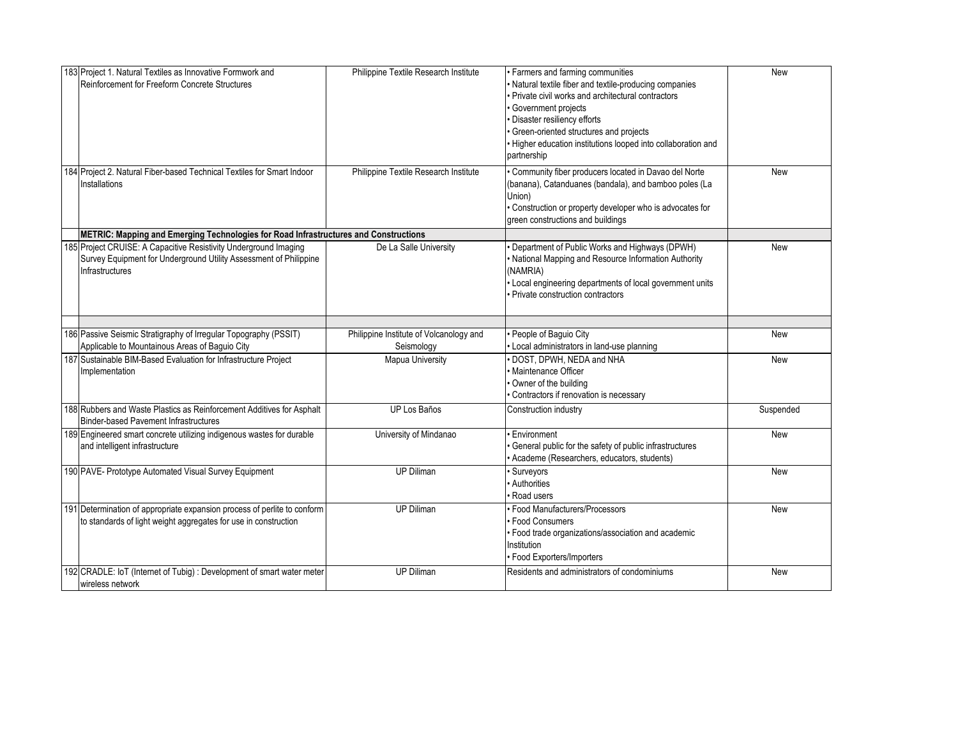| 183 Project 1. Natural Textiles as Innovative Formwork and<br>Reinforcement for Freeform Concrete Structures                                             | Philippine Textile Research Institute                 | · Farmers and farming communities<br>Natural textile fiber and textile-producing companies<br>• Private civil works and architectural contractors<br>· Government projects<br>Disaster resiliency efforts<br>· Green-oriented structures and projects<br>· Higher education institutions looped into collaboration and<br>partnership | <b>New</b> |
|----------------------------------------------------------------------------------------------------------------------------------------------------------|-------------------------------------------------------|---------------------------------------------------------------------------------------------------------------------------------------------------------------------------------------------------------------------------------------------------------------------------------------------------------------------------------------|------------|
| 184 Project 2. Natural Fiber-based Technical Textiles for Smart Indoor<br>Installations                                                                  | Philippine Textile Research Institute                 | Community fiber producers located in Davao del Norte<br>(banana), Catanduanes (bandala), and bamboo poles (La<br>Union)<br>· Construction or property developer who is advocates for<br>green constructions and buildings                                                                                                             | <b>New</b> |
| METRIC: Mapping and Emerging Technologies for Road Infrastructures and Constructions                                                                     |                                                       |                                                                                                                                                                                                                                                                                                                                       |            |
| 185 Project CRUISE: A Capacitive Resistivity Underground Imaging<br>Survey Equipment for Underground Utility Assessment of Philippine<br>Infrastructures | De La Salle University                                | Department of Public Works and Highways (DPWH)<br>• National Mapping and Resource Information Authority<br>(NAMRIA)<br>• Local engineering departments of local government units<br>Private construction contractors                                                                                                                  | <b>New</b> |
|                                                                                                                                                          |                                                       |                                                                                                                                                                                                                                                                                                                                       |            |
| 186 Passive Seismic Stratigraphy of Irregular Topography (PSSIT)<br>Applicable to Mountainous Areas of Baguio City                                       | Philippine Institute of Volcanology and<br>Seismology | People of Baguio City<br>· Local administrators in land-use planning                                                                                                                                                                                                                                                                  | New        |
| 187 Sustainable BIM-Based Evaluation for Infrastructure Project<br>Implementation                                                                        | Mapua University                                      | · DOST, DPWH, NEDA and NHA<br>· Maintenance Officer<br>Owner of the building<br>Contractors if renovation is necessary                                                                                                                                                                                                                | <b>New</b> |
| 188 Rubbers and Waste Plastics as Reinforcement Additives for Asphalt<br><b>Binder-based Pavement Infrastructures</b>                                    | UP Los Baños                                          | Construction industry                                                                                                                                                                                                                                                                                                                 | Suspended  |
| 189 Engineered smart concrete utilizing indigenous wastes for durable<br>and intelligent infrastructure                                                  | University of Mindanao                                | Environment<br>General public for the safety of public infrastructures<br>Academe (Researchers, educators, students)                                                                                                                                                                                                                  | <b>New</b> |
| 190 PAVE- Prototype Automated Visual Survey Equipment                                                                                                    | <b>UP Diliman</b>                                     | · Surveyors<br>Authorities<br>Road users                                                                                                                                                                                                                                                                                              | <b>New</b> |
| 191 Determination of appropriate expansion process of perlite to conform<br>to standards of light weight aggregates for use in construction              | UP Diliman                                            | · Food Manufacturers/Processors<br>· Food Consumers<br>· Food trade organizations/association and academic<br>Institution<br>· Food Exporters/Importers                                                                                                                                                                               | New        |
| 192 CRADLE: IoT (Internet of Tubig) : Development of smart water meter<br>wireless network                                                               | <b>UP Diliman</b>                                     | Residents and administrators of condominiums                                                                                                                                                                                                                                                                                          | <b>New</b> |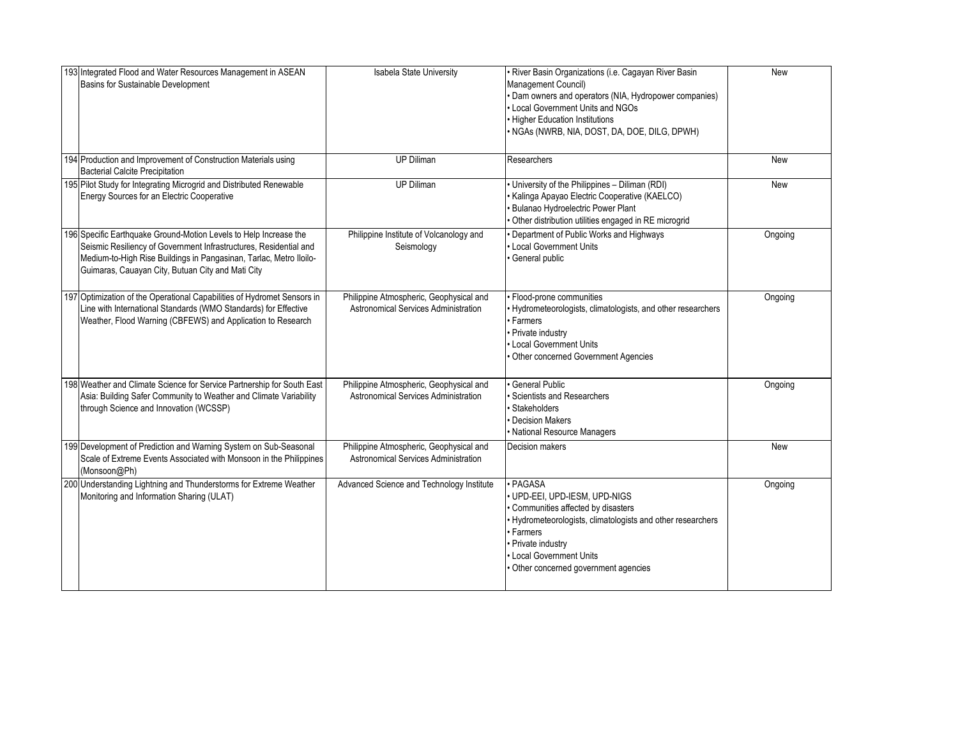| 193 Integrated Flood and Water Resources Management in ASEAN<br>Basins for Sustainable Development                                                                                                                                                                | Isabela State University                                                        | · River Basin Organizations (i.e. Cagayan River Basin<br>Management Council)<br>· Dam owners and operators (NIA, Hydropower companies)<br>• Local Government Units and NGOs<br>• Higher Education Institutions<br>· NGAs (NWRB, NIA, DOST, DA, DOE, DILG, DPWH) | <b>New</b> |
|-------------------------------------------------------------------------------------------------------------------------------------------------------------------------------------------------------------------------------------------------------------------|---------------------------------------------------------------------------------|-----------------------------------------------------------------------------------------------------------------------------------------------------------------------------------------------------------------------------------------------------------------|------------|
| 194 Production and Improvement of Construction Materials using<br><b>Bacterial Calcite Precipitation</b>                                                                                                                                                          | <b>UP Diliman</b>                                                               | Researchers                                                                                                                                                                                                                                                     | <b>New</b> |
| 195 Pilot Study for Integrating Microgrid and Distributed Renewable<br>Energy Sources for an Electric Cooperative                                                                                                                                                 | <b>UP Diliman</b>                                                               | • University of the Philippines - Diliman (RDI)<br>· Kalinga Apayao Electric Cooperative (KAELCO)<br>· Bulanao Hydroelectric Power Plant<br>Other distribution utilities engaged in RE microgrid                                                                | <b>New</b> |
| 196 Specific Earthquake Ground-Motion Levels to Help Increase the<br>Seismic Resiliency of Government Infrastructures, Residential and<br>Medium-to-High Rise Buildings in Pangasinan, Tarlac, Metro Iloilo-<br>Guimaras, Cauayan City, Butuan City and Mati City | Philippine Institute of Volcanology and<br>Seismology                           | Department of Public Works and Highways<br>• Local Government Units<br>· General public                                                                                                                                                                         | Ongoing    |
| 197 Optimization of the Operational Capabilities of Hydromet Sensors in<br>Line with International Standards (WMO Standards) for Effective<br>Weather, Flood Warning (CBFEWS) and Application to Research                                                         | Philippine Atmospheric, Geophysical and<br>Astronomical Services Administration | · Flood-prone communities<br>· Hydrometeorologists, climatologists, and other researchers<br>· Farmers<br>• Private industry<br>• Local Government Units<br>• Other concerned Government Agencies                                                               | Ongoing    |
| 198 Weather and Climate Science for Service Partnership for South East<br>Asia: Building Safer Community to Weather and Climate Variability<br>through Science and Innovation (WCSSP)                                                                             | Philippine Atmospheric, Geophysical and<br>Astronomical Services Administration | General Public<br><b>Scientists and Researchers</b><br>Stakeholders<br>• Decision Makers<br>• National Resource Managers                                                                                                                                        | Ongoing    |
| 199 Development of Prediction and Warning System on Sub-Seasonal<br>Scale of Extreme Events Associated with Monsoon in the Philippines<br>(Monsoon@Ph)                                                                                                            | Philippine Atmospheric, Geophysical and<br>Astronomical Services Administration | Decision makers                                                                                                                                                                                                                                                 | <b>New</b> |
| 200 Understanding Lightning and Thunderstorms for Extreme Weather<br>Monitoring and Information Sharing (ULAT)                                                                                                                                                    | Advanced Science and Technology Institute                                       | · PAGASA<br>· UPD-EEI, UPD-IESM, UPD-NIGS<br>• Communities affected by disasters<br>• Hydrometeorologists, climatologists and other researchers<br>• Farmers<br>• Private industry<br>• Local Government Units<br>· Other concerned government agencies         | Ongoing    |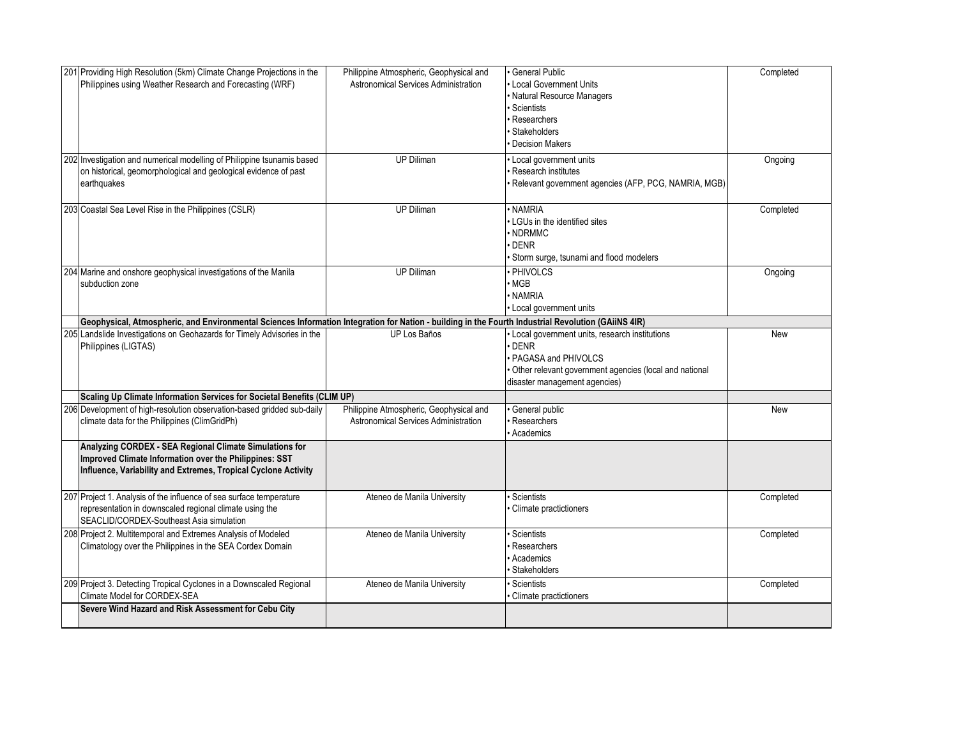| 201 Providing High Resolution (5km) Climate Change Projections in the<br>Philippines using Weather Research and Forecasting (WRF)                                                   | Philippine Atmospheric, Geophysical and<br>Astronomical Services Administration | General Public<br>Local Government Units<br>Natural Resource Managers<br>Scientists<br>Researchers<br>Stakeholders<br><b>Decision Makers</b>                                          | Completed |
|-------------------------------------------------------------------------------------------------------------------------------------------------------------------------------------|---------------------------------------------------------------------------------|---------------------------------------------------------------------------------------------------------------------------------------------------------------------------------------|-----------|
| 202 Investigation and numerical modelling of Philippine tsunamis based<br>on historical, geomorphological and geological evidence of past<br>earthquakes                            | <b>UP Diliman</b>                                                               | Local government units<br><b>Research institutes</b><br>Relevant government agencies (AFP, PCG, NAMRIA, MGB)                                                                          | Ongoing   |
| 203 Coastal Sea Level Rise in the Philippines (CSLR)                                                                                                                                | <b>UP Diliman</b>                                                               | · NAMRIA<br>LGUs in the identified sites<br>NDRMMC<br><b>DENR</b><br>Storm surge, tsunami and flood modelers                                                                          | Completed |
| 204 Marine and onshore geophysical investigations of the Manila<br>subduction zone                                                                                                  | <b>UP Diliman</b>                                                               | PHIVOLCS<br>MGB<br>· NAMRIA<br>Local government units                                                                                                                                 | Ongoing   |
| Geophysical, Atmospheric, and Environmental Sciences Information Integration for Nation - building in the Fourth Industrial Revolution (GAiiNS 4IR)                                 |                                                                                 |                                                                                                                                                                                       |           |
| 205 Landslide Investigations on Geohazards for Timely Advisories in the<br>Philippines (LIGTAS)                                                                                     | <b>UP Los Baños</b>                                                             | Local government units, research institutions<br><b>DENR</b><br><b>PAGASA and PHIVOLCS</b><br>Other relevant government agencies (local and national<br>disaster management agencies) | New       |
| Scaling Up Climate Information Services for Societal Benefits (CLIM UP)                                                                                                             |                                                                                 |                                                                                                                                                                                       |           |
| 206 Development of high-resolution observation-based gridded sub-daily<br>climate data for the Philippines (ClimGridPh)                                                             | Philippine Atmospheric, Geophysical and<br>Astronomical Services Administration | General public<br>Researchers<br>Academics                                                                                                                                            | New       |
| Analyzing CORDEX - SEA Regional Climate Simulations for<br>Improved Climate Information over the Philippines: SST<br>Influence, Variability and Extremes, Tropical Cyclone Activity |                                                                                 |                                                                                                                                                                                       |           |
| 207 Project 1. Analysis of the influence of sea surface temperature<br>representation in downscaled regional climate using the<br>SEACLID/CORDEX-Southeast Asia simulation          | Ateneo de Manila University                                                     | Scientists<br>Climate practictioners                                                                                                                                                  | Completed |
| 208 Project 2. Multitemporal and Extremes Analysis of Modeled<br>Climatology over the Philippines in the SEA Cordex Domain                                                          | Ateneo de Manila University                                                     | <b>Scientists</b><br>Researchers<br>Academics<br><b>Stakeholders</b>                                                                                                                  | Completed |
| 209 Project 3. Detecting Tropical Cyclones in a Downscaled Regional<br>Climate Model for CORDEX-SEA                                                                                 | Ateneo de Manila University                                                     | Scientists <sup>,</sup><br>Climate practictioners                                                                                                                                     | Completed |
| Severe Wind Hazard and Risk Assessment for Cebu City                                                                                                                                |                                                                                 |                                                                                                                                                                                       |           |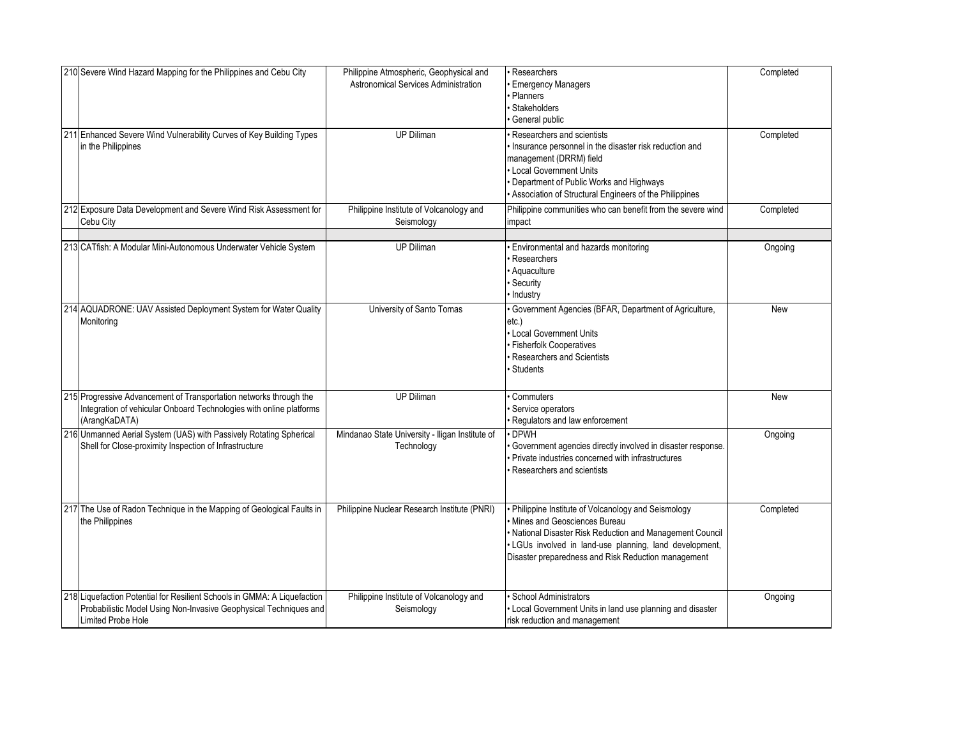| 210 Severe Wind Hazard Mapping for the Philippines and Cebu City                                                                                                           | Philippine Atmospheric, Geophysical and<br>Astronomical Services Administration | Researchers<br><b>Emergency Managers</b><br>Planners<br>Stakeholders<br>General public                                                                                                                                                                            | Completed  |
|----------------------------------------------------------------------------------------------------------------------------------------------------------------------------|---------------------------------------------------------------------------------|-------------------------------------------------------------------------------------------------------------------------------------------------------------------------------------------------------------------------------------------------------------------|------------|
| 211 Enhanced Severe Wind Vulnerability Curves of Key Building Types<br>in the Philippines                                                                                  | <b>UP Diliman</b>                                                               | Researchers and scientists<br>Insurance personnel in the disaster risk reduction and<br>management (DRRM) field<br>Local Government Units<br>Department of Public Works and Highways<br>Association of Structural Engineers of the Philippines                    | Completed  |
| 212 Exposure Data Development and Severe Wind Risk Assessment for<br>Cebu City                                                                                             | Philippine Institute of Volcanology and<br>Seismology                           | Philippine communities who can benefit from the severe wind<br>impact                                                                                                                                                                                             | Completed  |
| 213 CATfish: A Modular Mini-Autonomous Underwater Vehicle System                                                                                                           | <b>UP Diliman</b>                                                               | Environmental and hazards monitoring<br>Researchers<br>Aquaculture<br>Security<br>· Industry                                                                                                                                                                      | Ongoing    |
| 214 AQUADRONE: UAV Assisted Deployment System for Water Quality<br>Monitorina                                                                                              | University of Santo Tomas                                                       | Government Agencies (BFAR, Department of Agriculture,<br>etc.)<br>Local Government Units<br><b>Fisherfolk Cooperatives</b><br>Researchers and Scientists<br><b>Students</b>                                                                                       | <b>New</b> |
| 215 Progressive Advancement of Transportation networks through the<br>Integration of vehicular Onboard Technologies with online platforms<br>(ArangKaDATA)                 | <b>UP Diliman</b>                                                               | Commuters<br>Service operators<br>Regulators and law enforcement                                                                                                                                                                                                  | <b>New</b> |
| 216 Unmanned Aerial System (UAS) with Passively Rotating Spherical<br>Shell for Close-proximity Inspection of Infrastructure                                               | Mindanao State University - Iligan Institute of<br>Technology                   | DPWH<br>Government agencies directly involved in disaster response.<br>Private industries concerned with infrastructures<br>Researchers and scientists                                                                                                            | Ongoing    |
| 217 The Use of Radon Technique in the Mapping of Geological Faults in<br>the Philippines                                                                                   | Philippine Nuclear Research Institute (PNRI)                                    | Philippine Institute of Volcanology and Seismology<br>Mines and Geosciences Bureau<br>· National Disaster Risk Reduction and Management Council<br>· LGUs involved in land-use planning, land development,<br>Disaster preparedness and Risk Reduction management | Completed  |
| 218 Liquefaction Potential for Resilient Schools in GMMA: A Liquefaction<br>Probabilistic Model Using Non-Invasive Geophysical Techniques and<br><b>Limited Probe Hole</b> | Philippine Institute of Volcanology and<br>Seismology                           | <b>School Administrators</b><br>Local Government Units in land use planning and disaster<br>risk reduction and management                                                                                                                                         | Ongoing    |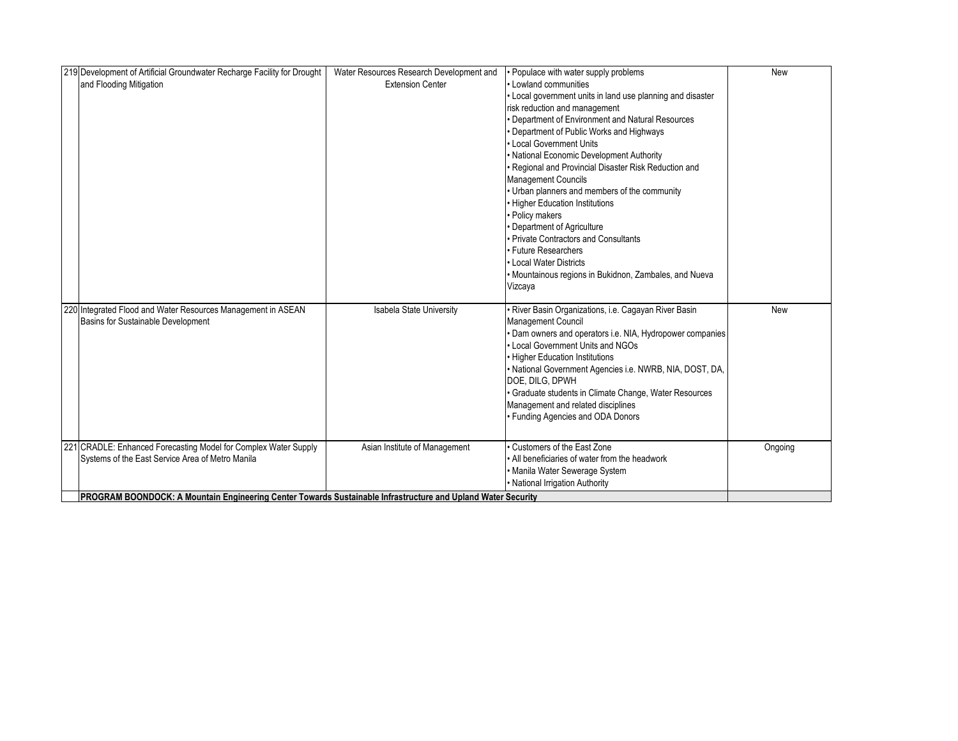| 219 Development of Artificial Groundwater Recharge Facility for Drought                                              | Water Resources Research Development and | • Populace with water supply problems                      | New        |
|----------------------------------------------------------------------------------------------------------------------|------------------------------------------|------------------------------------------------------------|------------|
| and Flooding Mitigation                                                                                              | <b>Extension Center</b>                  | • Lowland communities                                      |            |
|                                                                                                                      |                                          | • Local government units in land use planning and disaster |            |
|                                                                                                                      |                                          | risk reduction and management                              |            |
|                                                                                                                      |                                          | • Department of Environment and Natural Resources          |            |
|                                                                                                                      |                                          | Department of Public Works and Highways                    |            |
|                                                                                                                      |                                          | • Local Government Units                                   |            |
|                                                                                                                      |                                          | · National Economic Development Authority                  |            |
|                                                                                                                      |                                          | · Regional and Provincial Disaster Risk Reduction and      |            |
|                                                                                                                      |                                          | <b>Management Councils</b>                                 |            |
|                                                                                                                      |                                          | • Urban planners and members of the community              |            |
|                                                                                                                      |                                          | • Higher Education Institutions                            |            |
|                                                                                                                      |                                          | • Policy makers                                            |            |
|                                                                                                                      |                                          | • Department of Agriculture                                |            |
|                                                                                                                      |                                          | • Private Contractors and Consultants                      |            |
|                                                                                                                      |                                          | • Future Researchers                                       |            |
|                                                                                                                      |                                          | • Local Water Districts                                    |            |
|                                                                                                                      |                                          | • Mountainous regions in Bukidnon, Zambales, and Nueva     |            |
|                                                                                                                      |                                          | Vizcaya                                                    |            |
|                                                                                                                      |                                          |                                                            |            |
| 220 Integrated Flood and Water Resources Management in ASEAN                                                         | Isabela State University                 | · River Basin Organizations, i.e. Cagayan River Basin      | <b>New</b> |
| Basins for Sustainable Development                                                                                   |                                          | Management Council                                         |            |
|                                                                                                                      |                                          | • Dam owners and operators i.e. NIA, Hydropower companies  |            |
|                                                                                                                      |                                          | • Local Government Units and NGOs                          |            |
|                                                                                                                      |                                          | • Higher Education Institutions                            |            |
|                                                                                                                      |                                          | • National Government Agencies i.e. NWRB, NIA, DOST, DA,   |            |
|                                                                                                                      |                                          | DOE, DILG, DPWH                                            |            |
|                                                                                                                      |                                          | • Graduate students in Climate Change, Water Resources     |            |
|                                                                                                                      |                                          | Management and related disciplines                         |            |
|                                                                                                                      |                                          | • Funding Agencies and ODA Donors                          |            |
|                                                                                                                      |                                          |                                                            |            |
| 221 CRADLE: Enhanced Forecasting Model for Complex Water Supply                                                      | Asian Institute of Management            | Customers of the East Zone                                 | Ongoing    |
| Systems of the East Service Area of Metro Manila                                                                     |                                          | • All beneficiaries of water from the headwork             |            |
|                                                                                                                      |                                          | • Manila Water Sewerage System                             |            |
|                                                                                                                      |                                          | • National Irrigation Authority                            |            |
| <b>IPROGRAM BOONDOCK: A Mountain Engineering Center Towards Sustainable Infrastructure and Upland Water Security</b> |                                          |                                                            |            |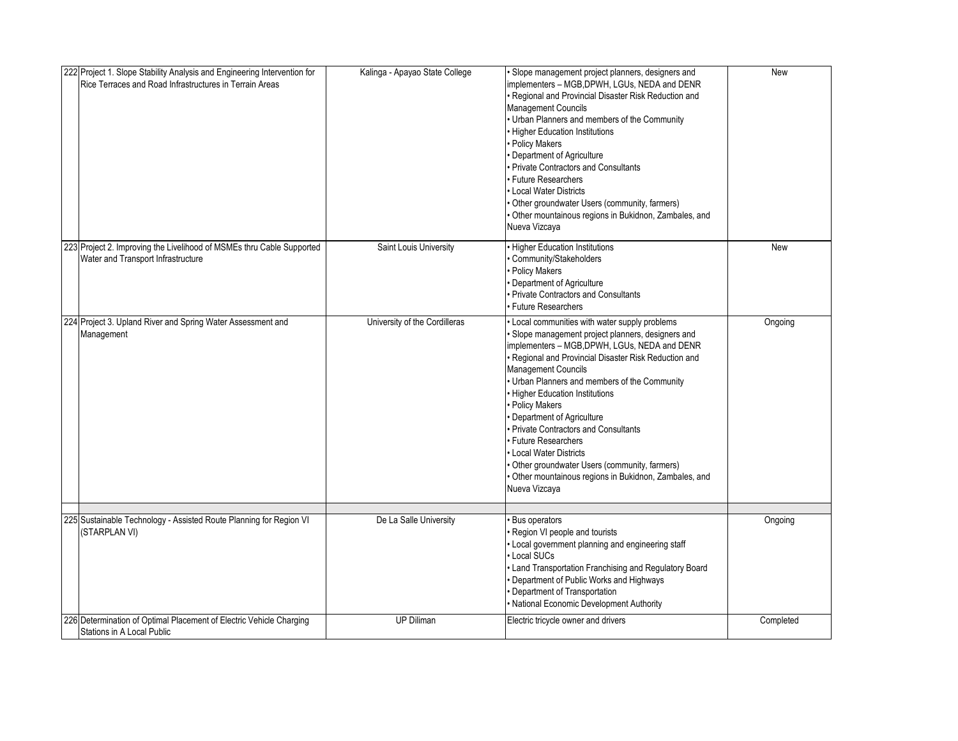| 222 Project 1. Slope Stability Analysis and Engineering Intervention for<br>Rice Terraces and Road Infrastructures in Terrain Areas | Kalinga - Apayao State College | · Slope management project planners, designers and<br>implementers - MGB, DPWH, LGUs, NEDA and DENR<br>Regional and Provincial Disaster Risk Reduction and<br>Management Councils<br>• Urban Planners and members of the Community<br><b>Higher Education Institutions</b><br><b>Policy Makers</b><br>Department of Agriculture<br>Private Contractors and Consultants<br><b>Future Researchers</b><br>Local Water Districts<br>· Other groundwater Users (community, farmers)<br>· Other mountainous regions in Bukidnon, Zambales, and<br>Nueva Vizcaya                                     | <b>New</b> |
|-------------------------------------------------------------------------------------------------------------------------------------|--------------------------------|-----------------------------------------------------------------------------------------------------------------------------------------------------------------------------------------------------------------------------------------------------------------------------------------------------------------------------------------------------------------------------------------------------------------------------------------------------------------------------------------------------------------------------------------------------------------------------------------------|------------|
| 223 Project 2. Improving the Livelihood of MSMEs thru Cable Supported<br>Water and Transport Infrastructure                         | Saint Louis University         | <b>Higher Education Institutions</b><br>Community/Stakeholders<br><b>Policy Makers</b><br>Department of Agriculture<br>Private Contractors and Consultants<br><b>Future Researchers</b>                                                                                                                                                                                                                                                                                                                                                                                                       | <b>New</b> |
| 224 Project 3. Upland River and Spring Water Assessment and<br>Management                                                           | University of the Cordilleras  | · Local communities with water supply problems<br>· Slope management project planners, designers and<br>implementers - MGB, DPWH, LGUs, NEDA and DENR<br>· Regional and Provincial Disaster Risk Reduction and<br>Management Councils<br>Urban Planners and members of the Community<br>• Higher Education Institutions<br>· Policy Makers<br>Department of Agriculture<br>Private Contractors and Consultants<br><b>Future Researchers</b><br>Local Water Districts<br>Other groundwater Users (community, farmers)<br>Other mountainous regions in Bukidnon, Zambales, and<br>Nueva Vizcaya | Ongoing    |
| 225 Sustainable Technology - Assisted Route Planning for Region VI<br>(STARPLAN VI)                                                 | De La Salle University         | <b>Bus operators</b><br>Region VI people and tourists<br>· Local government planning and engineering staff<br>Local SUCs<br>Land Transportation Franchising and Regulatory Board<br>Department of Public Works and Highways<br>Department of Transportation<br>· National Economic Development Authority                                                                                                                                                                                                                                                                                      | Ongoing    |
| 226 Determination of Optimal Placement of Electric Vehicle Charging<br>Stations in A Local Public                                   | UP Diliman                     | Electric tricycle owner and drivers                                                                                                                                                                                                                                                                                                                                                                                                                                                                                                                                                           | Completed  |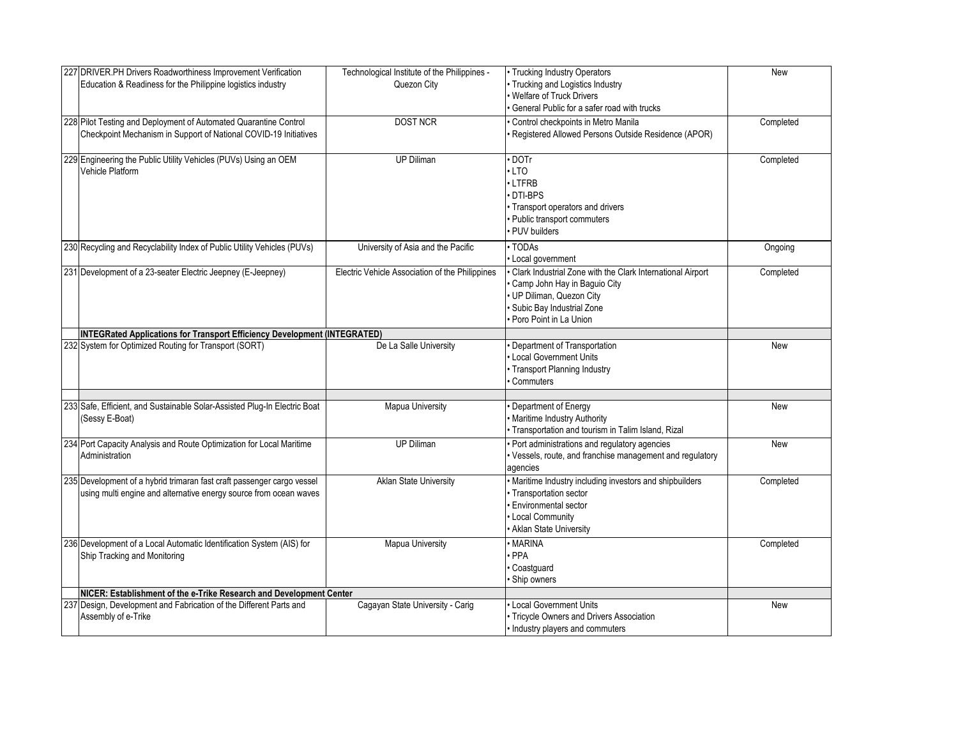| 227 DRIVER.PH Drivers Roadworthiness Improvement Verification<br>Education & Readiness for the Philippine logistics industry                | Technological Institute of the Philippines -<br>Quezon City | • Trucking Industry Operators<br>Trucking and Logistics Industry<br><b>Welfare of Truck Drivers</b><br>General Public for a safer road with trucks                           | <b>New</b> |
|---------------------------------------------------------------------------------------------------------------------------------------------|-------------------------------------------------------------|------------------------------------------------------------------------------------------------------------------------------------------------------------------------------|------------|
| 228 Pilot Testing and Deployment of Automated Quarantine Control<br>Checkpoint Mechanism in Support of National COVID-19 Initiatives        | <b>DOST NCR</b>                                             | Control checkpoints in Metro Manila<br>Registered Allowed Persons Outside Residence (APOR)                                                                                   | Completed  |
| 229 Engineering the Public Utility Vehicles (PUVs) Using an OEM<br>Vehicle Platform                                                         | UP Diliman                                                  | DOTr<br>LTO<br>LTFRB<br>DTI-BPS<br>• Transport operators and drivers<br>· Public transport commuters<br>PUV builders                                                         | Completed  |
| 230 Recycling and Recyclability Index of Public Utility Vehicles (PUVs)                                                                     | University of Asia and the Pacific                          | $\overline{\cdot}$ TODAs<br>Local government                                                                                                                                 | Ongoing    |
| 231 Development of a 23-seater Electric Jeepney (E-Jeepney)                                                                                 | Electric Vehicle Association of the Philippines             | Clark Industrial Zone with the Clark International Airport<br>Camp John Hay in Baguio City<br>UP Diliman, Quezon City<br>Subic Bay Industrial Zone<br>Poro Point in La Union | Completed  |
| INTEGRated Applications for Transport Efficiency Development (INTEGRATED)                                                                   |                                                             |                                                                                                                                                                              |            |
| 232 System for Optimized Routing for Transport (SORT)                                                                                       | De La Salle University                                      | Department of Transportation<br>Local Government Units<br>· Transport Planning Industry<br>Commuters                                                                         | <b>New</b> |
| 233 Safe, Efficient, and Sustainable Solar-Assisted Plug-In Electric Boat<br>(Sessy E-Boat)                                                 | Mapua University                                            | Department of Energy<br>· Maritime Industry Authority<br>Transportation and tourism in Talim Island, Rizal                                                                   | <b>New</b> |
| 234 Port Capacity Analysis and Route Optimization for Local Maritime<br>Administration                                                      | <b>UP Diliman</b>                                           | · Port administrations and regulatory agencies<br>· Vessels, route, and franchise management and regulatory<br>agencies                                                      | <b>New</b> |
| 235 Development of a hybrid trimaran fast craft passenger cargo vessel<br>using multi engine and alternative energy source from ocean waves | <b>Aklan State University</b>                               | · Maritime Industry including investors and shipbuilders<br>· Transportation sector<br>Environmental sector<br><b>Local Community</b><br>Aklan State University              | Completed  |
| 236 Development of a Local Automatic Identification System (AIS) for<br>Ship Tracking and Monitoring                                        | Mapua University                                            | · MARINA<br>· PPA<br>Coastguard<br>Ship owners                                                                                                                               | Completed  |
| NICER: Establishment of the e-Trike Research and Development Center                                                                         |                                                             |                                                                                                                                                                              |            |
| 237 Design, Development and Fabrication of the Different Parts and<br>Assembly of e-Trike                                                   | Cagayan State University - Carig                            | Local Government Units<br>Tricycle Owners and Drivers Association<br>Industry players and commuters                                                                          | <b>New</b> |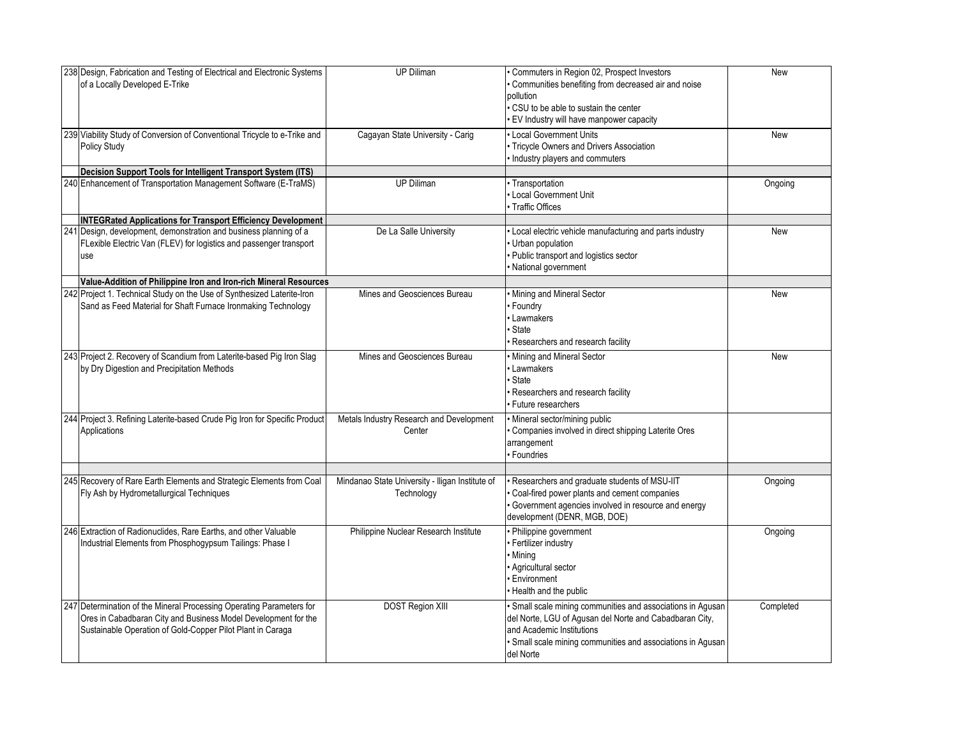| 238 Design, Fabrication and Testing of Electrical and Electronic Systems<br>of a Locally Developed E-Trike                                                                                                            | <b>UP Diliman</b>                                             | Commuters in Region 02, Prospect Investors<br>Communities benefiting from decreased air and noise<br>pollution<br>CSU to be able to sustain the center<br>EV Industry will have manpower capacity                               | New        |
|-----------------------------------------------------------------------------------------------------------------------------------------------------------------------------------------------------------------------|---------------------------------------------------------------|---------------------------------------------------------------------------------------------------------------------------------------------------------------------------------------------------------------------------------|------------|
| 239 Viability Study of Conversion of Conventional Tricycle to e-Trike and<br><b>Policy Study</b>                                                                                                                      | Cagayan State University - Carig                              | Local Government Units<br>Tricycle Owners and Drivers Association<br>Industry players and commuters                                                                                                                             | <b>New</b> |
| Decision Support Tools for Intelligent Transport System (ITS)<br>240 Enhancement of Transportation Management Software (E-TraMS)                                                                                      | <b>UP Diliman</b>                                             | · Transportation<br>Local Government Unit<br>Traffic Offices                                                                                                                                                                    | Ongoing    |
| <b>INTEGRated Applications for Transport Efficiency Development</b><br>241 Design, development, demonstration and business planning of a<br>FLexible Electric Van (FLEV) for logistics and passenger transport<br>use | De La Salle University                                        | Local electric vehicle manufacturing and parts industry<br>Urban population<br>Public transport and logistics sector<br>National government                                                                                     | New        |
| Value-Addition of Philippine Iron and Iron-rich Mineral Resources                                                                                                                                                     |                                                               |                                                                                                                                                                                                                                 |            |
| 242 Project 1. Technical Study on the Use of Synthesized Laterite-Iron<br>Sand as Feed Material for Shaft Furnace Ironmaking Technology                                                                               | Mines and Geosciences Bureau                                  | Mining and Mineral Sector<br>Foundry<br>Lawmakers<br>State<br>Researchers and research facility                                                                                                                                 | <b>New</b> |
| 243 Project 2. Recovery of Scandium from Laterite-based Pig Iron Slag<br>by Dry Digestion and Precipitation Methods                                                                                                   | Mines and Geosciences Bureau                                  | Mining and Mineral Sector<br>Lawmakers<br>State<br>Researchers and research facility<br><b>Future researchers</b>                                                                                                               | <b>New</b> |
| 244 Project 3. Refining Laterite-based Crude Pig Iron for Specific Product<br>Applications                                                                                                                            | Metals Industry Research and Development<br>Center            | Mineral sector/mining public<br>Companies involved in direct shipping Laterite Ores<br>arrangement<br><b>Foundries</b>                                                                                                          |            |
| 245 Recovery of Rare Earth Elements and Strategic Elements from Coal<br>Fly Ash by Hydrometallurgical Techniques                                                                                                      | Mindanao State University - Iligan Institute of<br>Technology | Researchers and graduate students of MSU-IIT<br>Coal-fired power plants and cement companies<br>Government agencies involved in resource and energy<br>development (DENR, MGB, DOE)                                             | Ongoing    |
| 246 Extraction of Radionuclides, Rare Earths, and other Valuable<br>Industrial Elements from Phosphogypsum Tailings: Phase I                                                                                          | Philippine Nuclear Research Institute                         | Philippine government<br>Fertilizer industry<br>Mining<br>Agricultural sector<br>Environment<br>Health and the public                                                                                                           | Ongoing    |
| 247 Determination of the Mineral Processing Operating Parameters for<br>Ores in Cabadbaran City and Business Model Development for the<br>Sustainable Operation of Gold-Copper Pilot Plant in Caraga                  | <b>DOST Region XIII</b>                                       | · Small scale mining communities and associations in Agusan<br>del Norte, LGU of Agusan del Norte and Cabadbaran City,<br>and Academic Institutions<br>· Small scale mining communities and associations in Agusan<br>del Norte | Completed  |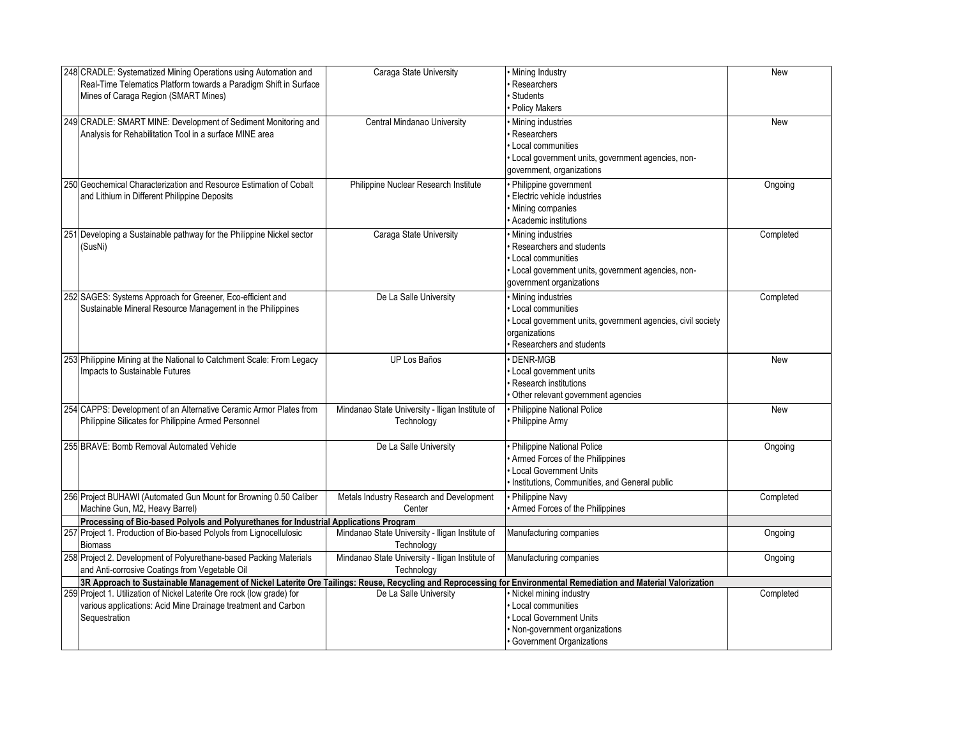| 248 CRADLE: Systematized Mining Operations using Automation and                                                                                                  | Caraga State University                         | Mining Industry                                              | <b>New</b> |
|------------------------------------------------------------------------------------------------------------------------------------------------------------------|-------------------------------------------------|--------------------------------------------------------------|------------|
| Real-Time Telematics Platform towards a Paradigm Shift in Surface                                                                                                |                                                 | Researchers                                                  |            |
| Mines of Caraga Region (SMART Mines)                                                                                                                             |                                                 | Students                                                     |            |
|                                                                                                                                                                  |                                                 | <b>Policy Makers</b>                                         |            |
| 249 CRADLE: SMART MINE: Development of Sediment Monitoring and                                                                                                   | Central Mindanao University                     | Mining industries                                            | New        |
| Analysis for Rehabilitation Tool in a surface MINE area                                                                                                          |                                                 | Researchers                                                  |            |
|                                                                                                                                                                  |                                                 | Local communities                                            |            |
|                                                                                                                                                                  |                                                 | · Local government units, government agencies, non-          |            |
|                                                                                                                                                                  |                                                 | government, organizations                                    |            |
| 250 Geochemical Characterization and Resource Estimation of Cobalt                                                                                               | Philippine Nuclear Research Institute           | · Philippine government                                      | Ongoing    |
| and Lithium in Different Philippine Deposits                                                                                                                     |                                                 | <b>Electric vehicle industries</b>                           |            |
|                                                                                                                                                                  |                                                 | · Mining companies                                           |            |
|                                                                                                                                                                  |                                                 | Academic institutions                                        |            |
|                                                                                                                                                                  |                                                 |                                                              |            |
| 251 Developing a Sustainable pathway for the Philippine Nickel sector                                                                                            | Caraga State University                         | · Mining industries<br>Researchers and students              | Completed  |
| (SusNi)                                                                                                                                                          |                                                 | Local communities                                            |            |
|                                                                                                                                                                  |                                                 |                                                              |            |
|                                                                                                                                                                  |                                                 | · Local government units, government agencies, non-          |            |
|                                                                                                                                                                  |                                                 | government organizations                                     |            |
| 252 SAGES: Systems Approach for Greener, Eco-efficient and                                                                                                       | De La Salle University                          | • Mining industries                                          | Completed  |
| Sustainable Mineral Resource Management in the Philippines                                                                                                       |                                                 | Local communities                                            |            |
|                                                                                                                                                                  |                                                 | · Local government units, government agencies, civil society |            |
|                                                                                                                                                                  |                                                 | organizations                                                |            |
|                                                                                                                                                                  |                                                 | Researchers and students                                     |            |
| 253 Philippine Mining at the National to Catchment Scale: From Legacy                                                                                            | UP Los Baños                                    | DENR-MGB                                                     | New        |
| Impacts to Sustainable Futures                                                                                                                                   |                                                 | Local government units                                       |            |
|                                                                                                                                                                  |                                                 | Research institutions                                        |            |
|                                                                                                                                                                  |                                                 | Other relevant government agencies                           |            |
| 254 CAPPS: Development of an Alternative Ceramic Armor Plates from                                                                                               | Mindanao State University - Iligan Institute of | Philippine National Police                                   | <b>New</b> |
| Philippine Silicates for Philippine Armed Personnel                                                                                                              | Technology                                      | Philippine Army                                              |            |
|                                                                                                                                                                  |                                                 |                                                              |            |
| 255 BRAVE: Bomb Removal Automated Vehicle                                                                                                                        | De La Salle University                          | • Philippine National Police                                 | Ongoing    |
|                                                                                                                                                                  |                                                 | Armed Forces of the Philippines                              |            |
|                                                                                                                                                                  |                                                 | Local Government Units                                       |            |
|                                                                                                                                                                  |                                                 | Institutions, Communities, and General public                |            |
| 256 Project BUHAWI (Automated Gun Mount for Browning 0.50 Caliber                                                                                                | Metals Industry Research and Development        | Philippine Navy                                              | Completed  |
| Machine Gun, M2, Heavy Barrel)                                                                                                                                   | Center                                          | Armed Forces of the Philippines                              |            |
| Processing of Bio-based Polyols and Polyurethanes for Industrial Applications Program                                                                            |                                                 |                                                              |            |
| 257 Project 1. Production of Bio-based Polyols from Lignocellulosic                                                                                              | Mindanao State University - Iligan Institute of | Manufacturing companies                                      | Ongoing    |
| <b>Biomass</b>                                                                                                                                                   | Technology                                      |                                                              |            |
| 258 Project 2. Development of Polyurethane-based Packing Materials                                                                                               | Mindanao State University - Iligan Institute of | Manufacturing companies                                      | Ongoing    |
| and Anti-corrosive Coatings from Vegetable Oil                                                                                                                   | Technology                                      |                                                              |            |
| 3R Approach to Sustainable Management of Nickel Laterite Ore Tailings: Reuse, Recycling and Reprocessing for Environmental Remediation and Material Valorization |                                                 |                                                              |            |
| 259 Project 1. Utilization of Nickel Laterite Ore rock (low grade) for                                                                                           | De La Salle University                          | · Nickel mining industry                                     | Completed  |
| various applications: Acid Mine Drainage treatment and Carbon                                                                                                    |                                                 | Local communities                                            |            |
| Sequestration                                                                                                                                                    |                                                 | Local Government Units                                       |            |
|                                                                                                                                                                  |                                                 | Non-government organizations                                 |            |
|                                                                                                                                                                  |                                                 | Government Organizations                                     |            |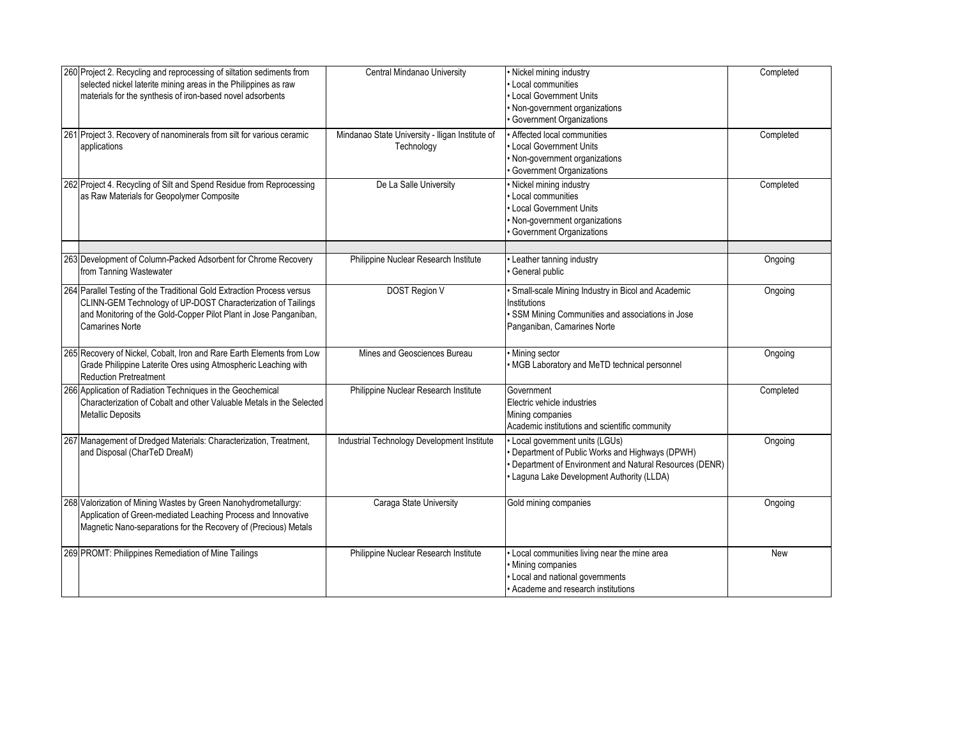| 260 Project 2. Recycling and reprocessing of siltation sediments from<br>selected nickel laterite mining areas in the Philippines as raw<br>materials for the synthesis of iron-based novel adsorbents                                | Central Mindanao University                                   | · Nickel mining industry<br>Local communities<br>Local Government Units<br>Non-government organizations<br>Government Organizations                                                   | Completed |
|---------------------------------------------------------------------------------------------------------------------------------------------------------------------------------------------------------------------------------------|---------------------------------------------------------------|---------------------------------------------------------------------------------------------------------------------------------------------------------------------------------------|-----------|
| 261 Project 3. Recovery of nanominerals from silt for various ceramic<br>applications                                                                                                                                                 | Mindanao State University - Iligan Institute of<br>Technology | • Affected local communities<br>Local Government Units<br>Non-government organizations<br>Government Organizations                                                                    | Completed |
| 262 Project 4. Recycling of Silt and Spend Residue from Reprocessing<br>as Raw Materials for Geopolymer Composite                                                                                                                     | De La Salle University                                        | Nickel mining industry<br>Local communities<br>Local Government Units<br>· Non-government organizations<br>Government Organizations                                                   | Completed |
| 263 Development of Column-Packed Adsorbent for Chrome Recovery<br>from Tanning Wastewater                                                                                                                                             | Philippine Nuclear Research Institute                         | Leather tanning industry<br>General public                                                                                                                                            | Ongoing   |
| 264 Parallel Testing of the Traditional Gold Extraction Process versus<br>CLINN-GEM Technology of UP-DOST Characterization of Tailings<br>and Monitoring of the Gold-Copper Pilot Plant in Jose Panganiban,<br><b>Camarines Norte</b> | <b>DOST Region V</b>                                          | · Small-scale Mining Industry in Bicol and Academic<br>Institutions<br>SSM Mining Communities and associations in Jose<br>Panganiban, Camarines Norte                                 | Ongoing   |
| 265 Recovery of Nickel, Cobalt, Iron and Rare Earth Elements from Low<br>Grade Philippine Laterite Ores using Atmospheric Leaching with<br><b>Reduction Pretreatment</b>                                                              | Mines and Geosciences Bureau                                  | · Mining sector<br>MGB Laboratory and MeTD technical personnel                                                                                                                        | Ongoing   |
| 266 Application of Radiation Techniques in the Geochemical<br>Characterization of Cobalt and other Valuable Metals in the Selected<br><b>Metallic Deposits</b>                                                                        | Philippine Nuclear Research Institute                         | Government<br>Electric vehicle industries<br>Mining companies<br>Academic institutions and scientific community                                                                       | Completed |
| 267 Management of Dredged Materials: Characterization, Treatment,<br>and Disposal (CharTeD DreaM)                                                                                                                                     | Industrial Technology Development Institute                   | Local government units (LGUs)<br>Department of Public Works and Highways (DPWH)<br>Department of Environment and Natural Resources (DENR)<br>Laguna Lake Development Authority (LLDA) | Ongoing   |
| 268 Valorization of Mining Wastes by Green Nanohydrometallurgy:<br>Application of Green-mediated Leaching Process and Innovative<br>Magnetic Nano-separations for the Recovery of (Precious) Metals                                   | Caraga State University                                       | Gold mining companies                                                                                                                                                                 | Ongoing   |
| 269 PROMT: Philippines Remediation of Mine Tailings                                                                                                                                                                                   | Philippine Nuclear Research Institute                         | Local communities living near the mine area<br>· Mining companies<br>Local and national governments<br>Academe and research institutions                                              | New       |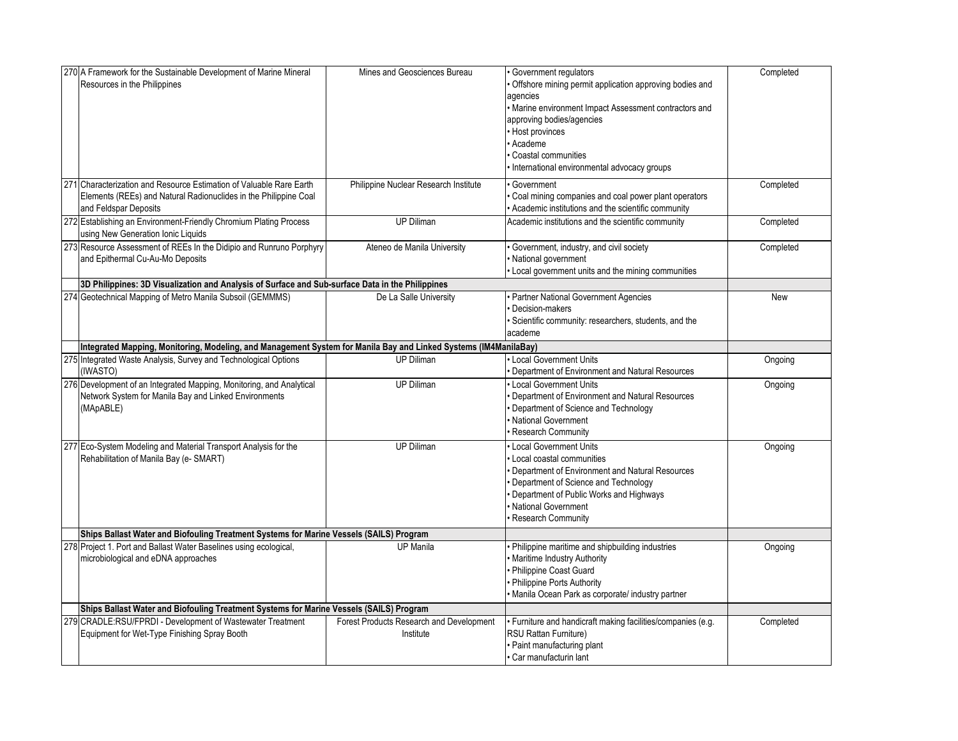| 270 A Framework for the Sustainable Development of Marine Mineral<br>Resources in the Philippines                                                                | Mines and Geosciences Bureau                          | Government regulators<br>Offshore mining permit application approving bodies and<br>agencies<br>• Marine environment Impact Assessment contractors and<br>approving bodies/agencies<br>• Host provinces<br>Academe<br>Coastal communities<br>International environmental advocacy groups | Completed |
|------------------------------------------------------------------------------------------------------------------------------------------------------------------|-------------------------------------------------------|------------------------------------------------------------------------------------------------------------------------------------------------------------------------------------------------------------------------------------------------------------------------------------------|-----------|
| 271 Characterization and Resource Estimation of Valuable Rare Earth<br>Elements (REEs) and Natural Radionuclides in the Philippine Coal<br>and Feldspar Deposits | Philippine Nuclear Research Institute                 | Government<br>Coal mining companies and coal power plant operators<br>Academic institutions and the scientific community                                                                                                                                                                 | Completed |
| 272 Establishing an Environment-Friendly Chromium Plating Process<br>using New Generation Ionic Liquids                                                          | UP Diliman                                            | Academic institutions and the scientific community                                                                                                                                                                                                                                       | Completed |
| 273 Resource Assessment of REEs In the Didipio and Runruno Porphyry<br>and Epithermal Cu-Au-Mo Deposits                                                          | Ateneo de Manila University                           | Government, industry, and civil society<br>National government<br>Local government units and the mining communities                                                                                                                                                                      | Completed |
| 3D Philippines: 3D Visualization and Analysis of Surface and Sub-surface Data in the Philippines                                                                 |                                                       |                                                                                                                                                                                                                                                                                          |           |
| 274 Geotechnical Mapping of Metro Manila Subsoil (GEMMMS)                                                                                                        | De La Salle University                                | · Partner National Government Agencies<br>Decision-makers<br>Scientific community: researchers, students, and the<br>academe                                                                                                                                                             | New       |
| Integrated Mapping, Monitoring, Modeling, and Management System for Manila Bay and Linked Systems (IM4ManilaBay)                                                 |                                                       |                                                                                                                                                                                                                                                                                          |           |
| 275 Integrated Waste Analysis, Survey and Technological Options<br>(IWASTO)                                                                                      | <b>UP Diliman</b>                                     | Local Government Units<br>Department of Environment and Natural Resources                                                                                                                                                                                                                | Ongoing   |
| 276 Development of an Integrated Mapping, Monitoring, and Analytical<br>Network System for Manila Bay and Linked Environments<br>(MApABLE)                       | <b>UP Diliman</b>                                     | Local Government Units<br>Department of Environment and Natural Resources<br>Department of Science and Technology<br>National Government<br>Research Community                                                                                                                           | Ongoing   |
| 277 Eco-System Modeling and Material Transport Analysis for the<br>Rehabilitation of Manila Bay (e- SMART)                                                       | <b>UP Diliman</b>                                     | Local Government Units<br>Local coastal communities<br>Department of Environment and Natural Resources<br>Department of Science and Technology<br>Department of Public Works and Highways<br>National Government<br><b>Research Community</b>                                            | Ongoing   |
| Ships Ballast Water and Biofouling Treatment Systems for Marine Vessels (SAILS) Program                                                                          |                                                       |                                                                                                                                                                                                                                                                                          |           |
| 278 Project 1. Port and Ballast Water Baselines using ecological,<br>microbiological and eDNA approaches                                                         | <b>UP Manila</b>                                      | Philippine maritime and shipbuilding industries<br>Maritime Industry Authority<br>Philippine Coast Guard<br>Philippine Ports Authority<br>Manila Ocean Park as corporate/ industry partner                                                                                               | Ongoing   |
| Ships Ballast Water and Biofouling Treatment Systems for Marine Vessels (SAILS) Program                                                                          |                                                       |                                                                                                                                                                                                                                                                                          |           |
| 279 CRADLE:RSU/FPRDI - Development of Wastewater Treatment<br>Equipment for Wet-Type Finishing Spray Booth                                                       | Forest Products Research and Development<br>Institute | · Furniture and handicraft making facilities/companies (e.g.<br>RSU Rattan Furniture)<br>· Paint manufacturing plant<br>Car manufacturin lant                                                                                                                                            | Completed |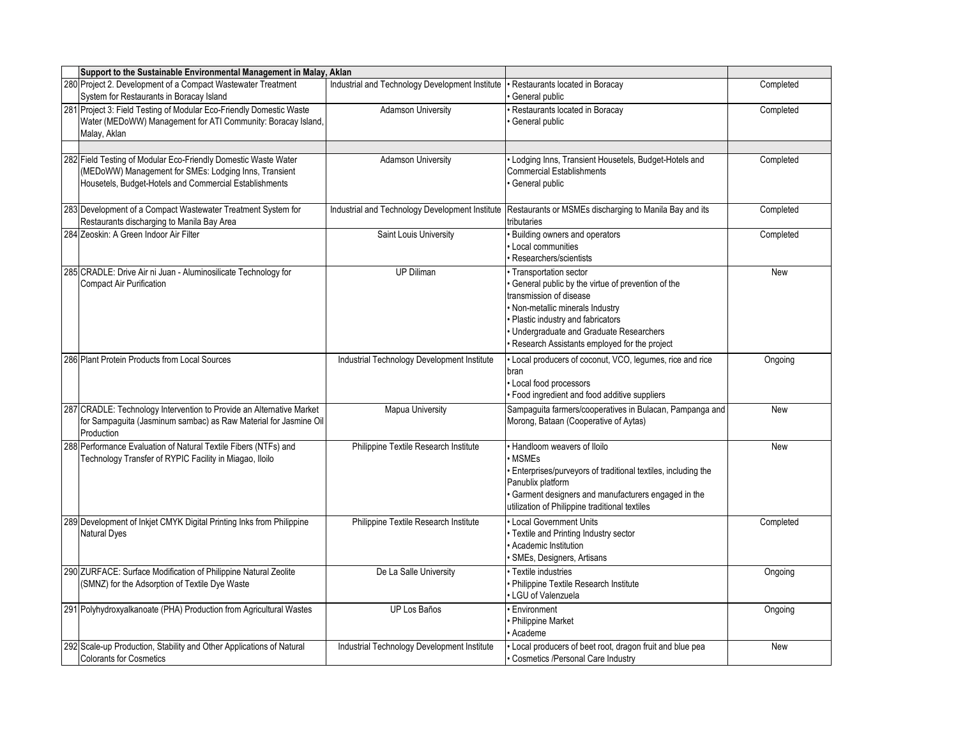| Support to the Sustainable Environmental Management in Malay, Aklan                                                                                                               |                                                 |                                                                                                                                                                                                                                                                       |            |
|-----------------------------------------------------------------------------------------------------------------------------------------------------------------------------------|-------------------------------------------------|-----------------------------------------------------------------------------------------------------------------------------------------------------------------------------------------------------------------------------------------------------------------------|------------|
| 280 Project 2. Development of a Compact Wastewater Treatment<br>System for Restaurants in Boracay Island                                                                          | Industrial and Technology Development Institute | Restaurants located in Boracay<br>General public                                                                                                                                                                                                                      | Completed  |
| 281 Project 3: Field Testing of Modular Eco-Friendly Domestic Waste<br>Water (MEDoWW) Management for ATI Community: Boracay Island,<br>Malay, Aklan                               | <b>Adamson University</b>                       | Restaurants located in Boracay<br>General public                                                                                                                                                                                                                      | Completed  |
| 282 Field Testing of Modular Eco-Friendly Domestic Waste Water<br>(MEDoWW) Management for SMEs: Lodging Inns, Transient<br>Housetels, Budget-Hotels and Commercial Establishments | <b>Adamson University</b>                       | Lodging Inns, Transient Housetels, Budget-Hotels and<br><b>Commercial Establishments</b><br>General public                                                                                                                                                            | Completed  |
| 283 Development of a Compact Wastewater Treatment System for<br>Restaurants discharging to Manila Bay Area                                                                        | Industrial and Technology Development Institute | Restaurants or MSMEs discharging to Manila Bay and its<br>tributaries                                                                                                                                                                                                 | Completed  |
| 284 Zeoskin: A Green Indoor Air Filter                                                                                                                                            | Saint Louis University                          | <b>Building owners and operators</b><br>Local communities<br>Researchers/scientists                                                                                                                                                                                   | Completed  |
| 285 CRADLE: Drive Air ni Juan - Aluminosilicate Technology for<br><b>Compact Air Purification</b>                                                                                 | <b>UP Diliman</b>                               | Transportation sector<br>General public by the virtue of prevention of the<br>transmission of disease<br>Non-metallic minerals Industry<br>Plastic industry and fabricators<br>Undergraduate and Graduate Researchers<br>Research Assistants employed for the project | New        |
| 286 Plant Protein Products from Local Sources                                                                                                                                     | Industrial Technology Development Institute     | Local producers of coconut, VCO, legumes, rice and rice<br>bran<br>Local food processors<br>Food ingredient and food additive suppliers                                                                                                                               | Ongoing    |
| 287 CRADLE: Technology Intervention to Provide an Alternative Market<br>for Sampaguita (Jasminum sambac) as Raw Material for Jasmine Oil<br>Production                            | <b>Mapua University</b>                         | Sampaguita farmers/cooperatives in Bulacan, Pampanga and<br>Morong, Bataan (Cooperative of Aytas)                                                                                                                                                                     | New        |
| 288 Performance Evaluation of Natural Textile Fibers (NTFs) and<br>Technology Transfer of RYPIC Facility in Miagao, Iloilo                                                        | Philippine Textile Research Institute           | <b>Handloom weavers of Iloilo</b><br><b>MSMEs</b><br>Enterprises/purveyors of traditional textiles, including the<br>Panublix platform<br>Garment designers and manufacturers engaged in the<br>utilization of Philippine traditional textiles                        | <b>New</b> |
| 289 Development of Inkjet CMYK Digital Printing Inks from Philippine<br><b>Natural Dyes</b>                                                                                       | Philippine Textile Research Institute           | Local Government Units<br>· Textile and Printing Industry sector<br>Academic Institution<br>SMEs, Designers, Artisans                                                                                                                                                 | Completed  |
| 290 ZURFACE: Surface Modification of Philippine Natural Zeolite<br>(SMNZ) for the Adsorption of Textile Dye Waste                                                                 | De La Salle University                          | Textile industries<br>Philippine Textile Research Institute<br>LGU of Valenzuela                                                                                                                                                                                      | Ongoing    |
| 291 Polyhydroxyalkanoate (PHA) Production from Agricultural Wastes                                                                                                                | UP Los Baños                                    | <b>Environment</b><br>Philippine Market<br>Academe                                                                                                                                                                                                                    | Ongoing    |
| 292 Scale-up Production, Stability and Other Applications of Natural<br><b>Colorants for Cosmetics</b>                                                                            | Industrial Technology Development Institute     | Local producers of beet root, dragon fruit and blue pea<br>Cosmetics /Personal Care Industry                                                                                                                                                                          | <b>New</b> |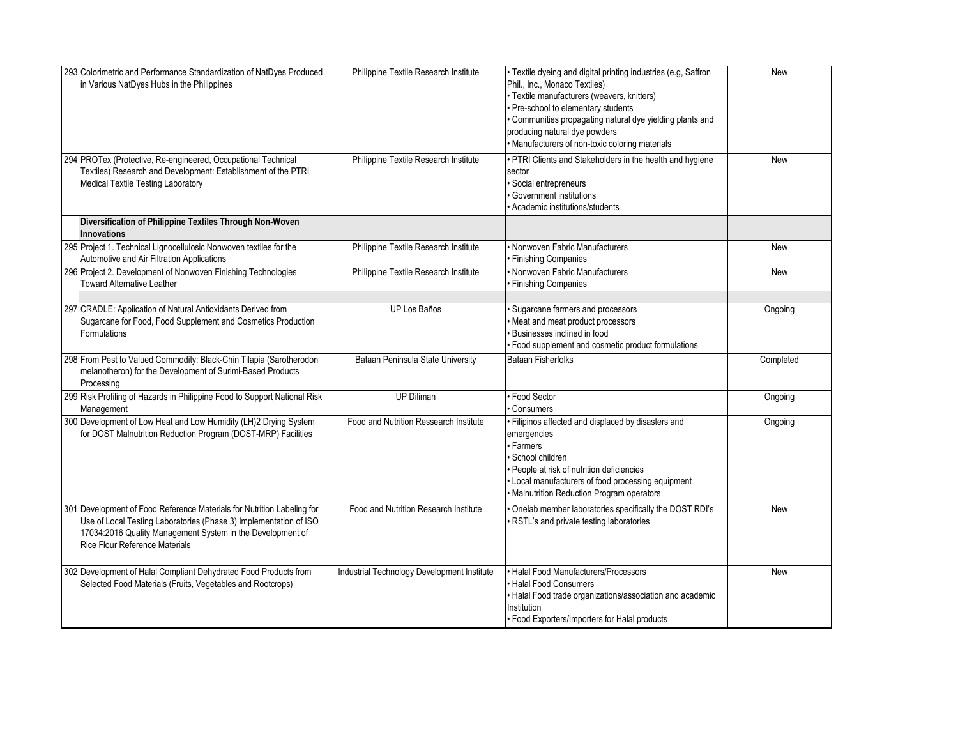| 293 Colorimetric and Performance Standardization of NatDyes Produced<br>in Various NatDyes Hubs in the Philippines                                                                                                                                 | Philippine Textile Research Institute       | · Textile dyeing and digital printing industries (e.g, Saffron<br>Phil., Inc., Monaco Textiles)<br>· Textile manufacturers (weavers, knitters)<br>· Pre-school to elementary students<br>Communities propagating natural dye yielding plants and<br>producing natural dye powders<br>· Manufacturers of non-toxic coloring materials | <b>New</b> |
|----------------------------------------------------------------------------------------------------------------------------------------------------------------------------------------------------------------------------------------------------|---------------------------------------------|--------------------------------------------------------------------------------------------------------------------------------------------------------------------------------------------------------------------------------------------------------------------------------------------------------------------------------------|------------|
| 294 PROTex (Protective, Re-engineered, Occupational Technical<br>Textiles) Research and Development: Establishment of the PTRI<br>Medical Textile Testing Laboratory                                                                               | Philippine Textile Research Institute       | • PTRI Clients and Stakeholders in the health and hygiene<br>sector<br>Social entrepreneurs<br>Government institutions<br>Academic institutions/students                                                                                                                                                                             | <b>New</b> |
| Diversification of Philippine Textiles Through Non-Woven<br><b>Innovations</b>                                                                                                                                                                     |                                             |                                                                                                                                                                                                                                                                                                                                      |            |
| 295 Project 1. Technical Lignocellulosic Nonwoven textiles for the<br>Automotive and Air Filtration Applications                                                                                                                                   | Philippine Textile Research Institute       | Nonwoven Fabric Manufacturers<br><b>Finishing Companies</b>                                                                                                                                                                                                                                                                          | New        |
| 296 Project 2. Development of Nonwoven Finishing Technologies<br><b>Toward Alternative Leather</b>                                                                                                                                                 | Philippine Textile Research Institute       | • Nonwoven Fabric Manufacturers<br><b>Finishing Companies</b>                                                                                                                                                                                                                                                                        | New        |
| 297 CRADLE: Application of Natural Antioxidants Derived from<br>Sugarcane for Food, Food Supplement and Cosmetics Production<br>Formulations                                                                                                       | <b>UP Los Baños</b>                         | Sugarcane farmers and processors<br>Meat and meat product processors<br>Businesses inclined in food<br>Food supplement and cosmetic product formulations                                                                                                                                                                             | Ongoing    |
| 298 From Pest to Valued Commodity: Black-Chin Tilapia (Sarotherodon<br>melanotheron) for the Development of Surimi-Based Products<br>Processing                                                                                                    | Bataan Peninsula State University           | <b>Bataan Fisherfolks</b>                                                                                                                                                                                                                                                                                                            | Completed  |
| 299 Risk Profiling of Hazards in Philippine Food to Support National Risk<br>Management                                                                                                                                                            | UP Diliman                                  | · Food Sector<br>Consumers                                                                                                                                                                                                                                                                                                           | Ongoing    |
| 300 Development of Low Heat and Low Humidity (LH)2 Drying System<br>for DOST Malnutrition Reduction Program (DOST-MRP) Facilities                                                                                                                  | Food and Nutrition Ressearch Institute      | · Filipinos affected and displaced by disasters and<br>emergencies<br><b>Farmers</b><br>School children<br>· People at risk of nutrition deficiencies<br>• Local manufacturers of food processing equipment<br>Malnutrition Reduction Program operators                                                                              | Ongoing    |
| 301 Development of Food Reference Materials for Nutrition Labeling for<br>Use of Local Testing Laboratories (Phase 3) Implementation of ISO<br>17034:2016 Quality Management System in the Development of<br><b>Rice Flour Reference Materials</b> | Food and Nutrition Research Institute       | Onelab member laboratories specifically the DOST RDI's<br>RSTL's and private testing laboratories                                                                                                                                                                                                                                    | <b>New</b> |
| 302 Development of Halal Compliant Dehydrated Food Products from<br>Selected Food Materials (Fruits, Vegetables and Rootcrops)                                                                                                                     | Industrial Technology Development Institute | · Halal Food Manufacturers/Processors<br><b>Halal Food Consumers</b><br>• Halal Food trade organizations/association and academic<br>Institution<br>· Food Exporters/Importers for Halal products                                                                                                                                    | New        |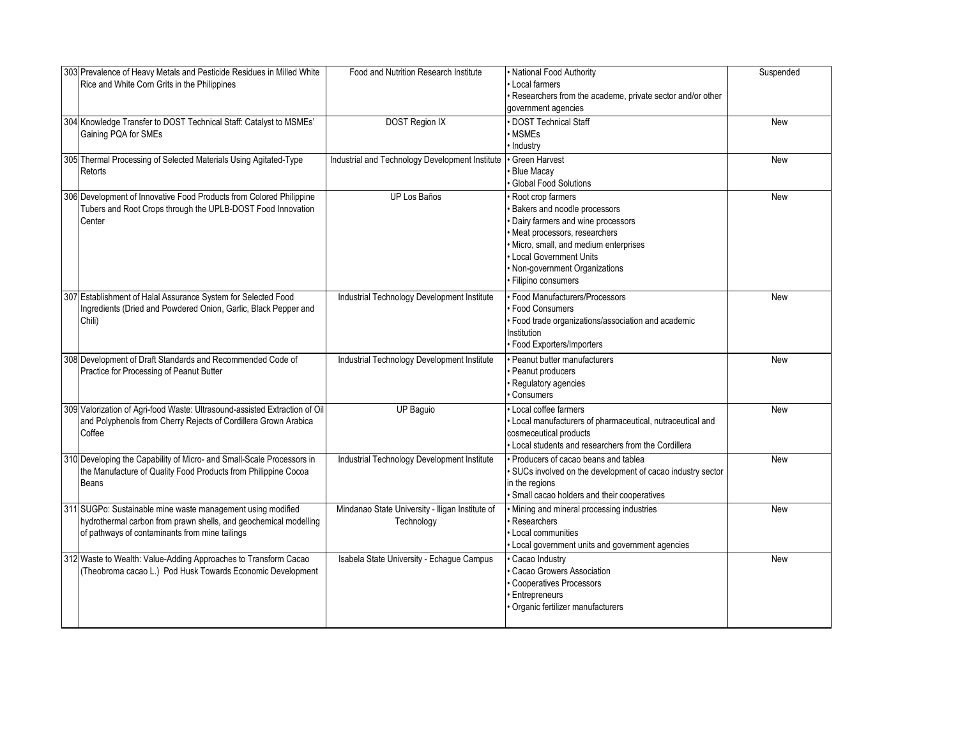| 303 Prevalence of Heavy Metals and Pesticide Residues in Milled White<br>Rice and White Corn Grits in the Philippines                                                             | Food and Nutrition Research Institute                         | · National Food Authority<br>Local farmers<br>· Researchers from the academe, private sector and/or other<br>government agencies                                                                                                                           | Suspended  |
|-----------------------------------------------------------------------------------------------------------------------------------------------------------------------------------|---------------------------------------------------------------|------------------------------------------------------------------------------------------------------------------------------------------------------------------------------------------------------------------------------------------------------------|------------|
| 304 Knowledge Transfer to DOST Technical Staff: Catalyst to MSMEs'<br>Gaining PQA for SMEs                                                                                        | <b>DOST Region IX</b>                                         | · DOST Technical Staff<br>• MSMEs<br>· Industry                                                                                                                                                                                                            | New        |
| 305 Thermal Processing of Selected Materials Using Agitated-Type<br>Retorts                                                                                                       | Industrial and Technology Development Institute               | · Green Harvest<br><b>Blue Macay</b><br><b>Global Food Solutions</b>                                                                                                                                                                                       | <b>New</b> |
| 306 Development of Innovative Food Products from Colored Philippine<br>Tubers and Root Crops through the UPLB-DOST Food Innovation<br>Center                                      | UP Los Baños                                                  | Root crop farmers<br>Bakers and noodle processors<br>· Dairy farmers and wine processors<br>· Meat processors, researchers<br>· Micro, small, and medium enterprises<br>• Local Government Units<br>· Non-government Organizations<br>· Filipino consumers | <b>New</b> |
| 307 Establishment of Halal Assurance System for Selected Food<br>Ingredients (Dried and Powdered Onion, Garlic, Black Pepper and<br>Chili)                                        | Industrial Technology Development Institute                   | · Food Manufacturers/Processors<br>· Food Consumers<br>· Food trade organizations/association and academic<br>Institution<br>· Food Exporters/Importers                                                                                                    | <b>New</b> |
| 308 Development of Draft Standards and Recommended Code of<br>Practice for Processing of Peanut Butter                                                                            | Industrial Technology Development Institute                   | Peanut butter manufacturers<br>Peanut producers<br>· Regulatory agencies<br>Consumers                                                                                                                                                                      | New        |
| 309 Valorization of Agri-food Waste: Ultrasound-assisted Extraction of Oil<br>and Polyphenols from Cherry Rejects of Cordillera Grown Arabica<br>Coffee                           | <b>UP Baguio</b>                                              | • Local coffee farmers<br>· Local manufacturers of pharmaceutical, nutraceutical and<br>cosmeceutical products<br>• Local students and researchers from the Cordillera                                                                                     | <b>New</b> |
| 310 Developing the Capability of Micro- and Small-Scale Processors in<br>the Manufacture of Quality Food Products from Philippine Cocoa<br>Beans                                  | Industrial Technology Development Institute                   | • Producers of cacao beans and tablea<br>· SUCs involved on the development of cacao industry sector<br>in the regions<br>· Small cacao holders and their cooperatives                                                                                     | <b>New</b> |
| 311 SUGPo: Sustainable mine waste management using modified<br>hydrothermal carbon from prawn shells, and geochemical modelling<br>of pathways of contaminants from mine tailings | Mindanao State University - Iligan Institute of<br>Technology | · Mining and mineral processing industries<br>Researchers<br>Local communities<br>• Local government units and government agencies                                                                                                                         | <b>New</b> |
| 312 Waste to Wealth: Value-Adding Approaches to Transform Cacao<br>(Theobroma cacao L.) Pod Husk Towards Economic Development                                                     | Isabela State University - Echague Campus                     | Cacao Industry<br>Cacao Growers Association<br><b>Cooperatives Processors</b><br>· Entrepreneurs<br>Organic fertilizer manufacturers                                                                                                                       | <b>New</b> |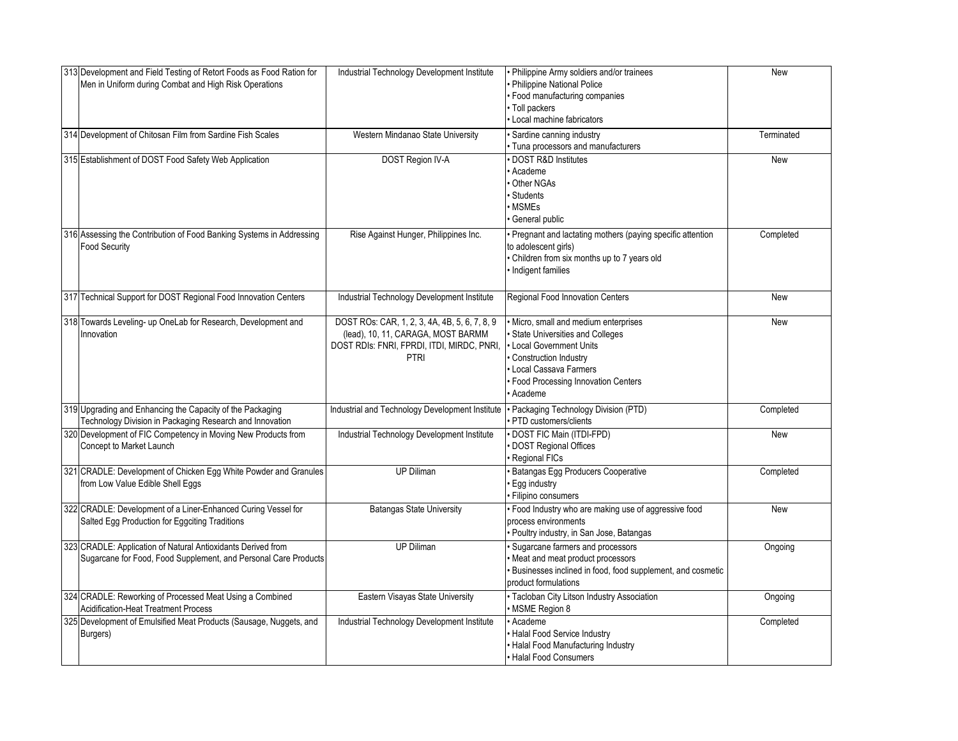| 313 Development and Field Testing of Retort Foods as Food Ration for<br>Men in Uniform during Combat and High Risk Operations   | Industrial Technology Development Institute                                                                                                      | Philippine Army soldiers and/or trainees<br>Philippine National Police<br>· Food manufacturing companies<br>· Toll packers<br>· Local machine fabricators                                                  | New        |
|---------------------------------------------------------------------------------------------------------------------------------|--------------------------------------------------------------------------------------------------------------------------------------------------|------------------------------------------------------------------------------------------------------------------------------------------------------------------------------------------------------------|------------|
| 314 Development of Chitosan Film from Sardine Fish Scales                                                                       | Western Mindanao State University                                                                                                                | · Sardine canning industry<br>Tuna processors and manufacturers                                                                                                                                            | Terminated |
| 315 Establishment of DOST Food Safety Web Application                                                                           | <b>DOST Region IV-A</b>                                                                                                                          | DOST R&D Institutes<br>Academe<br>Other NGAs<br><b>Students</b><br><b>MSMEs</b><br>General public                                                                                                          | <b>New</b> |
| 316 Assessing the Contribution of Food Banking Systems in Addressing<br><b>Food Security</b>                                    | Rise Against Hunger, Philippines Inc.                                                                                                            | Pregnant and lactating mothers (paying specific attention<br>to adolescent girls)<br>Children from six months up to 7 years old<br>Indigent families                                                       | Completed  |
| 317 Technical Support for DOST Regional Food Innovation Centers                                                                 | Industrial Technology Development Institute                                                                                                      | Regional Food Innovation Centers                                                                                                                                                                           | New        |
| 318 Towards Leveling- up OneLab for Research, Development and<br>Innovation                                                     | DOST ROs: CAR, 1, 2, 3, 4A, 4B, 5, 6, 7, 8, 9<br>(lead), 10, 11, CARAGA, MOST BARMM<br>DOST RDIS: FNRI, FPRDI, ITDI, MIRDC, PNRI,<br><b>PTRI</b> | Micro, small and medium enterprises<br>State Universities and Colleges<br>Local Government Units<br>Construction Industry<br>Local Cassava Farmers<br><b>Food Processing Innovation Centers</b><br>Academe | <b>New</b> |
| 319 Upgrading and Enhancing the Capacity of the Packaging<br>Technology Division in Packaging Research and Innovation           | Industrial and Technology Development Institute                                                                                                  | · Packaging Technology Division (PTD)<br>PTD customers/clients                                                                                                                                             | Completed  |
| 320 Development of FIC Competency in Moving New Products from<br>Concept to Market Launch                                       | Industrial Technology Development Institute                                                                                                      | DOST FIC Main (ITDI-FPD)<br>DOST Regional Offices<br>Regional FICs                                                                                                                                         | <b>New</b> |
| 321 CRADLE: Development of Chicken Egg White Powder and Granules<br>from Low Value Edible Shell Eggs                            | <b>UP Diliman</b>                                                                                                                                | <b>Batangas Egg Producers Cooperative</b><br><b>Egg industry</b><br>Filipino consumers                                                                                                                     | Completed  |
| 322 CRADLE: Development of a Liner-Enhanced Curing Vessel for<br>Salted Egg Production for Eggciting Traditions                 | <b>Batangas State University</b>                                                                                                                 | · Food Industry who are making use of aggressive food<br>process environments<br>Poultry industry, in San Jose, Batangas                                                                                   | New        |
| 323 CRADLE: Application of Natural Antioxidants Derived from<br>Sugarcane for Food, Food Supplement, and Personal Care Products | UP Diliman                                                                                                                                       | Sugarcane farmers and processors<br>Meat and meat product processors<br>Businesses inclined in food, food supplement, and cosmetic<br>product formulations                                                 | Ongoing    |
| 324 CRADLE: Reworking of Processed Meat Using a Combined<br><b>Acidification-Heat Treatment Process</b>                         | Eastern Visayas State University                                                                                                                 | · Tacloban City Litson Industry Association<br>MSME Region 8                                                                                                                                               | Ongoing    |
| 325 Development of Emulsified Meat Products (Sausage, Nuggets, and<br>Burgers)                                                  | Industrial Technology Development Institute                                                                                                      | Academe<br><b>Halal Food Service Industry</b><br>· Halal Food Manufacturing Industry<br>· Halal Food Consumers                                                                                             | Completed  |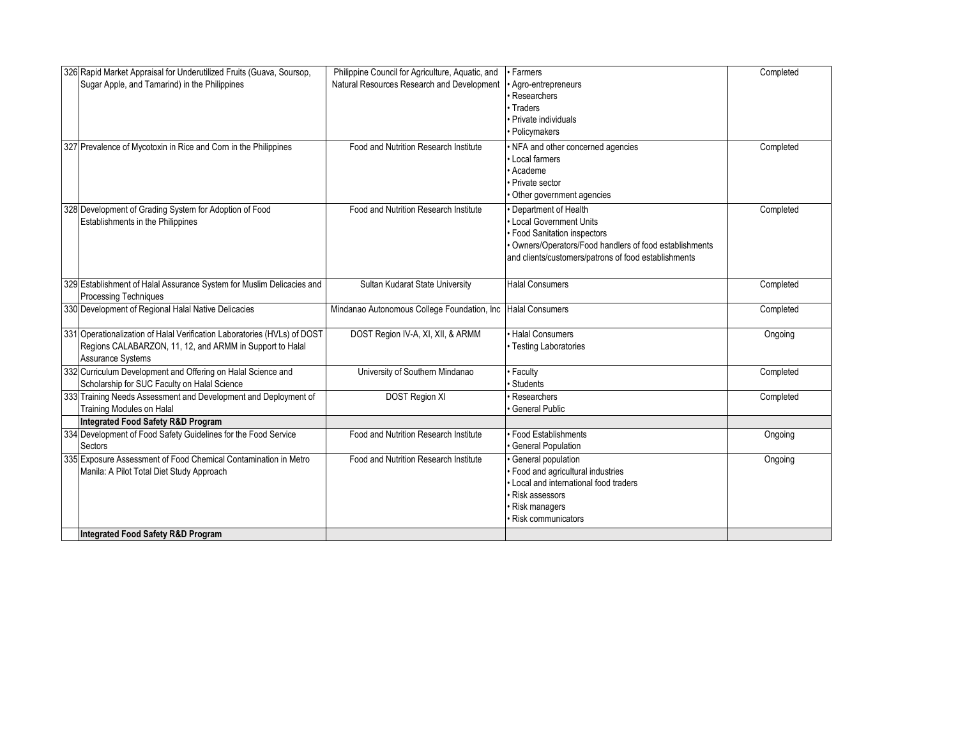| 326 Rapid Market Appraisal for Underutilized Fruits (Guava, Soursop,<br>Sugar Apple, and Tamarind) in the Philippines                                     | Philippine Council for Agriculture, Aquatic, and<br>Natural Resources Research and Development | • Farmers<br>Agro-entrepreneurs<br>· Researchers<br>• Traders<br>· Private individuals                                                                                                          | Completed |
|-----------------------------------------------------------------------------------------------------------------------------------------------------------|------------------------------------------------------------------------------------------------|-------------------------------------------------------------------------------------------------------------------------------------------------------------------------------------------------|-----------|
| 327 Prevalence of Mycotoxin in Rice and Corn in the Philippines                                                                                           | Food and Nutrition Research Institute                                                          | · Policymakers<br>• NFA and other concerned agencies<br>Local farmers<br>• Academe<br>• Private sector<br>Other government agencies                                                             | Completed |
| 328 Development of Grading System for Adoption of Food<br>Establishments in the Philippines                                                               | Food and Nutrition Research Institute                                                          | Department of Health<br>Local Government Units<br>• Food Sanitation inspectors<br>Owners/Operators/Food handlers of food establishments<br>and clients/customers/patrons of food establishments | Completed |
| 329 Establishment of Halal Assurance System for Muslim Delicacies and<br><b>Processing Techniques</b>                                                     | Sultan Kudarat State University                                                                | <b>Halal Consumers</b>                                                                                                                                                                          | Completed |
| 330 Development of Regional Halal Native Delicacies                                                                                                       | Mindanao Autonomous College Foundation, Inc                                                    | <b>Halal Consumers</b>                                                                                                                                                                          | Completed |
| 331 Operationalization of Halal Verification Laboratories (HVLs) of DOST<br>Regions CALABARZON, 11, 12, and ARMM in Support to Halal<br>Assurance Systems | DOST Region IV-A, XI, XII, & ARMM                                                              | · Halal Consumers<br>• Testing Laboratories                                                                                                                                                     | Ongoing   |
| 332 Curriculum Development and Offering on Halal Science and<br>Scholarship for SUC Faculty on Halal Science                                              | University of Southern Mindanao                                                                | · Faculty<br>Students                                                                                                                                                                           | Completed |
| 333 Training Needs Assessment and Development and Deployment of<br><b>Training Modules on Halal</b><br>Integrated Food Safety R&D Program                 | DOST Region XI                                                                                 | Researchers<br><b>General Public</b>                                                                                                                                                            | Completed |
| 334 Development of Food Safety Guidelines for the Food Service<br>Sectors                                                                                 | Food and Nutrition Research Institute                                                          | · Food Establishments<br><b>General Population</b>                                                                                                                                              | Ongoing   |
| 335 Exposure Assessment of Food Chemical Contamination in Metro<br>Manila: A Pilot Total Diet Study Approach<br>Integrated Food Safety R&D Program        | Food and Nutrition Research Institute                                                          | General population<br>· Food and agricultural industries<br>• Local and international food traders<br>· Risk assessors<br>· Risk managers<br>Risk communicators                                 | Ongoing   |
|                                                                                                                                                           |                                                                                                |                                                                                                                                                                                                 |           |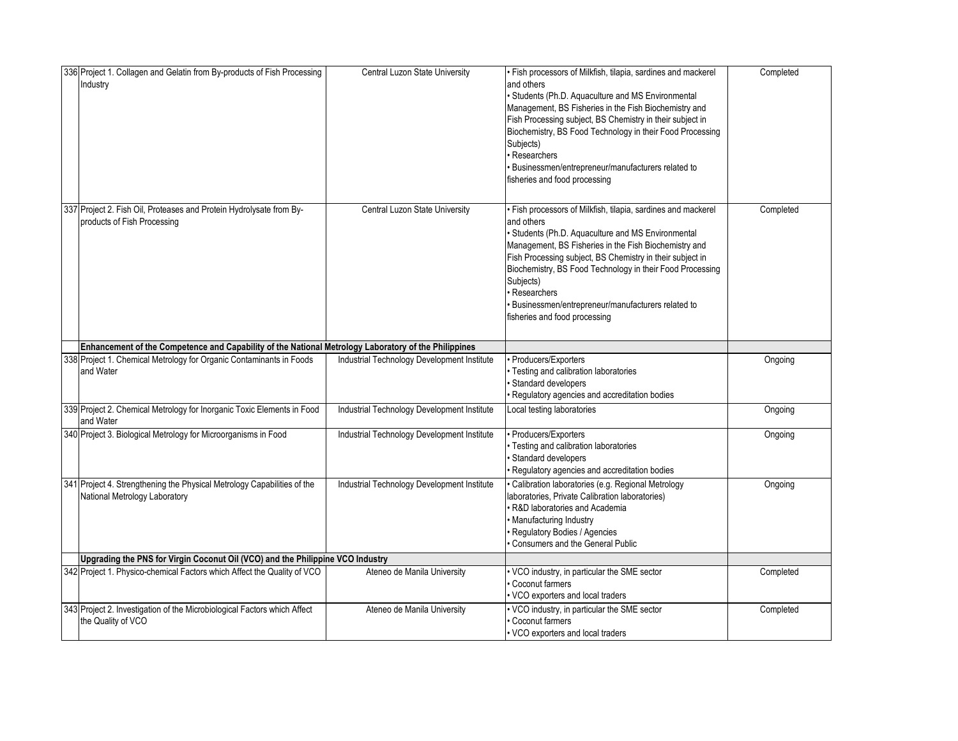| 336 Project 1. Collagen and Gelatin from By-products of Fish Processing<br>Industry                      | Central Luzon State University              | · Fish processors of Milkfish, tilapia, sardines and mackerel<br>and others<br>· Students (Ph.D. Aquaculture and MS Environmental<br>Management, BS Fisheries in the Fish Biochemistry and<br>Fish Processing subject, BS Chemistry in their subject in<br>Biochemistry, BS Food Technology in their Food Processing<br>Subjects)<br>Researchers<br>· Businessmen/entrepreneur/manufacturers related to<br>fisheries and food processing   | Completed |
|----------------------------------------------------------------------------------------------------------|---------------------------------------------|--------------------------------------------------------------------------------------------------------------------------------------------------------------------------------------------------------------------------------------------------------------------------------------------------------------------------------------------------------------------------------------------------------------------------------------------|-----------|
| 337 Project 2. Fish Oil, Proteases and Protein Hydrolysate from By-<br>products of Fish Processing       | Central Luzon State University              | · Fish processors of Milkfish, tilapia, sardines and mackerel<br>and others<br>· Students (Ph.D. Aquaculture and MS Environmental<br>Management, BS Fisheries in the Fish Biochemistry and<br>Fish Processing subject, BS Chemistry in their subject in<br>Biochemistry, BS Food Technology in their Food Processing<br>Subjects)<br>· Researchers<br>· Businessmen/entrepreneur/manufacturers related to<br>fisheries and food processing | Completed |
| Enhancement of the Competence and Capability of the National Metrology Laboratory of the Philippines     |                                             |                                                                                                                                                                                                                                                                                                                                                                                                                                            |           |
| 338 Project 1. Chemical Metrology for Organic Contaminants in Foods<br>and Water                         | Industrial Technology Development Institute | · Producers/Exporters<br>· Testing and calibration laboratories<br>· Standard developers<br>· Regulatory agencies and accreditation bodies                                                                                                                                                                                                                                                                                                 | Ongoing   |
| 339 Project 2. Chemical Metrology for Inorganic Toxic Elements in Food<br>and Water                      | Industrial Technology Development Institute | Local testing laboratories                                                                                                                                                                                                                                                                                                                                                                                                                 | Ongoing   |
| 340 Project 3. Biological Metrology for Microorganisms in Food                                           | Industrial Technology Development Institute | · Producers/Exporters<br>· Testing and calibration laboratories<br>Standard developers<br>Regulatory agencies and accreditation bodies                                                                                                                                                                                                                                                                                                     | Ongoing   |
| 341 Project 4. Strengthening the Physical Metrology Capabilities of the<br>National Metrology Laboratory | Industrial Technology Development Institute | · Calibration laboratories (e.g. Regional Metrology<br>laboratories, Private Calibration laboratories)<br>R&D laboratories and Academia<br>· Manufacturing Industry<br>Regulatory Bodies / Agencies<br>Consumers and the General Public                                                                                                                                                                                                    | Ongoing   |
| Upgrading the PNS for Virgin Coconut Oil (VCO) and the Philippine VCO Industry                           |                                             |                                                                                                                                                                                                                                                                                                                                                                                                                                            |           |
| 342 Project 1. Physico-chemical Factors which Affect the Quality of VCO                                  | Ateneo de Manila University                 | · VCO industry, in particular the SME sector<br>Coconut farmers<br>· VCO exporters and local traders                                                                                                                                                                                                                                                                                                                                       | Completed |
| 343 Project 2. Investigation of the Microbiological Factors which Affect<br>the Quality of VCO           | Ateneo de Manila University                 | . VCO industry, in particular the SME sector<br>Coconut farmers<br>· VCO exporters and local traders                                                                                                                                                                                                                                                                                                                                       | Completed |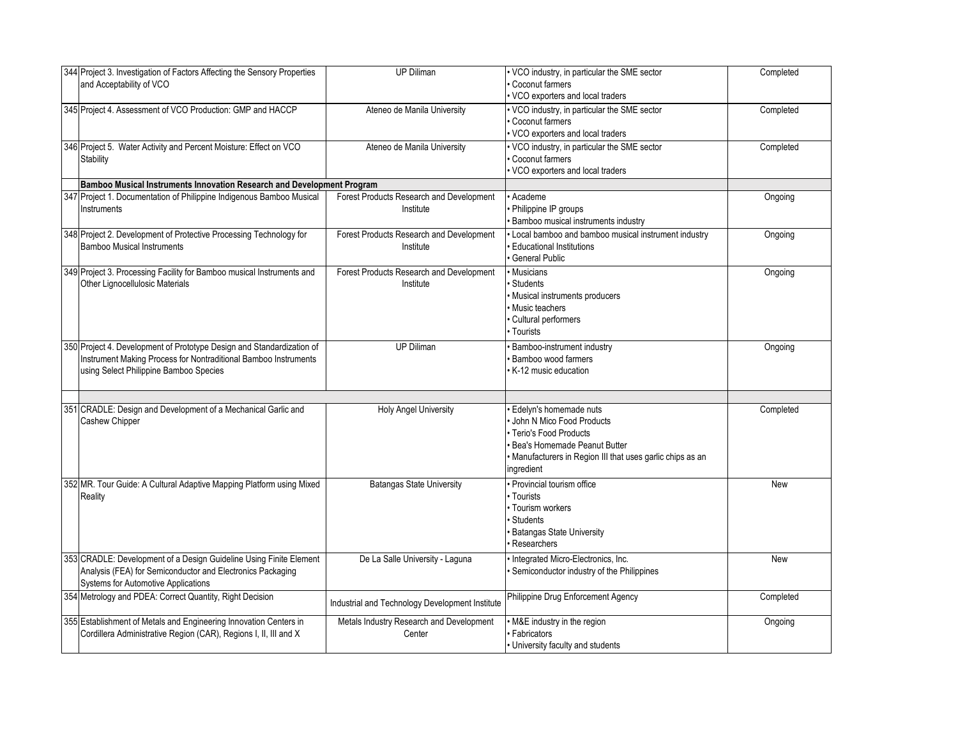| 344 Project 3. Investigation of Factors Affecting the Sensory Properties<br>and Acceptability of VCO                                                                               | UP Diliman                                            | • VCO industry, in particular the SME sector<br>Coconut farmers<br>VCO exporters and local traders                                                                                    | Completed |
|------------------------------------------------------------------------------------------------------------------------------------------------------------------------------------|-------------------------------------------------------|---------------------------------------------------------------------------------------------------------------------------------------------------------------------------------------|-----------|
| 345 Project 4. Assessment of VCO Production: GMP and HACCP                                                                                                                         | Ateneo de Manila University                           | • VCO industry, in particular the SME sector<br>Coconut farmers<br>VCO exporters and local traders                                                                                    | Completed |
| 346 Project 5. Water Activity and Percent Moisture: Effect on VCO<br>Stability                                                                                                     | Ateneo de Manila University                           | VCO industry, in particular the SME sector<br>Coconut farmers<br>VCO exporters and local traders                                                                                      | Completed |
| Bamboo Musical Instruments Innovation Research and Development Program                                                                                                             |                                                       |                                                                                                                                                                                       |           |
| 347 Project 1. Documentation of Philippine Indigenous Bamboo Musical<br>Instruments                                                                                                | Forest Products Research and Development<br>Institute | Academe<br>Philippine IP groups<br>Bamboo musical instruments industry                                                                                                                | Ongoing   |
| 348 Project 2. Development of Protective Processing Technology for<br><b>Bamboo Musical Instruments</b>                                                                            | Forest Products Research and Development<br>Institute | Local bamboo and bamboo musical instrument industry<br><b>Educational Institutions</b><br><b>General Public</b>                                                                       | Ongoing   |
| 349 Project 3. Processing Facility for Bamboo musical Instruments and<br>Other Lignocellulosic Materials                                                                           | Forest Products Research and Development<br>Institute | Musicians<br><b>Students</b><br>Musical instruments producers<br>Music teachers<br>Cultural performers<br>Tourists                                                                    | Ongoing   |
| 350 Project 4. Development of Prototype Design and Standardization of<br>Instrument Making Process for Nontraditional Bamboo Instruments<br>using Select Philippine Bamboo Species | <b>UP Diliman</b>                                     | <b>Bamboo-instrument industry</b><br><b>Bamboo wood farmers</b><br>K-12 music education                                                                                               | Ongoing   |
| 351 CRADLE: Design and Development of a Mechanical Garlic and<br>Cashew Chipper                                                                                                    | <b>Holy Angel University</b>                          | Edelyn's homemade nuts<br>John N Mico Food Products<br>Terio's Food Products<br>Bea's Homemade Peanut Butter<br>Manufacturers in Region III that uses garlic chips as an<br>ngredient | Completed |
| 352 MR. Tour Guide: A Cultural Adaptive Mapping Platform using Mixed<br>Reality                                                                                                    | <b>Batangas State University</b>                      | Provincial tourism office<br>· Tourists<br>· Tourism workers<br><b>Students</b><br><b>Batangas State University</b><br>Researchers                                                    | New       |
| 353 CRADLE: Development of a Design Guideline Using Finite Element<br>Analysis (FEA) for Semiconductor and Electronics Packaging<br>Systems for Automotive Applications            | De La Salle University - Laguna                       | Integrated Micro-Electronics, Inc.<br>Semiconductor industry of the Philippines                                                                                                       | New       |
| 354 Metrology and PDEA: Correct Quantity, Right Decision                                                                                                                           | Industrial and Technology Development Institute       | Philippine Drug Enforcement Agency                                                                                                                                                    | Completed |
| 355 Establishment of Metals and Engineering Innovation Centers in<br>Cordillera Administrative Region (CAR), Regions I, II, III and X                                              | Metals Industry Research and Development<br>Center    | M&E industry in the region<br>Fabricators<br>University faculty and students                                                                                                          | Ongoing   |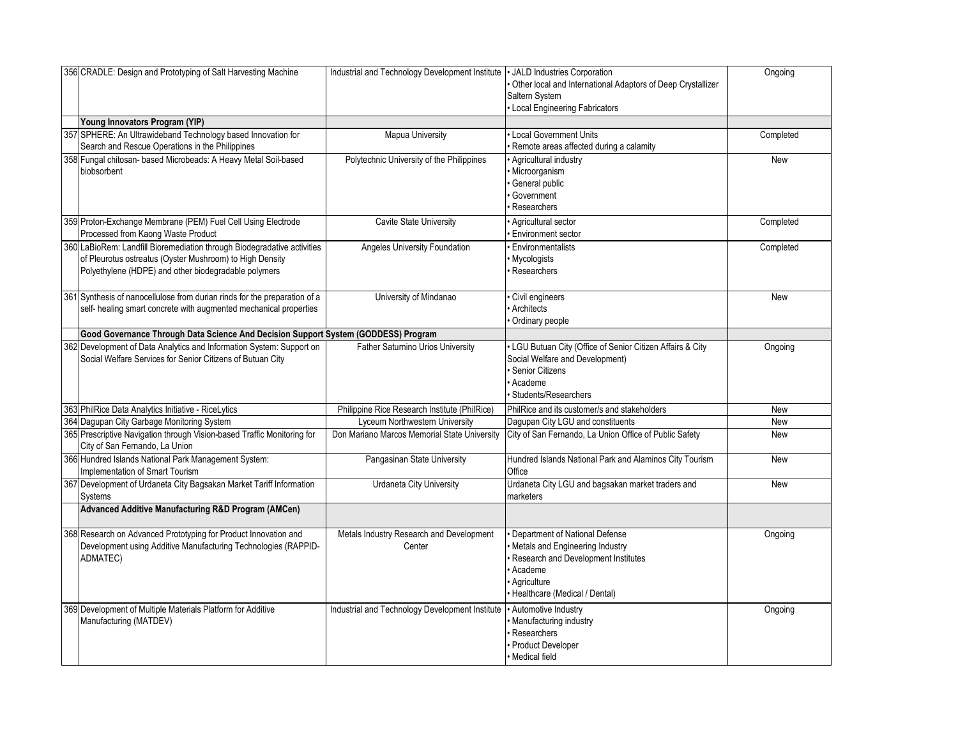| 356 CRADLE: Design and Prototyping of Salt Harvesting Machine                                                                                                                               | Industrial and Technology Development Institute   JALD Industries Corporation | Other local and International Adaptors of Deep Crystallizer<br>Saltern System<br>Local Engineering Fabricators                                                             | Ongoing    |
|---------------------------------------------------------------------------------------------------------------------------------------------------------------------------------------------|-------------------------------------------------------------------------------|----------------------------------------------------------------------------------------------------------------------------------------------------------------------------|------------|
| Young Innovators Program (YIP)                                                                                                                                                              |                                                                               |                                                                                                                                                                            |            |
| 357 SPHERE: An Ultrawideband Technology based Innovation for<br>Search and Rescue Operations in the Philippines                                                                             | <b>Mapua University</b>                                                       | Local Government Units<br>Remote areas affected during a calamity                                                                                                          | Completed  |
| 358 Fungal chitosan- based Microbeads: A Heavy Metal Soil-based<br>biobsorbent                                                                                                              | Polytechnic University of the Philippines                                     | Agricultural industry<br>Microorganism<br>General public<br>Government<br>Researchers                                                                                      | <b>New</b> |
| 359 Proton-Exchange Membrane (PEM) Fuel Cell Using Electrode<br>Processed from Kaong Waste Product                                                                                          | Cavite State University                                                       | Agricultural sector<br>Environment sector                                                                                                                                  | Completed  |
| 360 LaBioRem: Landfill Bioremediation through Biodegradative activities<br>of Pleurotus ostreatus (Oyster Mushroom) to High Density<br>Polyethylene (HDPE) and other biodegradable polymers | Angeles University Foundation                                                 | <b>Environmentalists</b><br>Mycologists<br>Researchers                                                                                                                     | Completed  |
| 361 Synthesis of nanocellulose from durian rinds for the preparation of a<br>self- healing smart concrete with augmented mechanical properties                                              | University of Mindanao                                                        | Civil engineers<br>Architects<br>Ordinary people                                                                                                                           | <b>New</b> |
| Good Governance Through Data Science And Decision Support System (GODDESS) Program                                                                                                          |                                                                               |                                                                                                                                                                            |            |
| 362 Development of Data Analytics and Information System: Support on<br>Social Welfare Services for Senior Citizens of Butuan City                                                          | Father Saturnino Urios University                                             | LGU Butuan City (Office of Senior Citizen Affairs & City<br>Social Welfare and Development)<br>Senior Citizens<br>Academe<br><b>Students/Researchers</b>                   | Ongoing    |
| 363 PhilRice Data Analytics Initiative - RiceLytics                                                                                                                                         | Philippine Rice Research Institute (PhilRice)                                 | PhilRice and its customer/s and stakeholders                                                                                                                               | New        |
| 364 Dagupan City Garbage Monitoring System                                                                                                                                                  | Lyceum Northwestern University                                                | Dagupan City LGU and constituents                                                                                                                                          | New        |
| 365 Prescriptive Navigation through Vision-based Traffic Monitoring for<br>City of San Fernando, La Union                                                                                   | Don Mariano Marcos Memorial State University                                  | City of San Fernando, La Union Office of Public Safety                                                                                                                     | New        |
| 366 Hundred Islands National Park Management System:<br>Implementation of Smart Tourism                                                                                                     | Pangasinan State University                                                   | Hundred Islands National Park and Alaminos City Tourism<br>Office                                                                                                          | New        |
| 367 Development of Urdaneta City Bagsakan Market Tariff Information<br>Systems                                                                                                              | <b>Urdaneta City University</b>                                               | Urdaneta City LGU and bagsakan market traders and<br>marketers                                                                                                             | <b>New</b> |
| Advanced Additive Manufacturing R&D Program (AMCen)                                                                                                                                         |                                                                               |                                                                                                                                                                            |            |
| 368 Research on Advanced Prototyping for Product Innovation and<br>Development using Additive Manufacturing Technologies (RAPPID-<br>ADMATEC)                                               | Metals Industry Research and Development<br>Center                            | Department of National Defense<br>Metals and Engineering Industry<br>Research and Development Institutes<br>Academe<br><b>Aariculture</b><br>Healthcare (Medical / Dental) | Ongoing    |
| 369 Development of Multiple Materials Platform for Additive<br>Manufacturing (MATDEV)                                                                                                       | Industrial and Technology Development Institute                               | · Automotive Industry<br>Manufacturing industry<br>Researchers<br>Product Developer<br>Medical field                                                                       | Ongoing    |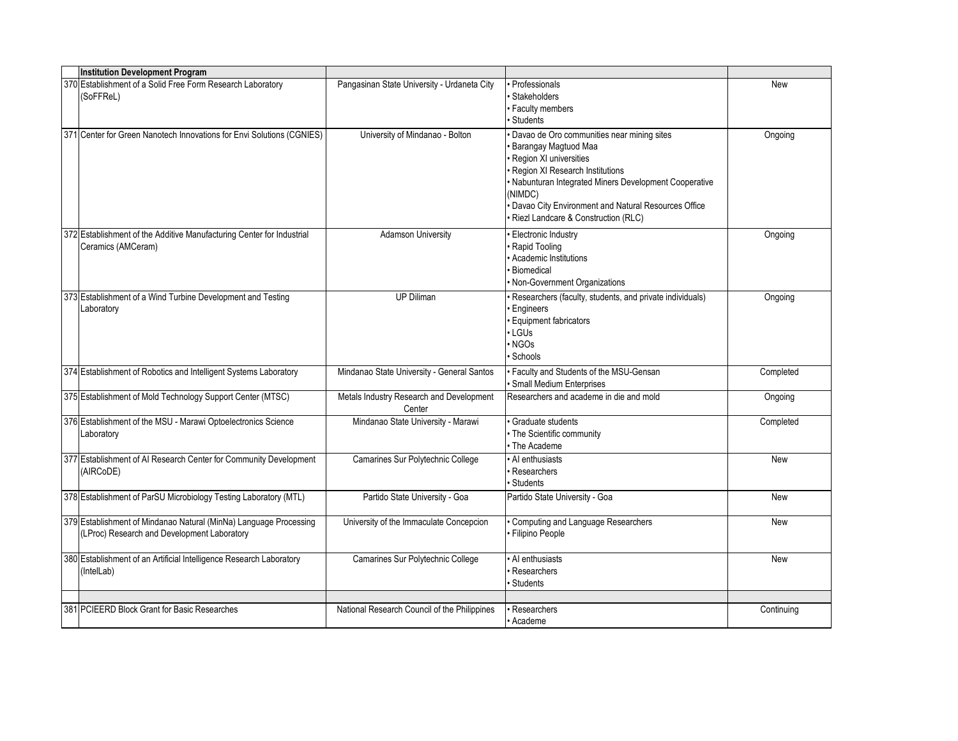| <b>Institution Development Program</b>                                                                           |                                                    |                                                                                                                                                                                                                                                                                                      |            |
|------------------------------------------------------------------------------------------------------------------|----------------------------------------------------|------------------------------------------------------------------------------------------------------------------------------------------------------------------------------------------------------------------------------------------------------------------------------------------------------|------------|
| 370 Establishment of a Solid Free Form Research Laboratory<br>(SoFFReL)                                          | Pangasinan State University - Urdaneta City        | <b>Professionals</b><br>Stakeholders<br><b>Faculty members</b><br>Students                                                                                                                                                                                                                           | New        |
| 371 Center for Green Nanotech Innovations for Envi Solutions (CGNIES)                                            | University of Mindanao - Bolton                    | Davao de Oro communities near mining sites<br>Barangay Magtuod Maa<br>Region XI universities<br>Region XI Research Institutions<br>· Nabunturan Integrated Miners Development Cooperative<br>(NIMDC)<br>· Davao City Environment and Natural Resources Office<br>Riezl Landcare & Construction (RLC) | Ongoing    |
| 372 Establishment of the Additive Manufacturing Center for Industrial<br>Ceramics (AMCeram)                      | <b>Adamson University</b>                          | · Electronic Industry<br>Rapid Tooling<br>Academic Institutions<br>Biomedical<br>• Non-Government Organizations                                                                                                                                                                                      | Ongoing    |
| 373 Establishment of a Wind Turbine Development and Testing<br>Laboratory                                        | <b>UP Diliman</b>                                  | · Researchers (faculty, students, and private individuals)<br><b>Engineers</b><br><b>Equipment fabricators</b><br>$\cdot$ LGUs<br>NGO <sub>s</sub><br>Schools                                                                                                                                        | Ongoing    |
| 374 Establishment of Robotics and Intelligent Systems Laboratory                                                 | Mindanao State University - General Santos         | · Faculty and Students of the MSU-Gensan<br>· Small Medium Enterprises                                                                                                                                                                                                                               | Completed  |
| 375 Establishment of Mold Technology Support Center (MTSC)                                                       | Metals Industry Research and Development<br>Center | Researchers and academe in die and mold                                                                                                                                                                                                                                                              | Ongoing    |
| 376 Establishment of the MSU - Marawi Optoelectronics Science<br>Laboratory                                      | Mindanao State University - Marawi                 | Graduate students<br>· The Scientific community<br>• The Academe                                                                                                                                                                                                                                     | Completed  |
| 377 Establishment of AI Research Center for Community Development<br>(AIRCoDE)                                   | Camarines Sur Polytechnic College                  | • Al enthusiasts<br>Researchers<br><b>Students</b>                                                                                                                                                                                                                                                   | New        |
| 378 Establishment of ParSU Microbiology Testing Laboratory (MTL)                                                 | Partido State University - Goa                     | Partido State University - Goa                                                                                                                                                                                                                                                                       | New        |
| 379 Establishment of Mindanao Natural (MinNa) Language Processing<br>(LProc) Research and Development Laboratory | University of the Immaculate Concepcion            | Computing and Language Researchers<br>· Filipino People                                                                                                                                                                                                                                              | New        |
| 380 Establishment of an Artificial Intelligence Research Laboratory<br>(IntelLab)                                | Camarines Sur Polytechnic College                  | Al enthusiasts<br>Researchers<br><b>Students</b>                                                                                                                                                                                                                                                     | New        |
|                                                                                                                  |                                                    |                                                                                                                                                                                                                                                                                                      |            |
| 381 PCIEERD Block Grant for Basic Researches                                                                     | National Research Council of the Philippines       | Researchers<br>• Academe                                                                                                                                                                                                                                                                             | Continuing |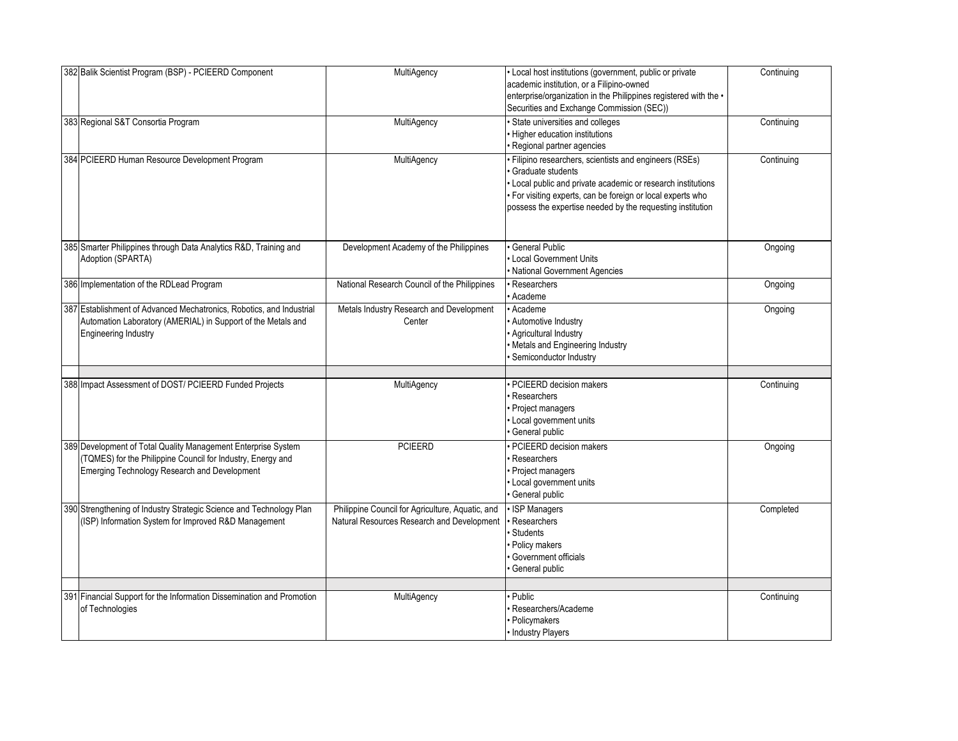| 382 Balik Scientist Program (BSP) - PCIEERD Component                                                                                                                        | MultiAgency                                                                                    | • Local host institutions (government, public or private<br>academic institution, or a Filipino-owned<br>enterprise/organization in the Philippines registered with the •<br>Securities and Exchange Commission (SEC))                                                    | Continuing |
|------------------------------------------------------------------------------------------------------------------------------------------------------------------------------|------------------------------------------------------------------------------------------------|---------------------------------------------------------------------------------------------------------------------------------------------------------------------------------------------------------------------------------------------------------------------------|------------|
| 383 Regional S&T Consortia Program                                                                                                                                           | MultiAgency                                                                                    | · State universities and colleges<br>· Higher education institutions<br>· Regional partner agencies                                                                                                                                                                       | Continuing |
| 384 PCIEERD Human Resource Development Program                                                                                                                               | MultiAgency                                                                                    | · Filipino researchers, scientists and engineers (RSEs)<br>Graduate students<br>• Local public and private academic or research institutions<br>· For visiting experts, can be foreign or local experts who<br>possess the expertise needed by the requesting institution | Continuing |
| 385 Smarter Philippines through Data Analytics R&D, Training and<br>Adoption (SPARTA)                                                                                        | Development Academy of the Philippines                                                         | General Public<br><b>Local Government Units</b><br>· National Government Agencies                                                                                                                                                                                         | Ongoing    |
| 386 Implementation of the RDLead Program                                                                                                                                     | National Research Council of the Philippines                                                   | · Researchers<br>Academe                                                                                                                                                                                                                                                  | Ongoing    |
| 387 Establishment of Advanced Mechatronics, Robotics, and Industrial<br>Automation Laboratory (AMERIAL) in Support of the Metals and<br><b>Engineering Industry</b>          | Metals Industry Research and Development<br>Center                                             | · Academe<br>· Automotive Industry<br>· Agricultural Industry<br>• Metals and Engineering Industry<br>Semiconductor Industry                                                                                                                                              | Ongoing    |
| 388 Impact Assessment of DOST/ PCIEERD Funded Projects                                                                                                                       | MultiAgency                                                                                    | PCIEERD decision makers<br>Researchers<br>• Project managers<br>• Local government units<br>General public                                                                                                                                                                | Continuing |
| 389 Development of Total Quality Management Enterprise System<br>(TQMES) for the Philippine Council for Industry, Energy and<br>Emerging Technology Research and Development | <b>PCIEERD</b>                                                                                 | · PCIEERD decision makers<br>Researchers<br>· Project managers<br>• Local government units<br>General public                                                                                                                                                              | Ongoing    |
| 390 Strengthening of Industry Strategic Science and Technology Plan<br>(ISP) Information System for Improved R&D Management                                                  | Philippine Council for Agriculture, Aquatic, and<br>Natural Resources Research and Development | · ISP Managers<br>Researchers<br><b>Students</b><br>· Policy makers<br>Government officials<br>General public                                                                                                                                                             | Completed  |
|                                                                                                                                                                              |                                                                                                | · Public                                                                                                                                                                                                                                                                  |            |
| 391 Financial Support for the Information Dissemination and Promotion<br>of Technologies                                                                                     | MultiAgency                                                                                    | Researchers/Academe<br><b>Policymakers</b><br>• Industry Players                                                                                                                                                                                                          | Continuing |